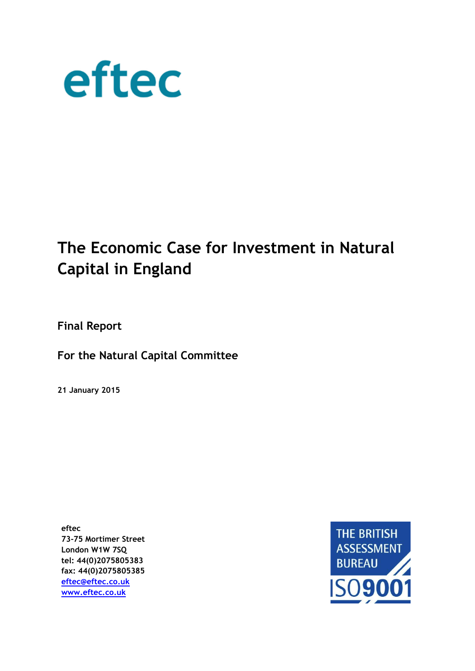

# **The Economic Case for Investment in Natural Capital in England**

**Final Report**

**For the Natural Capital Committee** 

**21 January 2015**

**eftec 73-75 Mortimer Street London W1W 7SQ tel: 44(0)2075805383 fax: 44(0)2075805385 [eftec@eftec.co.uk](mailto:eftec@eftec.co.uk) [www.eftec.co.uk](http://www.eftec.co.uk/)**

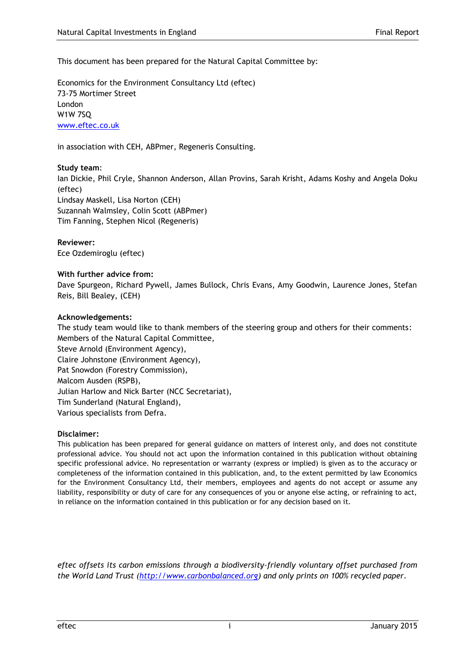This document has been prepared for the Natural Capital Committee by:

Economics for the Environment Consultancy Ltd (eftec) 73-75 Mortimer Street London W1W 7SQ [www.eftec.co.uk](http://www.eftec.co.uk/) 

in association with CEH, ABPmer, Regeneris Consulting.

#### **Study team**:

Ian Dickie, Phil Cryle, Shannon Anderson, Allan Provins, Sarah Krisht, Adams Koshy and Angela Doku (eftec) Lindsay Maskell, Lisa Norton (CEH) Suzannah Walmsley, Colin Scott (ABPmer) Tim Fanning, Stephen Nicol (Regeneris)

#### **Reviewer:**

Ece Ozdemiroglu (eftec)

#### **With further advice from:**

Dave Spurgeon, Richard Pywell, James Bullock, Chris Evans, Amy Goodwin, Laurence Jones, Stefan Reis, Bill Bealey, (CEH)

#### **Acknowledgements:**

The study team would like to thank members of the steering group and others for their comments: Members of the Natural Capital Committee, Steve Arnold (Environment Agency), Claire Johnstone (Environment Agency), Pat Snowdon (Forestry Commission), Malcom Ausden (RSPB), Julian Harlow and Nick Barter (NCC Secretariat), Tim Sunderland (Natural England), Various specialists from Defra.

#### **Disclaimer:**

This publication has been prepared for general guidance on matters of interest only, and does not constitute professional advice. You should not act upon the information contained in this publication without obtaining specific professional advice. No representation or warranty (express or implied) is given as to the accuracy or completeness of the information contained in this publication, and, to the extent permitted by law Economics for the Environment Consultancy Ltd, their members, employees and agents do not accept or assume any liability, responsibility or duty of care for any consequences of you or anyone else acting, or refraining to act, in reliance on the information contained in this publication or for any decision based on it.

*eftec offsets its carbon emissions through a biodiversity-friendly voluntary offset purchased from the World Land Trust [\(http://www.carbonbalanced.org\)](http://www.carbonbalanced.org/) and only prints on 100% recycled paper.*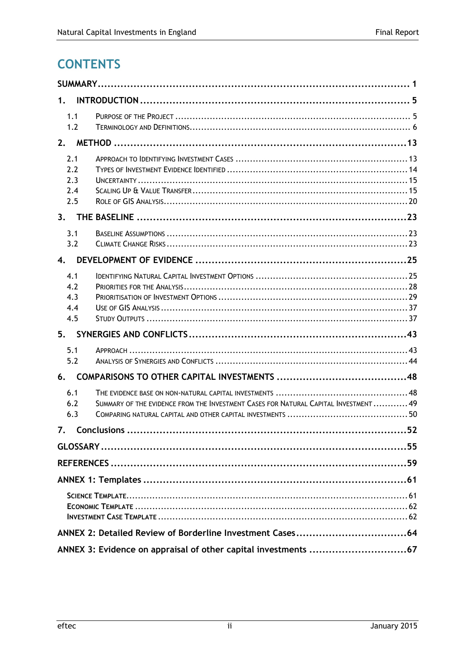# **CONTENTS**

| 1.                              |                                                                                      |  |
|---------------------------------|--------------------------------------------------------------------------------------|--|
| 1.1<br>1.2                      |                                                                                      |  |
|                                 |                                                                                      |  |
| 2.1<br>2.2<br>2.3<br>2.4<br>2.5 |                                                                                      |  |
| 3.                              |                                                                                      |  |
| 3.1<br>3.2                      |                                                                                      |  |
| 4.                              |                                                                                      |  |
| 4.1<br>4.2<br>4.3<br>4.4<br>4.5 |                                                                                      |  |
| 5.                              |                                                                                      |  |
| 5.1<br>5.2                      |                                                                                      |  |
| 6.                              |                                                                                      |  |
| 6.1<br>6.2<br>6.3               | SUMMARY OF THE EVIDENCE FROM THE INVESTMENT CASES FOR NATURAL CAPITAL INVESTMENT  49 |  |
| 7.                              |                                                                                      |  |
|                                 |                                                                                      |  |
|                                 |                                                                                      |  |
|                                 |                                                                                      |  |
|                                 |                                                                                      |  |
|                                 |                                                                                      |  |
|                                 |                                                                                      |  |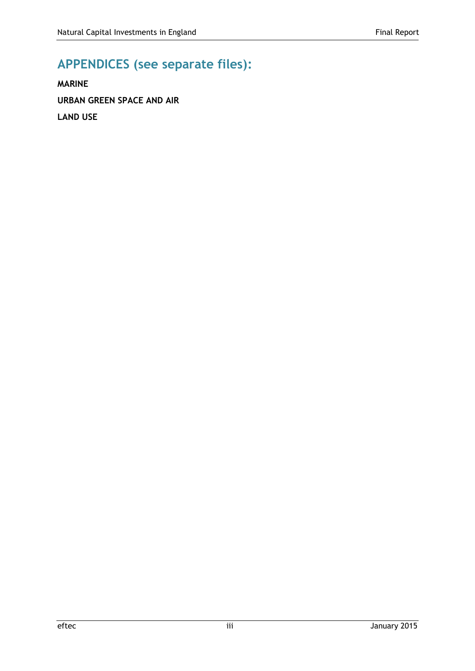# **APPENDICES (see separate files):**

**MARINE URBAN GREEN SPACE AND AIR LAND USE**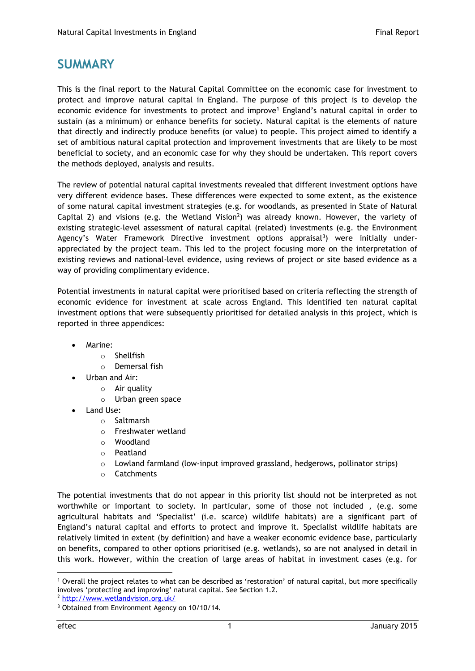## <span id="page-4-0"></span>**SUMMARY**

This is the final report to the Natural Capital Committee on the economic case for investment to protect and improve natural capital in England. The purpose of this project is to develop the economic evidence for investments to protect and improve<sup>1</sup> England's natural capital in order to sustain (as a minimum) or enhance benefits for society. Natural capital is the elements of nature that directly and indirectly produce benefits (or value) to people. This project aimed to identify a set of ambitious natural capital protection and improvement investments that are likely to be most beneficial to society, and an economic case for why they should be undertaken. This report covers the methods deployed, analysis and results.

The review of potential natural capital investments revealed that different investment options have very different evidence bases. These differences were expected to some extent, as the existence of some natural capital investment strategies (e.g. for woodlands, as presented in State of Natural Capital 2) and visions (e.g. the Wetland Vision<sup>2</sup>) was already known. However, the variety of existing strategic-level assessment of natural capital (related) investments (e.g. the Environment Agency's Water Framework Directive investment options appraisal<sup>3</sup>) were initially underappreciated by the project team. This led to the project focusing more on the interpretation of existing reviews and national-level evidence, using reviews of project or site based evidence as a way of providing complimentary evidence.

Potential investments in natural capital were prioritised based on criteria reflecting the strength of economic evidence for investment at scale across England. This identified ten natural capital investment options that were subsequently prioritised for detailed analysis in this project, which is reported in three appendices:

- Marine:
	- o Shellfish
	- o Demersal fish
- Urban and Air:
	- o Air quality
		- o Urban green space
- Land Use:
	- o Saltmarsh
	- o Freshwater wetland
	- o Woodland
	- o Peatland
	- o Lowland farmland (low-input improved grassland, hedgerows, pollinator strips)
	- o Catchments

The potential investments that do not appear in this priority list should not be interpreted as not worthwhile or important to society. In particular, some of those not included , (e.g. some agricultural habitats and 'Specialist' (i.e. scarce) wildlife habitats) are a significant part of England's natural capital and efforts to protect and improve it. Specialist wildlife habitats are relatively limited in extent (by definition) and have a weaker economic evidence base, particularly on benefits, compared to other options prioritised (e.g. wetlands), so are not analysed in detail in this work. However, within the creation of large areas of habitat in investment cases (e.g. for

-

<sup>1</sup> Overall the project relates to what can be described as 'restoration' of natural capital, but more specifically involves 'protecting and improving' natural capital. See Section 1.2.

<sup>2</sup> <http://www.wetlandvision.org.uk/>

<sup>&</sup>lt;sup>3</sup> Obtained from Environment Agency on 10/10/14.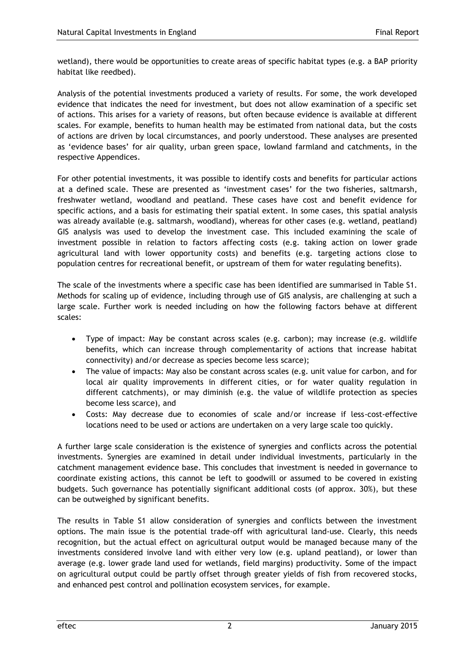wetland), there would be opportunities to create areas of specific habitat types (e.g. a BAP priority habitat like reedbed).

Analysis of the potential investments produced a variety of results. For some, the work developed evidence that indicates the need for investment, but does not allow examination of a specific set of actions. This arises for a variety of reasons, but often because evidence is available at different scales. For example, benefits to human health may be estimated from national data, but the costs of actions are driven by local circumstances, and poorly understood. These analyses are presented as 'evidence bases' for air quality, urban green space, lowland farmland and catchments, in the respective Appendices.

For other potential investments, it was possible to identify costs and benefits for particular actions at a defined scale. These are presented as 'investment cases' for the two fisheries, saltmarsh, freshwater wetland, woodland and peatland. These cases have cost and benefit evidence for specific actions, and a basis for estimating their spatial extent. In some cases, this spatial analysis was already available (e.g. saltmarsh, woodland), whereas for other cases (e.g. wetland, peatland) GIS analysis was used to develop the investment case. This included examining the scale of investment possible in relation to factors affecting costs (e.g. taking action on lower grade agricultural land with lower opportunity costs) and benefits (e.g. targeting actions close to population centres for recreational benefit, or upstream of them for water regulating benefits).

The scale of the investments where a specific case has been identified are summarised in Table S1. Methods for scaling up of evidence, including through use of GIS analysis, are challenging at such a large scale. Further work is needed including on how the following factors behave at different scales:

- Type of impact: May be constant across scales (e.g. carbon); may increase (e.g. wildlife benefits, which can increase through complementarity of actions that increase habitat connectivity) and/or decrease as species become less scarce);
- The value of impacts: May also be constant across scales (e.g. unit value for carbon, and for local air quality improvements in different cities, or for water quality regulation in different catchments), or may diminish (e.g. the value of wildlife protection as species become less scarce), and
- Costs: May decrease due to economies of scale and/or increase if less-cost-effective locations need to be used or actions are undertaken on a very large scale too quickly.

A further large scale consideration is the existence of synergies and conflicts across the potential investments. Synergies are examined in detail under individual investments, particularly in the catchment management evidence base. This concludes that investment is needed in governance to coordinate existing actions, this cannot be left to goodwill or assumed to be covered in existing budgets. Such governance has potentially significant additional costs (of approx. 30%), but these can be outweighed by significant benefits.

The results in Table S1 allow consideration of synergies and conflicts between the investment options. The main issue is the potential trade-off with agricultural land-use. Clearly, this needs recognition, but the actual effect on agricultural output would be managed because many of the investments considered involve land with either very low (e.g. upland peatland), or lower than average (e.g. lower grade land used for wetlands, field margins) productivity. Some of the impact on agricultural output could be partly offset through greater yields of fish from recovered stocks, and enhanced pest control and pollination ecosystem services, for example.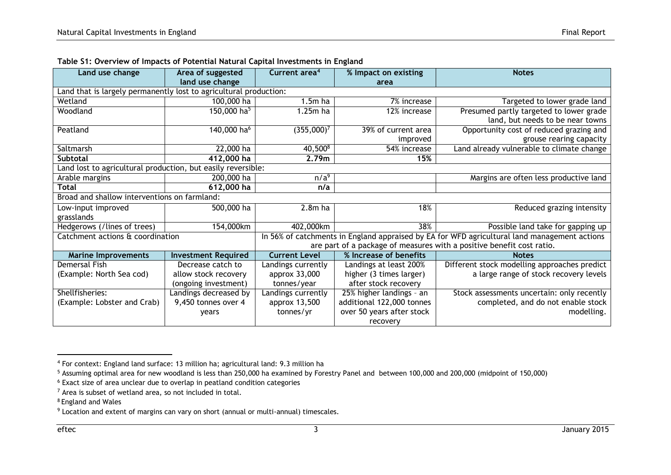| Land use change                                                                      | Area of suggested          | Current area <sup>4</sup> | % Impact on existing      | <b>Notes</b>                                                                                 |
|--------------------------------------------------------------------------------------|----------------------------|---------------------------|---------------------------|----------------------------------------------------------------------------------------------|
| land use change<br>Land that is largely permanently lost to agricultural production: |                            |                           | area                      |                                                                                              |
|                                                                                      |                            |                           |                           |                                                                                              |
| Wetland                                                                              | 100,000 ha                 | $1.5m$ ha                 | 7% increase               | Targeted to lower grade land                                                                 |
| Woodland                                                                             | 150,000 ha <sup>5</sup>    | 1.25m ha                  | 12% increase              | Presumed partly targeted to lower grade                                                      |
|                                                                                      |                            |                           |                           | land, but needs to be near towns                                                             |
| Peatland                                                                             | 140,000 ha <sup>6</sup>    | $(355,000)^7$             | 39% of current area       | Opportunity cost of reduced grazing and                                                      |
|                                                                                      |                            |                           | improved                  | grouse rearing capacity                                                                      |
| Saltmarsh                                                                            | 22,000 ha                  | 40,5008                   | 54% increase              | Land already vulnerable to climate change                                                    |
| <b>Subtotal</b>                                                                      | 412,000 ha                 | 2.79m                     | 15%                       |                                                                                              |
| Land lost to agricultural production, but easily reversible:                         |                            |                           |                           |                                                                                              |
| Arable margins                                                                       | 200,000 ha                 | n/a <sup>9</sup>          |                           | Margins are often less productive land                                                       |
| 612,000 ha<br><b>Total</b>                                                           |                            | n/a                       |                           |                                                                                              |
| Broad and shallow interventions on farmland:                                         |                            |                           |                           |                                                                                              |
| Low-input improved                                                                   | 500,000 ha                 | $2.8m$ ha                 | 18%                       | Reduced grazing intensity                                                                    |
| grasslands                                                                           |                            |                           |                           |                                                                                              |
| Hedgerows (/lines of trees)                                                          | 154,000km                  | 402,000km                 | 38%                       | Possible land take for gapping up                                                            |
| Catchment actions & coordination                                                     |                            |                           |                           | In 56% of catchments in England appraised by EA for WFD agricultural land management actions |
|                                                                                      |                            |                           |                           | are part of a package of measures with a positive benefit cost ratio.                        |
| <b>Marine Improvements</b>                                                           | <b>Investment Required</b> | <b>Current Level</b>      | % Increase of benefits    | <b>Notes</b>                                                                                 |
| Demersal Fish                                                                        | Decrease catch to          | Landings currently        | Landings at least 200%    | Different stock modelling approaches predict                                                 |
| (Example: North Sea cod)                                                             | allow stock recovery       | approx 33,000             | higher (3 times larger)   | a large range of stock recovery levels                                                       |
|                                                                                      | (ongoing investment)       | tonnes/year               | after stock recovery      |                                                                                              |
| Shellfisheries:                                                                      | Landings decreased by      | Landings currently        | 25% higher landings - an  | Stock assessments uncertain: only recently                                                   |
| (Example: Lobster and Crab)                                                          | 9,450 tonnes over 4        | approx 13,500             | additional 122,000 tonnes | completed, and do not enable stock                                                           |
|                                                                                      | years                      | tonnes/yr                 | over 50 years after stock | modelling.                                                                                   |
|                                                                                      |                            |                           | recovery                  |                                                                                              |

#### **Table S1: Overview of Impacts of Potential Natural Capital Investments in England**

<sup>4</sup> For context: England land surface: 13 million ha; agricultural land: 9.3 million ha

<sup>&</sup>lt;sup>5</sup> Assuming optimal area for new woodland is less than 250,000 ha examined by Forestry Panel and between 100,000 and 200,000 (midpoint of 150,000)

<sup>6</sup> Exact size of area unclear due to overlap in peatland condition categories

<sup>7</sup> Area is subset of wetland area, so not included in total.

<sup>8</sup> England and Wales

<sup>9</sup> Location and extent of margins can vary on short (annual or multi-annual) timescales.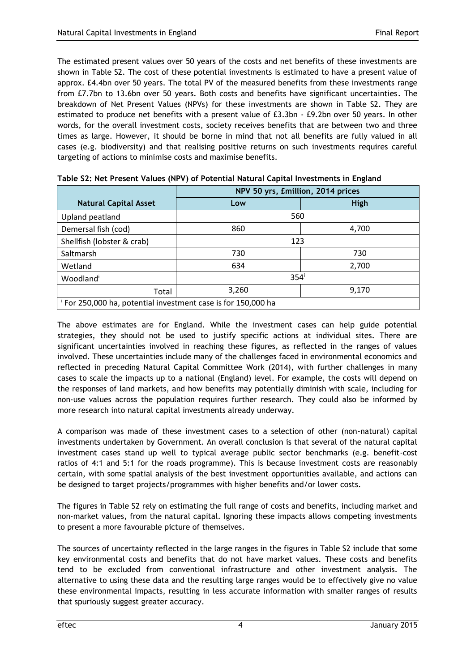The estimated present values over 50 years of the costs and net benefits of these investments are shown in Table S2. The cost of these potential investments is estimated to have a present value of approx. £4.4bn over 50 years. The total PV of the measured benefits from these investments range from £7.7bn to 13.6bn over 50 years. Both costs and benefits have significant uncertainties. The breakdown of Net Present Values (NPVs) for these investments are shown in Table S2. They are estimated to produce net benefits with a present value of £3.3bn - £9.2bn over 50 years. In other words, for the overall investment costs, society receives benefits that are between two and three times as large. However, it should be borne in mind that not all benefits are fully valued in all cases (e.g. biodiversity) and that realising positive returns on such investments requires careful targeting of actions to minimise costs and maximise benefits.

|                                                                          | NPV 50 yrs, £million, 2014 prices |       |  |
|--------------------------------------------------------------------------|-----------------------------------|-------|--|
| <b>Natural Capital Asset</b>                                             | Low                               | High  |  |
| Upland peatland                                                          | 560                               |       |  |
| Demersal fish (cod)                                                      | 860                               | 4,700 |  |
| Shellfish (lobster & crab)                                               | 123                               |       |  |
| Saltmarsh                                                                | 730                               | 730   |  |
| Wetland                                                                  | 634<br>2,700                      |       |  |
| Woodland <sup>i</sup>                                                    | 354 <sup>i</sup>                  |       |  |
| Total                                                                    | 3,260                             | 9,170 |  |
| <sup>1</sup> For 250,000 ha, potential investment case is for 150,000 ha |                                   |       |  |

| Table S2: Net Present Values (NPV) of Potential Natural Capital Investments in England |  |  |
|----------------------------------------------------------------------------------------|--|--|
|----------------------------------------------------------------------------------------|--|--|

The above estimates are for England. While the investment cases can help guide potential strategies, they should not be used to justify specific actions at individual sites. There are significant uncertainties involved in reaching these figures, as reflected in the ranges of values involved. These uncertainties include many of the challenges faced in environmental economics and reflected in preceding Natural Capital Committee Work (2014), with further challenges in many cases to scale the impacts up to a national (England) level. For example, the costs will depend on the responses of land markets, and how benefits may potentially diminish with scale, including for non-use values across the population requires further research. They could also be informed by more research into natural capital investments already underway.

A comparison was made of these investment cases to a selection of other (non-natural) capital investments undertaken by Government. An overall conclusion is that several of the natural capital investment cases stand up well to typical average public sector benchmarks (e.g. benefit-cost ratios of 4:1 and 5:1 for the roads programme). This is because investment costs are reasonably certain, with some spatial analysis of the best investment opportunities available, and actions can be designed to target projects/programmes with higher benefits and/or lower costs.

The figures in Table S2 rely on estimating the full range of costs and benefits, including market and non-market values, from the natural capital. Ignoring these impacts allows competing investments to present a more favourable picture of themselves.

The sources of uncertainty reflected in the large ranges in the figures in Table S2 include that some key environmental costs and benefits that do not have market values. These costs and benefits tend to be excluded from conventional infrastructure and other investment analysis. The alternative to using these data and the resulting large ranges would be to effectively give no value these environmental impacts, resulting in less accurate information with smaller ranges of results that spuriously suggest greater accuracy.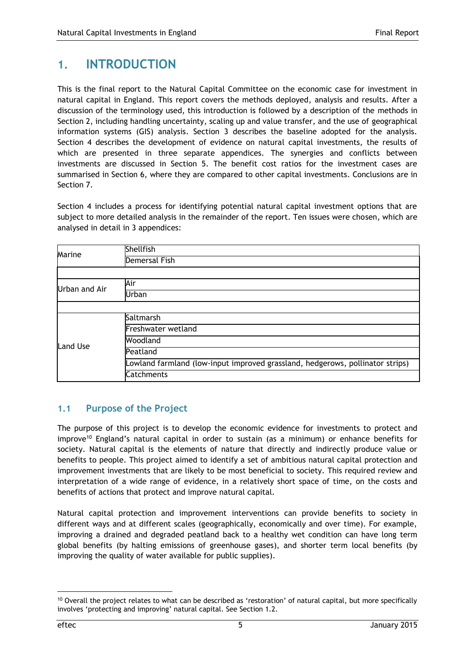## <span id="page-8-0"></span>**1. INTRODUCTION**

This is the final report to the Natural Capital Committee on the economic case for investment in natural capital in England. This report covers the methods deployed, analysis and results. After a discussion of the terminology used, this introduction is followed by a description of the methods in Section 2, including handling uncertainty, scaling up and value transfer, and the use of geographical information systems (GIS) analysis. Section 3 describes the baseline adopted for the analysis. Section 4 describes the development of evidence on natural capital investments, the results of which are presented in three separate appendices. The synergies and conflicts between investments are discussed in Section 5. The benefit cost ratios for the investment cases are summarised in Section 6, where they are compared to other capital investments. Conclusions are in Section 7.

Section 4 includes a process for identifying potential natural capital investment options that are subject to more detailed analysis in the remainder of the report. Ten issues were chosen, which are analysed in detail in 3 appendices:

| Marine               | Shellfish                                                                     |
|----------------------|-------------------------------------------------------------------------------|
|                      | Demersal Fish                                                                 |
|                      |                                                                               |
| <b>Urban and Air</b> | Air                                                                           |
|                      | Urban                                                                         |
|                      |                                                                               |
|                      | Saltmarsh                                                                     |
|                      | Freshwater wetland                                                            |
| Land Use             | Woodland                                                                      |
|                      | Peatland                                                                      |
|                      | Lowland farmland (low-input improved grassland, hedgerows, pollinator strips) |
|                      | <b>Catchments</b>                                                             |

## <span id="page-8-1"></span>**1.1 Purpose of the Project**

The purpose of this project is to develop the economic evidence for investments to protect and improve<sup>10</sup> England's natural capital in order to sustain (as a minimum) or enhance benefits for society. Natural capital is the elements of nature that directly and indirectly produce value or benefits to people. This project aimed to identify a set of ambitious natural capital protection and improvement investments that are likely to be most beneficial to society. This required review and interpretation of a wide range of evidence, in a relatively short space of time, on the costs and benefits of actions that protect and improve natural capital.

Natural capital protection and improvement interventions can provide benefits to society in different ways and at different scales (geographically, economically and over time). For example, improving a drained and degraded peatland back to a healthy wet condition can have long term global benefits (by halting emissions of greenhouse gases), and shorter term local benefits (by improving the quality of water available for public supplies).

1

<sup>&</sup>lt;sup>10</sup> Overall the project relates to what can be described as 'restoration' of natural capital, but more specifically involves 'protecting and improving' natural capital. See Section 1.2.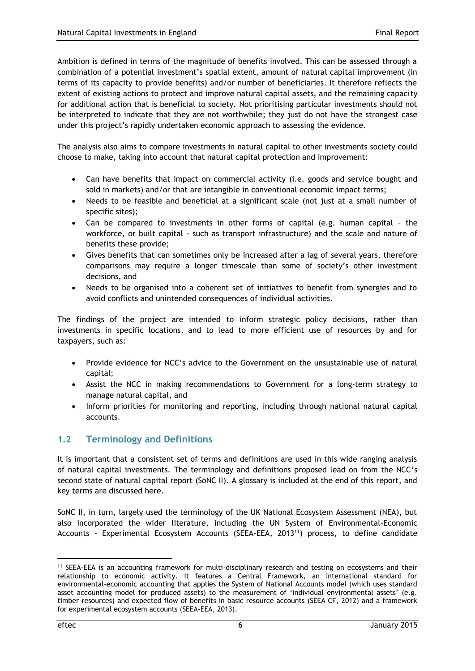Ambition is defined in terms of the magnitude of benefits involved. This can be assessed through a combination of a potential investment's spatial extent, amount of natural capital improvement (in terms of its capacity to provide benefits) and/or number of beneficiaries. It therefore reflects the extent of existing actions to protect and improve natural capital assets, and the remaining capacity for additional action that is beneficial to society. Not prioritising particular investments should not be interpreted to indicate that they are not worthwhile; they just do not have the strongest case under this project's rapidly undertaken economic approach to assessing the evidence.

The analysis also aims to compare investments in natural capital to other investments society could choose to make, taking into account that natural capital protection and improvement:

- Can have benefits that impact on commercial activity (i.e. goods and service bought and sold in markets) and/or that are intangible in conventional economic impact terms;
- Needs to be feasible and beneficial at a significant scale (not just at a small number of specific sites);
- Can be compared to investments in other forms of capital (e.g. human capital the workforce, or built capital - such as transport infrastructure) and the scale and nature of benefits these provide;
- Gives benefits that can sometimes only be increased after a lag of several years, therefore comparisons may require a longer timescale than some of society's other investment decisions, and
- Needs to be organised into a coherent set of initiatives to benefit from synergies and to avoid conflicts and unintended consequences of individual activities.

The findings of the project are intended to inform strategic policy decisions, rather than investments in specific locations, and to lead to more efficient use of resources by and for taxpayers, such as:

- Provide evidence for NCC's advice to the Government on the unsustainable use of natural capital;
- Assist the NCC in making recommendations to Government for a long-term strategy to manage natural capital, and
- Inform priorities for monitoring and reporting, including through national natural capital accounts.

## <span id="page-9-0"></span>**1.2 Terminology and Definitions**

It is important that a consistent set of terms and definitions are used in this wide ranging analysis of natural capital investments. The terminology and definitions proposed lead on from the NCC's second state of natural capital report (SoNC II). A glossary is included at the end of this report, and key terms are discussed here.

SoNC II, in turn, largely used the terminology of the UK National Ecosystem Assessment (NEA), but also incorporated the wider literature, including the UN System of Environmental-Economic Accounts - Experimental Ecosystem Accounts (SEEA-EEA, 2013<sup>11</sup>) process, to define candidate

<sup>&</sup>lt;sup>11</sup> SEEA-EEA is an accounting framework for multi-disciplinary research and testing on ecosystems and their relationship to economic activity. It features a Central Framework, an international standard for environmental-economic accounting that applies the System of National Accounts model (which uses standard asset accounting model for produced assets) to the measurement of 'individual environmental assets' (e.g. timber resources) and expected flow of benefits in basic resource accounts (SEEA CF, 2012) and a framework for experimental ecosystem accounts (SEEA-EEA, 2013).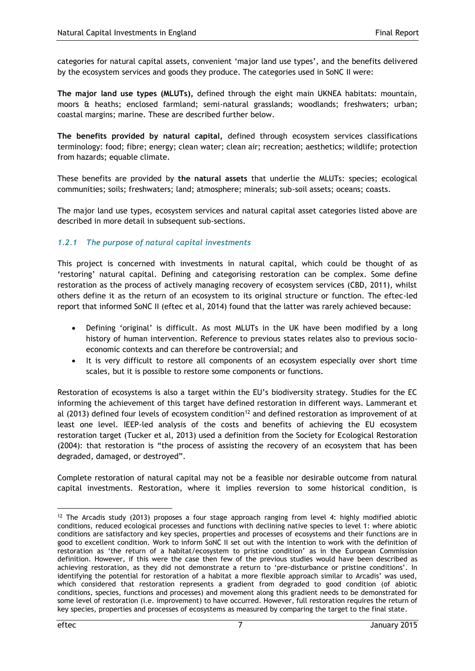categories for natural capital assets, convenient 'major land use types', and the benefits delivered by the ecosystem services and goods they produce. The categories used in SoNC II were:

**The major land use types (MLUTs),** defined through the eight main UKNEA habitats: mountain, moors & heaths; enclosed farmland; semi-natural grasslands; woodlands; freshwaters; urban; coastal margins; marine. These are described further below.

**The benefits provided by natural capital,** defined through ecosystem services classifications terminology: food; fibre; energy; clean water; clean air; recreation; aesthetics; wildlife; protection from hazards; equable climate.

These benefits are provided by **the natural assets** that underlie the MLUTs: species; ecological communities; soils; freshwaters; land; atmosphere; minerals; sub-soil assets; oceans; coasts.

The major land use types, ecosystem services and natural capital asset categories listed above are described in more detail in subsequent sub-sections.

#### *1.2.1 The purpose of natural capital investments*

This project is concerned with investments in natural capital, which could be thought of as 'restoring' natural capital. Defining and categorising restoration can be complex. Some define restoration as the process of actively managing recovery of ecosystem services (CBD, 2011), whilst others define it as the return of an ecosystem to its original structure or function. The eftec-led report that informed SoNC II (eftec et al, 2014) found that the latter was rarely achieved because:

- Defining 'original' is difficult. As most MLUTs in the UK have been modified by a long history of human intervention. Reference to previous states relates also to previous socioeconomic contexts and can therefore be controversial; and
- It is very difficult to restore all components of an ecosystem especially over short time scales, but it is possible to restore some components or functions.

Restoration of ecosystems is also a target within the EU's biodiversity strategy. Studies for the EC informing the achievement of this target have defined restoration in different ways. Lammerant et al (2013) defined four levels of ecosystem condition<sup>12</sup> and defined restoration as improvement of at least one level. IEEP-led analysis of the costs and benefits of achieving the EU ecosystem restoration target (Tucker et al, 2013) used a definition from the Society for Ecological Restoration (2004): that restoration is "the process of assisting the recovery of an ecosystem that has been degraded, damaged, or destroyed".

Complete restoration of natural capital may not be a feasible nor desirable outcome from natural capital investments. Restoration, where it implies reversion to some historical condition, is

1

 $12$  The Arcadis study (2013) proposes a four stage approach ranging from level 4: highly modified abiotic conditions, reduced ecological processes and functions with declining native species to level 1: where abiotic conditions are satisfactory and key species, properties and processes of ecosystems and their functions are in good to excellent condition. Work to inform SoNC II set out with the intention to work with the definition of restoration as 'the return of a habitat/ecosystem to pristine condition' as in the European Commission definition. However, if this were the case then few of the previous studies would have been described as achieving restoration, as they did not demonstrate a return to 'pre-disturbance or pristine conditions'. In identifying the potential for restoration of a habitat a more flexible approach similar to Arcadis' was used, which considered that restoration represents a gradient from degraded to good condition (of abiotic conditions, species, functions and processes) and movement along this gradient needs to be demonstrated for some level of restoration (i.e. improvement) to have occurred. However, full restoration requires the return of key species, properties and processes of ecosystems as measured by comparing the target to the final state.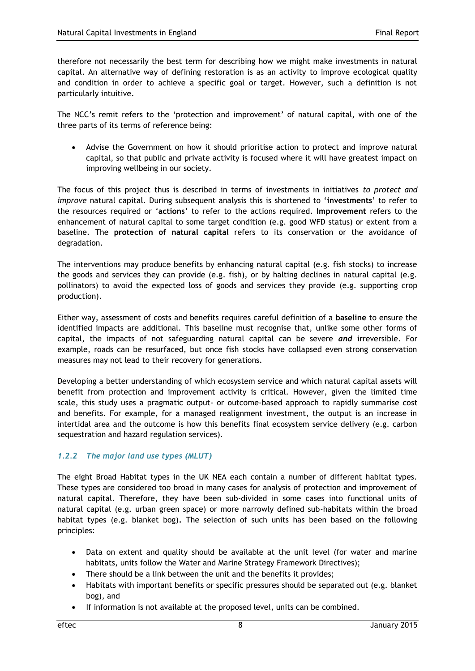therefore not necessarily the best term for describing how we might make investments in natural capital. An alternative way of defining restoration is as an activity to improve ecological quality and condition in order to achieve a specific goal or target. However, such a definition is not particularly intuitive.

The NCC's remit refers to the 'protection and improvement' of natural capital, with one of the three parts of its terms of reference being:

 Advise the Government on how it should prioritise action to protect and improve natural capital, so that public and private activity is focused where it will have greatest impact on improving wellbeing in our society.

The focus of this project thus is described in terms of investments in initiatives *to protect and improve* natural capital. During subsequent analysis this is shortened to '**investments**' to refer to the resources required or '**actions**' to refer to the actions required. **Improvement** refers to the enhancement of natural capital to some target condition (e.g. good WFD status) or extent from a baseline. The **protection of natural capital** refers to its conservation or the avoidance of degradation.

The interventions may produce benefits by enhancing natural capital (e.g. fish stocks) to increase the goods and services they can provide (e.g. fish), or by halting declines in natural capital (e.g. pollinators) to avoid the expected loss of goods and services they provide (e.g. supporting crop production).

Either way, assessment of costs and benefits requires careful definition of a **baseline** to ensure the identified impacts are additional. This baseline must recognise that, unlike some other forms of capital, the impacts of not safeguarding natural capital can be severe *and* irreversible. For example, roads can be resurfaced, but once fish stocks have collapsed even strong conservation measures may not lead to their recovery for generations.

Developing a better understanding of which ecosystem service and which natural capital assets will benefit from protection and improvement activity is critical. However, given the limited time scale, this study uses a pragmatic output- or outcome-based approach to rapidly summarise cost and benefits. For example, for a managed realignment investment, the output is an increase in intertidal area and the outcome is how this benefits final ecosystem service delivery (e.g. carbon sequestration and hazard regulation services).

### *1.2.2 The major land use types (MLUT)*

The eight Broad Habitat types in the UK NEA each contain a number of different habitat types. These types are considered too broad in many cases for analysis of protection and improvement of natural capital. Therefore, they have been sub-divided in some cases into functional units of natural capital (e.g. urban green space) or more narrowly defined sub-habitats within the broad habitat types (e.g. blanket bog)**.** The selection of such units has been based on the following principles:

- Data on extent and quality should be available at the unit level (for water and marine habitats, units follow the Water and Marine Strategy Framework Directives);
- There should be a link between the unit and the benefits it provides;
- Habitats with important benefits or specific pressures should be separated out (e.g. blanket bog), and
- If information is not available at the proposed level, units can be combined.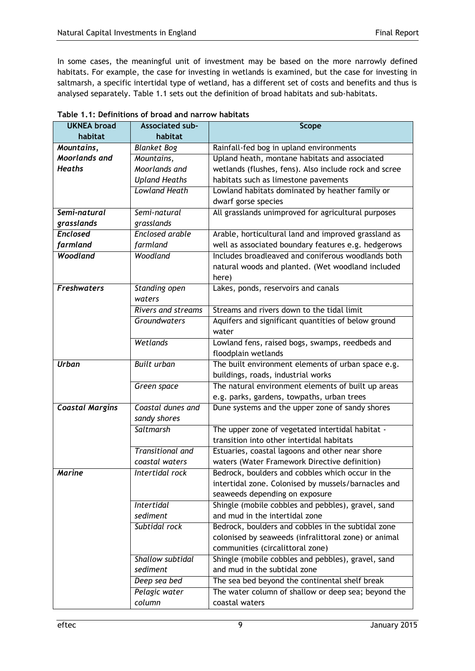In some cases, the meaningful unit of investment may be based on the more narrowly defined habitats. For example, the case for investing in wetlands is examined, but the case for investing in saltmarsh, a specific intertidal type of wetland, has a different set of costs and benefits and thus is analysed separately. Table 1.1 sets out the definition of broad habitats and sub-habitats.

| <b>UKNEA broad</b>     | <b>Associated sub-</b>  | Scope                                                 |
|------------------------|-------------------------|-------------------------------------------------------|
| habitat                | habitat                 |                                                       |
| Mountains,             | <b>Blanket Bog</b>      | Rainfall-fed bog in upland environments               |
| Moorlands and          | Mountains,              | Upland heath, montane habitats and associated         |
| <b>Heaths</b>          | Moorlands and           | wetlands (flushes, fens). Also include rock and scree |
|                        | <b>Upland Heaths</b>    | habitats such as limestone pavements                  |
|                        | <b>Lowland Heath</b>    | Lowland habitats dominated by heather family or       |
|                        |                         | dwarf gorse species                                   |
| Semi-natural           | Semi-natural            | All grasslands unimproved for agricultural purposes   |
| grasslands             | grasslands              |                                                       |
| <b>Enclosed</b>        | Enclosed arable         | Arable, horticultural land and improved grassland as  |
| farmland               | farmland                | well as associated boundary features e.g. hedgerows   |
| Woodland               | Woodland                | Includes broadleaved and coniferous woodlands both    |
|                        |                         | natural woods and planted. (Wet woodland included     |
|                        |                         | here)                                                 |
| <b>Freshwaters</b>     | Standing open           | Lakes, ponds, reservoirs and canals                   |
|                        | waters                  |                                                       |
|                        | Rivers and streams      | Streams and rivers down to the tidal limit            |
|                        | Groundwaters            | Aquifers and significant quantities of below ground   |
|                        |                         | water                                                 |
|                        | Wetlands                | Lowland fens, raised bogs, swamps, reedbeds and       |
|                        |                         | floodplain wetlands                                   |
| <b>Urban</b>           | <b>Built urban</b>      | The built environment elements of urban space e.g.    |
|                        |                         | buildings, roads, industrial works                    |
|                        | Green space             | The natural environment elements of built up areas    |
|                        |                         | e.g. parks, gardens, towpaths, urban trees            |
| <b>Coastal Margins</b> | Coastal dunes and       | Dune systems and the upper zone of sandy shores       |
|                        | sandy shores            |                                                       |
|                        | Saltmarsh               | The upper zone of vegetated intertidal habitat -      |
|                        |                         | transition into other intertidal habitats             |
|                        | <b>Transitional and</b> | Estuaries, coastal lagoons and other near shore       |
|                        | coastal waters          | waters (Water Framework Directive definition)         |
| <b>Marine</b>          | Intertidal rock         | Bedrock, boulders and cobbles which occur in the      |
|                        |                         | intertidal zone. Colonised by mussels/barnacles and   |
|                        |                         | seaweeds depending on exposure                        |
|                        | <b>Intertidal</b>       | Shingle (mobile cobbles and pebbles), gravel, sand    |
|                        | sediment                | and mud in the intertidal zone                        |
|                        | Subtidal rock           | Bedrock, boulders and cobbles in the subtidal zone    |
|                        |                         | colonised by seaweeds (infralittoral zone) or animal  |
|                        |                         | communities (circalittoral zone)                      |
|                        | Shallow subtidal        | Shingle (mobile cobbles and pebbles), gravel, sand    |
|                        | sediment                | and mud in the subtidal zone                          |
|                        | Deep sea bed            | The sea bed beyond the continental shelf break        |
|                        | Pelagic water           | The water column of shallow or deep sea; beyond the   |
|                        | column                  | coastal waters                                        |

|  | Table 1.1: Definitions of broad and narrow habitats |  |  |  |
|--|-----------------------------------------------------|--|--|--|
|--|-----------------------------------------------------|--|--|--|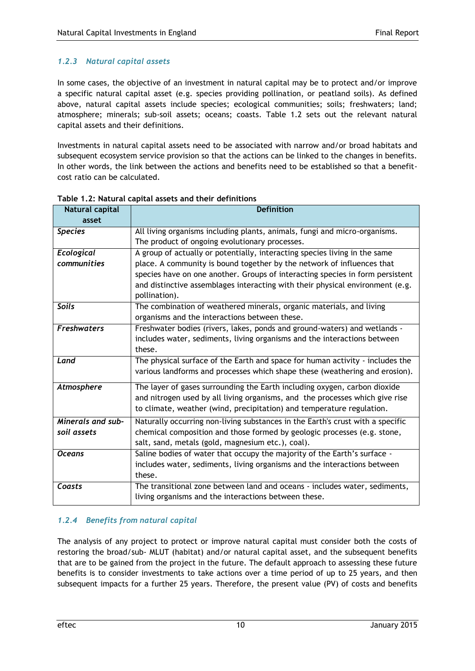### *1.2.3 Natural capital assets*

In some cases, the objective of an investment in natural capital may be to protect and/or improve a specific natural capital asset (e.g. species providing pollination, or peatland soils). As defined above, natural capital assets include species; ecological communities; soils; freshwaters; land; atmosphere; minerals; sub-soil assets; oceans; coasts. Table 1.2 sets out the relevant natural capital assets and their definitions.

Investments in natural capital assets need to be associated with narrow and/or broad habitats and subsequent ecosystem service provision so that the actions can be linked to the changes in benefits. In other words, the link between the actions and benefits need to be established so that a benefitcost ratio can be calculated.

| Natural capital    | <b>Definition</b>                                                              |
|--------------------|--------------------------------------------------------------------------------|
| asset              |                                                                                |
| <b>Species</b>     | All living organisms including plants, animals, fungi and micro-organisms.     |
|                    | The product of ongoing evolutionary processes.                                 |
| Ecological         | A group of actually or potentially, interacting species living in the same     |
| communities        | place. A community is bound together by the network of influences that         |
|                    | species have on one another. Groups of interacting species in form persistent  |
|                    | and distinctive assemblages interacting with their physical environment (e.g.  |
|                    | pollination).                                                                  |
| <b>Soils</b>       | The combination of weathered minerals, organic materials, and living           |
|                    | organisms and the interactions between these.                                  |
| <b>Freshwaters</b> | Freshwater bodies (rivers, lakes, ponds and ground-waters) and wetlands -      |
|                    | includes water, sediments, living organisms and the interactions between       |
|                    | these.                                                                         |
| Land               | The physical surface of the Earth and space for human activity - includes the  |
|                    | various landforms and processes which shape these (weathering and erosion).    |
| Atmosphere         | The layer of gases surrounding the Earth including oxygen, carbon dioxide      |
|                    | and nitrogen used by all living organisms, and the processes which give rise   |
|                    | to climate, weather (wind, precipitation) and temperature regulation.          |
| Minerals and sub-  | Naturally occurring non-living substances in the Earth's crust with a specific |
| soil assets        | chemical composition and those formed by geologic processes (e.g. stone,       |
|                    | salt, sand, metals (gold, magnesium etc.), coal).                              |
| <b>Oceans</b>      | Saline bodies of water that occupy the majority of the Earth's surface -       |
|                    | includes water, sediments, living organisms and the interactions between       |
|                    | these.                                                                         |
| Coasts             | The transitional zone between land and oceans - includes water, sediments,     |
|                    | living organisms and the interactions between these.                           |

**Table 1.2: Natural capital assets and their definitions**

## *1.2.4 Benefits from natural capital*

The analysis of any project to protect or improve natural capital must consider both the costs of restoring the broad/sub- MLUT (habitat) and/or natural capital asset, and the subsequent benefits that are to be gained from the project in the future. The default approach to assessing these future benefits is to consider investments to take actions over a time period of up to 25 years, and then subsequent impacts for a further 25 years. Therefore, the present value (PV) of costs and benefits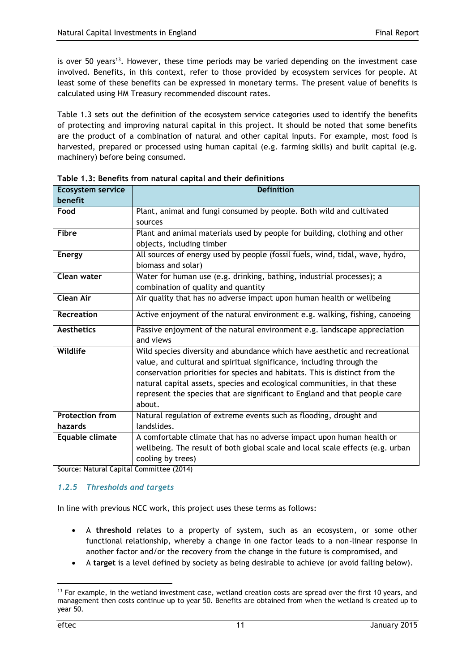is over 50 years<sup>13</sup>. However, these time periods may be varied depending on the investment case involved. Benefits, in this context, refer to those provided by ecosystem services for people. At least some of these benefits can be expressed in monetary terms. The present value of benefits is calculated using HM Treasury recommended discount rates.

Table 1.3 sets out the definition of the ecosystem service categories used to identify the benefits of protecting and improving natural capital in this project. It should be noted that some benefits are the product of a combination of natural and other capital inputs. For example, most food is harvested, prepared or processed using human capital (e.g. farming skills) and built capital (e.g. machinery) before being consumed.

| <b>Ecosystem service</b> | <b>Definition</b>                                                              |
|--------------------------|--------------------------------------------------------------------------------|
| benefit                  |                                                                                |
| Food                     | Plant, animal and fungi consumed by people. Both wild and cultivated           |
|                          | sources                                                                        |
| <b>Fibre</b>             | Plant and animal materials used by people for building, clothing and other     |
|                          | objects, including timber                                                      |
| <b>Energy</b>            | All sources of energy used by people (fossil fuels, wind, tidal, wave, hydro,  |
|                          | biomass and solar)                                                             |
| Clean water              | Water for human use (e.g. drinking, bathing, industrial processes); a          |
|                          | combination of quality and quantity                                            |
| <b>Clean Air</b>         | Air quality that has no adverse impact upon human health or wellbeing          |
| <b>Recreation</b>        | Active enjoyment of the natural environment e.g. walking, fishing, canoeing    |
| <b>Aesthetics</b>        | Passive enjoyment of the natural environment e.g. landscape appreciation       |
|                          | and views                                                                      |
| <b>Wildlife</b>          | Wild species diversity and abundance which have aesthetic and recreational     |
|                          | value, and cultural and spiritual significance, including through the          |
|                          | conservation priorities for species and habitats. This is distinct from the    |
|                          | natural capital assets, species and ecological communities, in that these      |
|                          | represent the species that are significant to England and that people care     |
|                          | about.                                                                         |
| <b>Protection from</b>   | Natural regulation of extreme events such as flooding, drought and             |
| hazards                  | landslides.                                                                    |
| Equable climate          | A comfortable climate that has no adverse impact upon human health or          |
|                          | wellbeing. The result of both global scale and local scale effects (e.g. urban |
|                          | cooling by trees)                                                              |

**Table 1.3: Benefits from natural capital and their definitions**

Source: Natural Capital Committee (2014)

#### *1.2.5 Thresholds and targets*

In line with previous NCC work, this project uses these terms as follows:

- A **threshold** relates to a property of system, such as an ecosystem, or some other functional relationship, whereby a change in one factor leads to a non-linear response in another factor and/or the recovery from the change in the future is compromised, and
- A **target** is a level defined by society as being desirable to achieve (or avoid falling below).

<sup>&</sup>lt;sup>13</sup> For example, in the wetland investment case, wetland creation costs are spread over the first 10 years, and management then costs continue up to year 50. Benefits are obtained from when the wetland is created up to year 50.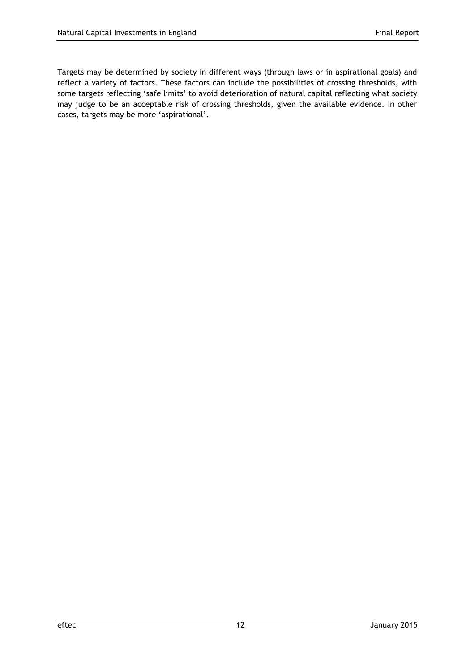Targets may be determined by society in different ways (through laws or in aspirational goals) and reflect a variety of factors. These factors can include the possibilities of crossing thresholds, with some targets reflecting 'safe limits' to avoid deterioration of natural capital reflecting what society may judge to be an acceptable risk of crossing thresholds, given the available evidence. In other cases, targets may be more 'aspirational'.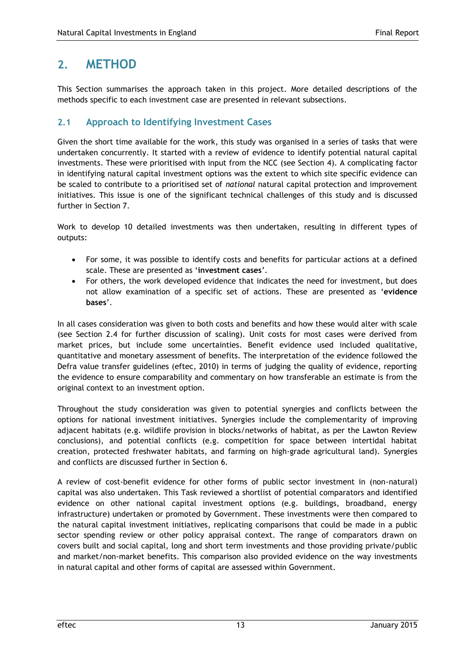## <span id="page-16-0"></span>**2. METHOD**

This Section summarises the approach taken in this project. More detailed descriptions of the methods specific to each investment case are presented in relevant subsections.

## <span id="page-16-1"></span>**2.1 Approach to Identifying Investment Cases**

Given the short time available for the work, this study was organised in a series of tasks that were undertaken concurrently. It started with a review of evidence to identify potential natural capital investments. These were prioritised with input from the NCC (see Section 4). A complicating factor in identifying natural capital investment options was the extent to which site specific evidence can be scaled to contribute to a prioritised set of *national* natural capital protection and improvement initiatives. This issue is one of the significant technical challenges of this study and is discussed further in Section 7.

Work to develop 10 detailed investments was then undertaken, resulting in different types of outputs:

- For some, it was possible to identify costs and benefits for particular actions at a defined scale. These are presented as '**investment cases**'.
- For others, the work developed evidence that indicates the need for investment, but does not allow examination of a specific set of actions. These are presented as '**evidence bases**'.

In all cases consideration was given to both costs and benefits and how these would alter with scale (see Section 2.4 for further discussion of scaling). Unit costs for most cases were derived from market prices, but include some uncertainties. Benefit evidence used included qualitative, quantitative and monetary assessment of benefits. The interpretation of the evidence followed the Defra value transfer guidelines (eftec, 2010) in terms of judging the quality of evidence, reporting the evidence to ensure comparability and commentary on how transferable an estimate is from the original context to an investment option.

Throughout the study consideration was given to potential synergies and conflicts between the options for national investment initiatives. Synergies include the complementarity of improving adjacent habitats (e.g. wildlife provision in blocks/networks of habitat, as per the Lawton Review conclusions), and potential conflicts (e.g. competition for space between intertidal habitat creation, protected freshwater habitats, and farming on high-grade agricultural land). Synergies and conflicts are discussed further in Section 6.

A review of cost-benefit evidence for other forms of public sector investment in (non-natural) capital was also undertaken. This Task reviewed a shortlist of potential comparators and identified evidence on other national capital investment options (e.g. buildings, broadband, energy infrastructure) undertaken or promoted by Government. These investments were then compared to the natural capital investment initiatives, replicating comparisons that could be made in a public sector spending review or other policy appraisal context. The range of comparators drawn on covers built and social capital, long and short term investments and those providing private/public and market/non-market benefits. This comparison also provided evidence on the way investments in natural capital and other forms of capital are assessed within Government.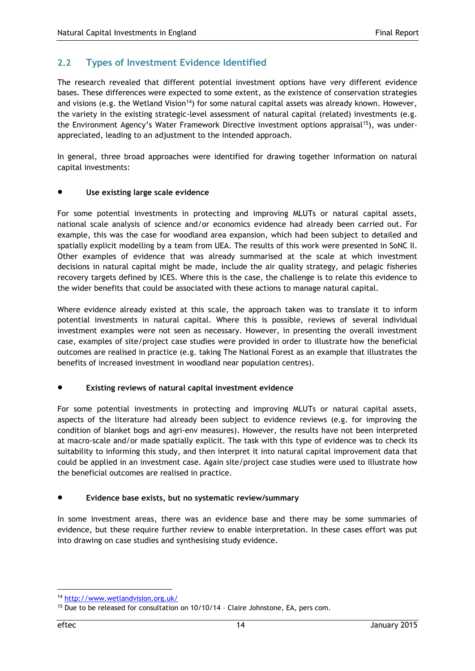## <span id="page-17-0"></span>**2.2 Types of Investment Evidence Identified**

The research revealed that different potential investment options have very different evidence bases. These differences were expected to some extent, as the existence of conservation strategies and visions (e.g. the Wetland Vision<sup>14</sup>) for some natural capital assets was already known. However, the variety in the existing strategic-level assessment of natural capital (related) investments (e.g. the Environment Agency's Water Framework Directive investment options appraisal<sup>15</sup>), was underappreciated, leading to an adjustment to the intended approach.

In general, three broad approaches were identified for drawing together information on natural capital investments:

#### **Use existing large scale evidence**

For some potential investments in protecting and improving MLUTs or natural capital assets, national scale analysis of science and/or economics evidence had already been carried out. For example, this was the case for woodland area expansion, which had been subject to detailed and spatially explicit modelling by a team from UEA. The results of this work were presented in SoNC II. Other examples of evidence that was already summarised at the scale at which investment decisions in natural capital might be made, include the air quality strategy, and pelagic fisheries recovery targets defined by ICES. Where this is the case, the challenge is to relate this evidence to the wider benefits that could be associated with these actions to manage natural capital.

Where evidence already existed at this scale, the approach taken was to translate it to inform potential investments in natural capital. Where this is possible, reviews of several individual investment examples were not seen as necessary. However, in presenting the overall investment case, examples of site/project case studies were provided in order to illustrate how the beneficial outcomes are realised in practice (e.g. taking The National Forest as an example that illustrates the benefits of increased investment in woodland near population centres).

#### **Existing reviews of natural capital investment evidence**

For some potential investments in protecting and improving MLUTs or natural capital assets, aspects of the literature had already been subject to evidence reviews (e.g. for improving the condition of blanket bogs and agri-env measures). However, the results have not been interpreted at macro-scale and/or made spatially explicit. The task with this type of evidence was to check its suitability to informing this study, and then interpret it into natural capital improvement data that could be applied in an investment case. Again site/project case studies were used to illustrate how the beneficial outcomes are realised in practice.

#### **Evidence base exists, but no systematic review/summary**

In some investment areas, there was an evidence base and there may be some summaries of evidence, but these require further review to enable interpretation. In these cases effort was put into drawing on case studies and synthesising study evidence.

-

<sup>14</sup> <http://www.wetlandvision.org.uk/>

<sup>15</sup> Due to be released for consultation on 10/10/14 – Claire Johnstone, EA, pers com.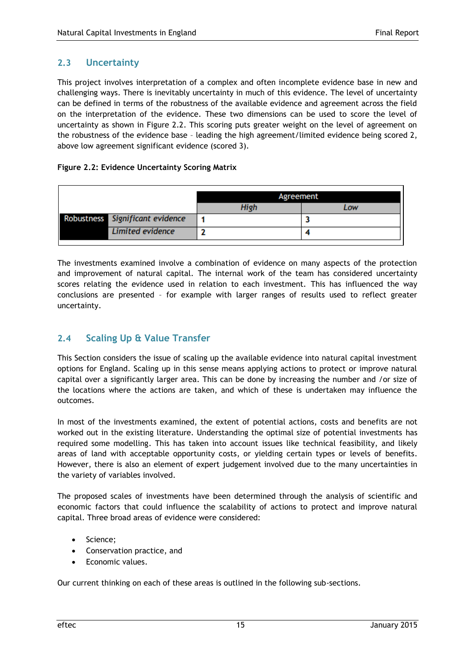## <span id="page-18-0"></span>**2.3 Uncertainty**

This project involves interpretation of a complex and often incomplete evidence base in new and challenging ways. There is inevitably uncertainty in much of this evidence. The level of uncertainty can be defined in terms of the robustness of the available evidence and agreement across the field on the interpretation of the evidence. These two dimensions can be used to score the level of uncertainty as shown in Figure 2.2. This scoring puts greater weight on the level of agreement on the robustness of the evidence base – leading the high agreement/limited evidence being scored 2, above low agreement significant evidence (scored 3).

#### **Figure 2.2: Evidence Uncertainty Scoring Matrix**

|                                 | Agreement |     |
|---------------------------------|-----------|-----|
|                                 | High      | Low |
| Robustness Significant evidence |           |     |
| <b>Limited evidence</b>         |           |     |

The investments examined involve a combination of evidence on many aspects of the protection and improvement of natural capital. The internal work of the team has considered uncertainty scores relating the evidence used in relation to each investment. This has influenced the way conclusions are presented – for example with larger ranges of results used to reflect greater uncertainty.

## <span id="page-18-1"></span>**2.4 Scaling Up & Value Transfer**

This Section considers the issue of scaling up the available evidence into natural capital investment options for England. Scaling up in this sense means applying actions to protect or improve natural capital over a significantly larger area. This can be done by increasing the number and /or size of the locations where the actions are taken, and which of these is undertaken may influence the outcomes.

In most of the investments examined, the extent of potential actions, costs and benefits are not worked out in the existing literature. Understanding the optimal size of potential investments has required some modelling. This has taken into account issues like technical feasibility, and likely areas of land with acceptable opportunity costs, or yielding certain types or levels of benefits. However, there is also an element of expert judgement involved due to the many uncertainties in the variety of variables involved.

The proposed scales of investments have been determined through the analysis of scientific and economic factors that could influence the scalability of actions to protect and improve natural capital. Three broad areas of evidence were considered:

- Science;
- Conservation practice, and
- Economic values.

Our current thinking on each of these areas is outlined in the following sub-sections.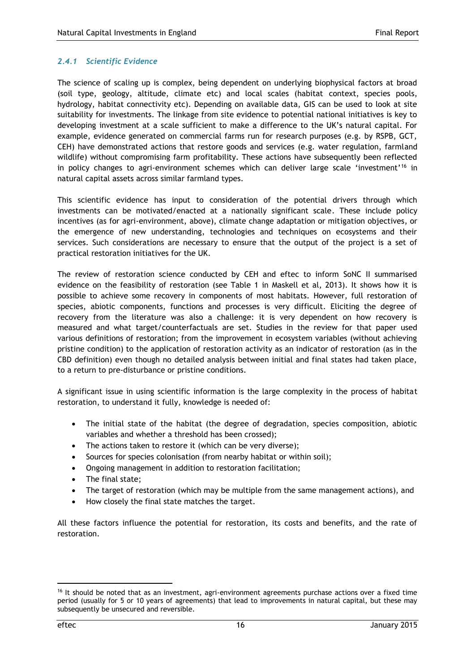#### *2.4.1 Scientific Evidence*

The science of scaling up is complex, being dependent on underlying biophysical factors at broad (soil type, geology, altitude, climate etc) and local scales (habitat context, species pools, hydrology, habitat connectivity etc). Depending on available data, GIS can be used to look at site suitability for investments. The linkage from site evidence to potential national initiatives is key to developing investment at a scale sufficient to make a difference to the UK's natural capital. For example, evidence generated on commercial farms run for research purposes (e.g. by RSPB, GCT, CEH) have demonstrated actions that restore goods and services (e.g. water regulation, farmland wildlife) without compromising farm profitability. These actions have subsequently been reflected in policy changes to agri-environment schemes which can deliver large scale 'investment'<sup>16</sup> in natural capital assets across similar farmland types.

This scientific evidence has input to consideration of the potential drivers through which investments can be motivated/enacted at a nationally significant scale. These include policy incentives (as for agri-environment, above), climate change adaptation or mitigation objectives, or the emergence of new understanding, technologies and techniques on ecosystems and their services. Such considerations are necessary to ensure that the output of the project is a set of practical restoration initiatives for the UK.

The review of restoration science conducted by CEH and eftec to inform SoNC II summarised evidence on the feasibility of restoration (see Table 1 in Maskell et al, 2013). It shows how it is possible to achieve some recovery in components of most habitats. However, full restoration of species, abiotic components, functions and processes is very difficult. Eliciting the degree of recovery from the literature was also a challenge: it is very dependent on how recovery is measured and what target/counterfactuals are set. Studies in the review for that paper used various definitions of restoration; from the improvement in ecosystem variables (without achieving pristine condition) to the application of restoration activity as an indicator of restoration (as in the CBD definition) even though no detailed analysis between initial and final states had taken place, to a return to pre-disturbance or pristine conditions.

A significant issue in using scientific information is the large complexity in the process of habitat restoration, to understand it fully, knowledge is needed of:

- The initial state of the habitat (the degree of degradation, species composition, abiotic variables and whether a threshold has been crossed);
- The actions taken to restore it (which can be very diverse);
- Sources for species colonisation (from nearby habitat or within soil);
- Ongoing management in addition to restoration facilitation;
- The final state;
- The target of restoration (which may be multiple from the same management actions), and
- How closely the final state matches the target.

All these factors influence the potential for restoration, its costs and benefits, and the rate of restoration.

<sup>&</sup>lt;sup>16</sup> It should be noted that as an investment, agri-environment agreements purchase actions over a fixed time period (usually for 5 or 10 years of agreements) that lead to improvements in natural capital, but these may subsequently be unsecured and reversible.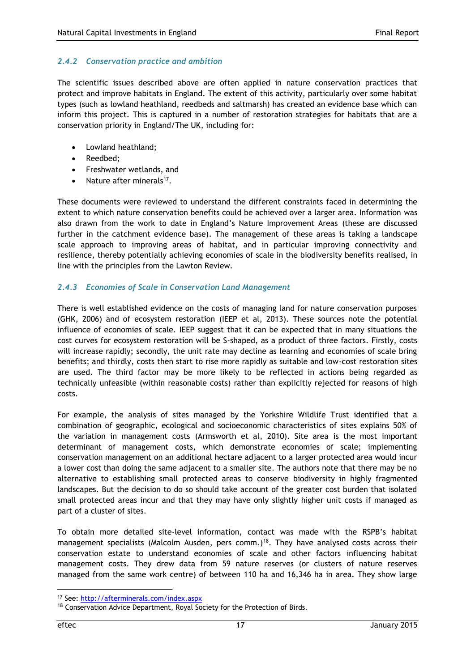#### *2.4.2 Conservation practice and ambition*

The scientific issues described above are often applied in nature conservation practices that protect and improve habitats in England. The extent of this activity, particularly over some habitat types (such as lowland heathland, reedbeds and saltmarsh) has created an evidence base which can inform this project. This is captured in a number of restoration strategies for habitats that are a conservation priority in England/The UK, including for:

- Lowland heathland;
- Reedbed;
- Freshwater wetlands, and
- Nature after minerals<sup>17</sup>.

These documents were reviewed to understand the different constraints faced in determining the extent to which nature conservation benefits could be achieved over a larger area. Information was also drawn from the work to date in England's Nature Improvement Areas (these are discussed further in the catchment evidence base). The management of these areas is taking a landscape scale approach to improving areas of habitat, and in particular improving connectivity and resilience, thereby potentially achieving economies of scale in the biodiversity benefits realised, in line with the principles from the Lawton Review.

#### *2.4.3 Economies of Scale in Conservation Land Management*

There is well established evidence on the costs of managing land for nature conservation purposes (GHK, 2006) and of ecosystem restoration (IEEP et al, 2013). These sources note the potential influence of economies of scale. IEEP suggest that it can be expected that in many situations the cost curves for ecosystem restoration will be S-shaped, as a product of three factors. Firstly, costs will increase rapidly; secondly, the unit rate may decline as learning and economies of scale bring benefits; and thirdly, costs then start to rise more rapidly as suitable and low-cost restoration sites are used. The third factor may be more likely to be reflected in actions being regarded as technically unfeasible (within reasonable costs) rather than explicitly rejected for reasons of high costs.

For example, the analysis of sites managed by the Yorkshire Wildlife Trust identified that a combination of geographic, ecological and socioeconomic characteristics of sites explains 50% of the variation in management costs (Armsworth et al, 2010). Site area is the most important determinant of management costs, which demonstrate economies of scale; implementing conservation management on an additional hectare adjacent to a larger protected area would incur a lower cost than doing the same adjacent to a smaller site. The authors note that there may be no alternative to establishing small protected areas to conserve biodiversity in highly fragmented landscapes. But the decision to do so should take account of the greater cost burden that isolated small protected areas incur and that they may have only slightly higher unit costs if managed as part of a cluster of sites.

To obtain more detailed site-level information, contact was made with the RSPB's habitat management specialists (Malcolm Ausden, pers comm.)<sup>18</sup>. They have analysed costs across their conservation estate to understand economies of scale and other factors influencing habitat management costs. They drew data from 59 nature reserves (or clusters of nature reserves managed from the same work centre) of between 110 ha and 16,346 ha in area. They show large

-

<sup>17</sup> See:<http://afterminerals.com/index.aspx>

<sup>&</sup>lt;sup>18</sup> Conservation Advice Department, Royal Society for the Protection of Birds.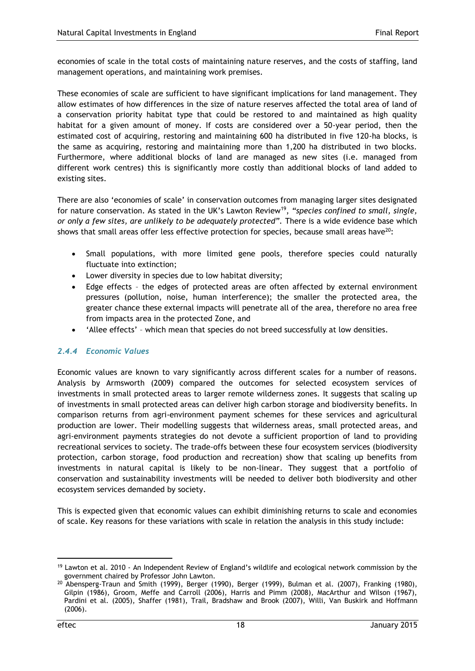economies of scale in the total costs of maintaining nature reserves, and the costs of staffing, land management operations, and maintaining work premises.

These economies of scale are sufficient to have significant implications for land management. They allow estimates of how differences in the size of nature reserves affected the total area of land of a conservation priority habitat type that could be restored to and maintained as high quality habitat for a given amount of money. If costs are considered over a 50-year period, then the estimated cost of acquiring, restoring and maintaining 600 ha distributed in five 120-ha blocks, is the same as acquiring, restoring and maintaining more than 1,200 ha distributed in two blocks. Furthermore, where additional blocks of land are managed as new sites (i.e. managed from different work centres) this is significantly more costly than additional blocks of land added to existing sites.

There are also 'economies of scale' in conservation outcomes from managing larger sites designated for nature conservation. As stated in the UK's Lawton Review<sup>19</sup>, "species confined to small, single, *or only a few sites, are unlikely to be adequately protected".* There is a wide evidence base which shows that small areas offer less effective protection for species, because small areas have<sup>20</sup>:

- Small populations, with more limited gene pools, therefore species could naturally fluctuate into extinction;
- Lower diversity in species due to low habitat diversity;
- Edge effects the edges of protected areas are often affected by external environment pressures (pollution, noise, human interference); the smaller the protected area, the greater chance these external impacts will penetrate all of the area, therefore no area free from impacts area in the protected Zone, and
- 'Allee effects' which mean that species do not breed successfully at low densities.

#### *2.4.4 Economic Values*

Economic values are known to vary significantly across different scales for a number of reasons. Analysis by Armsworth (2009) compared the outcomes for selected ecosystem services of investments in small protected areas to larger remote wilderness zones. It suggests that scaling up of investments in small protected areas can deliver high carbon storage and biodiversity benefits. In comparison returns from agri-environment payment schemes for these services and agricultural production are lower. Their modelling suggests that wilderness areas, small protected areas, and agri-environment payments strategies do not devote a sufficient proportion of land to providing recreational services to society. The trade-offs between these four ecosystem services (biodiversity protection, carbon storage, food production and recreation) show that scaling up benefits from investments in natural capital is likely to be non-linear. They suggest that a portfolio of conservation and sustainability investments will be needed to deliver both biodiversity and other ecosystem services demanded by society.

This is expected given that economic values can exhibit diminishing returns to scale and economies of scale. Key reasons for these variations with scale in relation the analysis in this study include:

<sup>&</sup>lt;sup>19</sup> Lawton et al. 2010 - An Independent Review of England's wildlife and ecological network commission by the government chaired by Professor John Lawton.

<sup>20</sup> Abensperg-Traun and Smith (1999), Berger (1990), Berger (1999), Bulman et al. (2007), Franking (1980), Gilpin (1986), Groom, Meffe and Carroll (2006), Harris and Pimm (2008), MacArthur and Wilson (1967), Pardini et al. (2005), Shaffer (1981), Trail, Bradshaw and Brook (2007), Willi, Van Buskirk and Hoffmann (2006).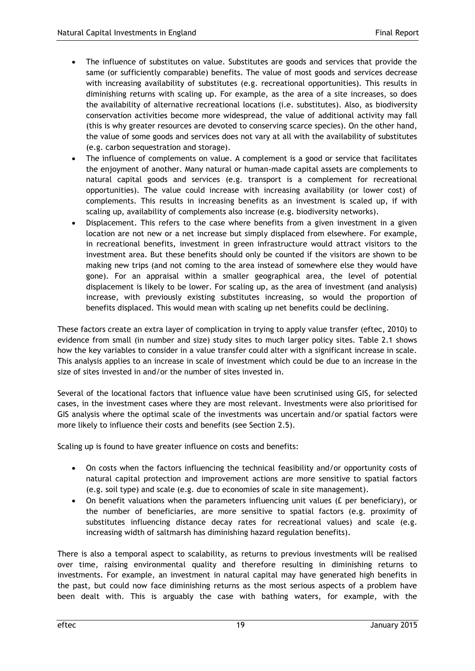- The influence of substitutes on value. Substitutes are goods and services that provide the same (or sufficiently comparable) benefits. The value of most goods and services decrease with increasing availability of substitutes (e.g. recreational opportunities). This results in diminishing returns with scaling up. For example, as the area of a site increases, so does the availability of alternative recreational locations (i.e. substitutes). Also, as biodiversity conservation activities become more widespread, the value of additional activity may fall (this is why greater resources are devoted to conserving scarce species). On the other hand, the value of some goods and services does not vary at all with the availability of substitutes (e.g. carbon sequestration and storage).
- The influence of complements on value. A complement is a good or service that facilitates the enjoyment of another. Many natural or human-made capital assets are complements to natural capital goods and services (e.g. transport is a complement for recreational opportunities). The value could increase with increasing availability (or lower cost) of complements. This results in increasing benefits as an investment is scaled up, if with scaling up, availability of complements also increase (e.g. biodiversity networks).
- Displacement. This refers to the case where benefits from a given investment in a given location are not new or a net increase but simply displaced from elsewhere. For example, in recreational benefits, investment in green infrastructure would attract visitors to the investment area. But these benefits should only be counted if the visitors are shown to be making new trips (and not coming to the area instead of somewhere else they would have gone). For an appraisal within a smaller geographical area, the level of potential displacement is likely to be lower. For scaling up, as the area of investment (and analysis) increase, with previously existing substitutes increasing, so would the proportion of benefits displaced. This would mean with scaling up net benefits could be declining.

These factors create an extra layer of complication in trying to apply value transfer (eftec, 2010) to evidence from small (in number and size) study sites to much larger policy sites. Table 2.1 shows how the key variables to consider in a value transfer could alter with a significant increase in scale. This analysis applies to an increase in scale of investment which could be due to an increase in the size of sites invested in and/or the number of sites invested in.

Several of the locational factors that influence value have been scrutinised using GIS, for selected cases, in the investment cases where they are most relevant. Investments were also prioritised for GIS analysis where the optimal scale of the investments was uncertain and/or spatial factors were more likely to influence their costs and benefits (see Section 2.5).

Scaling up is found to have greater influence on costs and benefits:

- On costs when the factors influencing the technical feasibility and/or opportunity costs of natural capital protection and improvement actions are more sensitive to spatial factors (e.g. soil type) and scale (e.g. due to economies of scale in site management).
- On benefit valuations when the parameters influencing unit values (£ per beneficiary), or the number of beneficiaries, are more sensitive to spatial factors (e.g. proximity of substitutes influencing distance decay rates for recreational values) and scale (e.g. increasing width of saltmarsh has diminishing hazard regulation benefits).

There is also a temporal aspect to scalability, as returns to previous investments will be realised over time, raising environmental quality and therefore resulting in diminishing returns to investments. For example, an investment in natural capital may have generated high benefits in the past, but could now face diminishing returns as the most serious aspects of a problem have been dealt with. This is arguably the case with bathing waters, for example, with the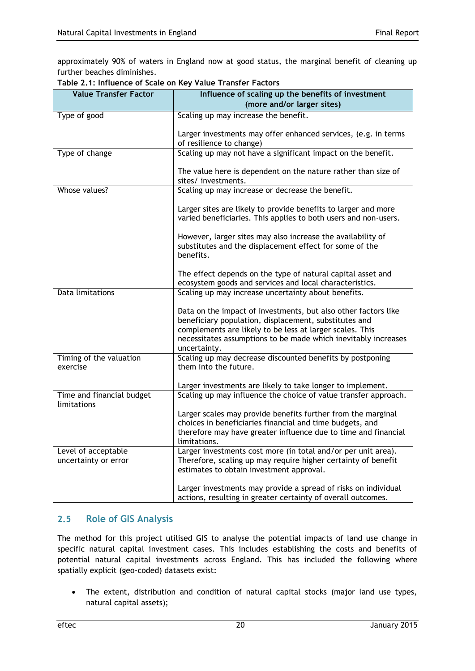approximately 90% of waters in England now at good status, the marginal benefit of cleaning up further beaches diminishes.

| <b>Value Transfer Factor</b>                | Influence of scaling up the benefits of investment                                                                                                                                  |
|---------------------------------------------|-------------------------------------------------------------------------------------------------------------------------------------------------------------------------------------|
|                                             | (more and/or larger sites)                                                                                                                                                          |
| Type of good                                | Scaling up may increase the benefit.                                                                                                                                                |
|                                             | Larger investments may offer enhanced services, (e.g. in terms<br>of resilience to change)                                                                                          |
| Type of change                              | Scaling up may not have a significant impact on the benefit.                                                                                                                        |
|                                             | The value here is dependent on the nature rather than size of<br>sites/investments.                                                                                                 |
| Whose values?                               | Scaling up may increase or decrease the benefit.                                                                                                                                    |
|                                             | Larger sites are likely to provide benefits to larger and more<br>varied beneficiaries. This applies to both users and non-users.                                                   |
|                                             | However, larger sites may also increase the availability of<br>substitutes and the displacement effect for some of the<br>benefits.                                                 |
|                                             | The effect depends on the type of natural capital asset and<br>ecosystem goods and services and local characteristics.                                                              |
| Data limitations                            | Scaling up may increase uncertainty about benefits.                                                                                                                                 |
|                                             | Data on the impact of investments, but also other factors like<br>beneficiary population, displacement, substitutes and<br>complements are likely to be less at larger scales. This |
|                                             | necessitates assumptions to be made which inevitably increases<br>uncertainty.                                                                                                      |
| Timing of the valuation<br>exercise         | Scaling up may decrease discounted benefits by postponing<br>them into the future.                                                                                                  |
|                                             | Larger investments are likely to take longer to implement.                                                                                                                          |
| Time and financial budget<br>limitations    | Scaling up may influence the choice of value transfer approach.                                                                                                                     |
|                                             | Larger scales may provide benefits further from the marginal                                                                                                                        |
|                                             | choices in beneficiaries financial and time budgets, and<br>therefore may have greater influence due to time and financial<br>limitations.                                          |
| Level of acceptable<br>uncertainty or error | Larger investments cost more (in total and/or per unit area).<br>Therefore, scaling up may require higher certainty of benefit<br>estimates to obtain investment approval.          |
|                                             | Larger investments may provide a spread of risks on individual<br>actions, resulting in greater certainty of overall outcomes.                                                      |

#### **Table 2.1: Influence of Scale on Key Value Transfer Factors**

## <span id="page-23-0"></span>**2.5 Role of GIS Analysis**

The method for this project utilised GIS to analyse the potential impacts of land use change in specific natural capital investment cases. This includes establishing the costs and benefits of potential natural capital investments across England. This has included the following where spatially explicit (geo-coded) datasets exist:

 The extent, distribution and condition of natural capital stocks (major land use types, natural capital assets);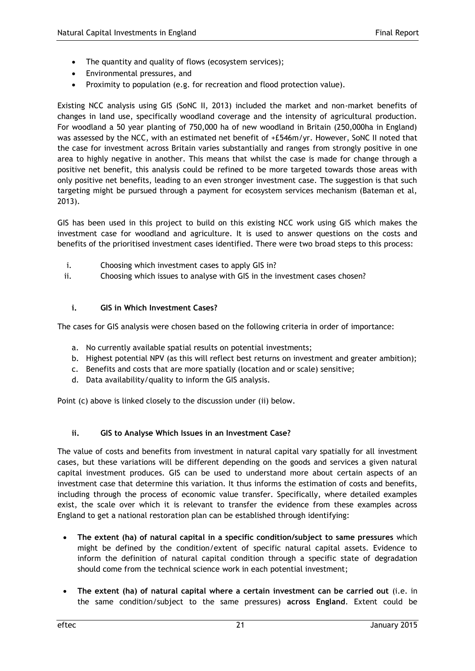- The quantity and quality of flows (ecosystem services);
- Environmental pressures, and
- Proximity to population (e.g. for recreation and flood protection value).

Existing NCC analysis using GIS (SoNC II, 2013) included the market and non-market benefits of changes in land use, specifically woodland coverage and the intensity of agricultural production. For woodland a 50 year planting of 750,000 ha of new woodland in Britain (250,000ha in England) was assessed by the NCC, with an estimated net benefit of +£546m/yr. However, SoNC II noted that the case for investment across Britain varies substantially and ranges from strongly positive in one area to highly negative in another. This means that whilst the case is made for change through a positive net benefit, this analysis could be refined to be more targeted towards those areas with only positive net benefits, leading to an even stronger investment case. The suggestion is that such targeting might be pursued through a payment for ecosystem services mechanism (Bateman et al, 2013).

GIS has been used in this project to build on this existing NCC work using GIS which makes the investment case for woodland and agriculture. It is used to answer questions on the costs and benefits of the prioritised investment cases identified. There were two broad steps to this process:

- i. Choosing which investment cases to apply GIS in?
- ii. Choosing which issues to analyse with GIS in the investment cases chosen?

#### **i. GIS in Which Investment Cases?**

The cases for GIS analysis were chosen based on the following criteria in order of importance:

- a. No currently available spatial results on potential investments;
- b. Highest potential NPV (as this will reflect best returns on investment and greater ambition);
- c. Benefits and costs that are more spatially (location and or scale) sensitive;
- d. Data availability/quality to inform the GIS analysis.

Point (c) above is linked closely to the discussion under (ii) below.

#### **ii. GIS to Analyse Which Issues in an Investment Case?**

The value of costs and benefits from investment in natural capital vary spatially for all investment cases, but these variations will be different depending on the goods and services a given natural capital investment produces. GIS can be used to understand more about certain aspects of an investment case that determine this variation. It thus informs the estimation of costs and benefits, including through the process of economic value transfer. Specifically, where detailed examples exist, the scale over which it is relevant to transfer the evidence from these examples across England to get a national restoration plan can be established through identifying:

- **The extent (ha) of natural capital in a specific condition/subject to same pressures** which might be defined by the condition/extent of specific natural capital assets. Evidence to inform the definition of natural capital condition through a specific state of degradation should come from the technical science work in each potential investment;
- **The extent (ha) of natural capital where a certain investment can be carried out** (i.e. in the same condition/subject to the same pressures) **across England**. Extent could be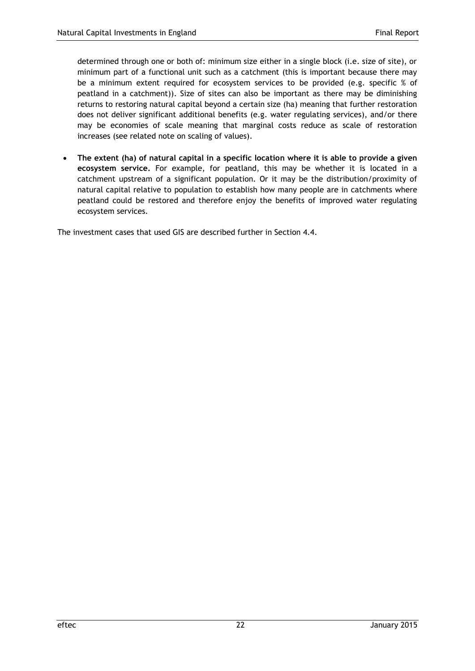determined through one or both of: minimum size either in a single block (i.e. size of site), or minimum part of a functional unit such as a catchment (this is important because there may be a minimum extent required for ecosystem services to be provided (e.g. specific % of peatland in a catchment)). Size of sites can also be important as there may be diminishing returns to restoring natural capital beyond a certain size (ha) meaning that further restoration does not deliver significant additional benefits (e.g. water regulating services), and/or there may be economies of scale meaning that marginal costs reduce as scale of restoration increases (see related note on scaling of values).

 **The extent (ha) of natural capital in a specific location where it is able to provide a given ecosystem service.** For example, for peatland, this may be whether it is located in a catchment upstream of a significant population. Or it may be the distribution/proximity of natural capital relative to population to establish how many people are in catchments where peatland could be restored and therefore enjoy the benefits of improved water regulating ecosystem services.

The investment cases that used GIS are described further in Section 4.4.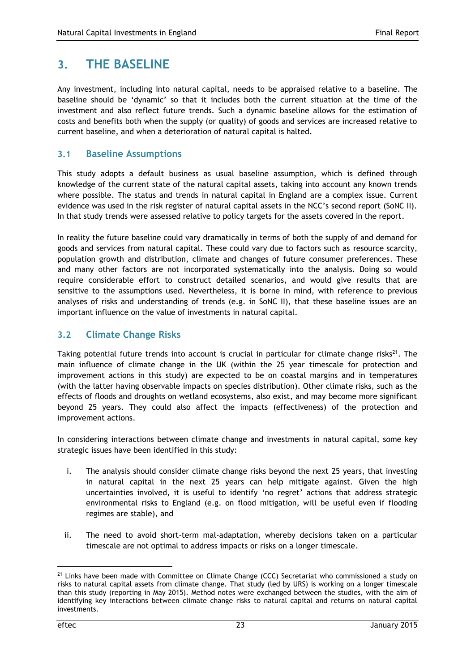# <span id="page-26-0"></span>**3. THE BASELINE**

Any investment, including into natural capital, needs to be appraised relative to a baseline. The baseline should be 'dynamic' so that it includes both the current situation at the time of the investment and also reflect future trends. Such a dynamic baseline allows for the estimation of costs and benefits both when the supply (or quality) of goods and services are increased relative to current baseline, and when a deterioration of natural capital is halted.

## <span id="page-26-1"></span>**3.1 Baseline Assumptions**

This study adopts a default business as usual baseline assumption, which is defined through knowledge of the current state of the natural capital assets, taking into account any known trends where possible. The status and trends in natural capital in England are a complex issue. Current evidence was used in the risk register of natural capital assets in the NCC's second report (SoNC II). In that study trends were assessed relative to policy targets for the assets covered in the report.

In reality the future baseline could vary dramatically in terms of both the supply of and demand for goods and services from natural capital. These could vary due to factors such as resource scarcity, population growth and distribution, climate and changes of future consumer preferences. These and many other factors are not incorporated systematically into the analysis. Doing so would require considerable effort to construct detailed scenarios, and would give results that are sensitive to the assumptions used. Nevertheless, it is borne in mind, with reference to previous analyses of risks and understanding of trends (e.g. in SoNC II), that these baseline issues are an important influence on the value of investments in natural capital.

## <span id="page-26-2"></span>**3.2 Climate Change Risks**

Taking potential future trends into account is crucial in particular for climate change risks<sup>21</sup>. The main influence of climate change in the UK (within the 25 year timescale for protection and improvement actions in this study) are expected to be on coastal margins and in temperatures (with the latter having observable impacts on species distribution). Other climate risks, such as the effects of floods and droughts on wetland ecosystems, also exist, and may become more significant beyond 25 years. They could also affect the impacts (effectiveness) of the protection and improvement actions.

In considering interactions between climate change and investments in natural capital, some key strategic issues have been identified in this study:

- i. The analysis should consider climate change risks beyond the next 25 years, that investing in natural capital in the next 25 years can help mitigate against. Given the high uncertainties involved, it is useful to identify 'no regret' actions that address strategic environmental risks to England (e.g. on flood mitigation, will be useful even if flooding regimes are stable), and
- ii. The need to avoid short-term mal-adaptation, whereby decisions taken on a particular timescale are not optimal to address impacts or risks on a longer timescale.

<sup>&</sup>lt;sup>21</sup> Links have been made with Committee on Climate Change (CCC) Secretariat who commissioned a study on risks to natural capital assets from climate change. That study (led by URS) is working on a longer timescale than this study (reporting in May 2015). Method notes were exchanged between the studies, with the aim of identifying key interactions between climate change risks to natural capital and returns on natural capital investments.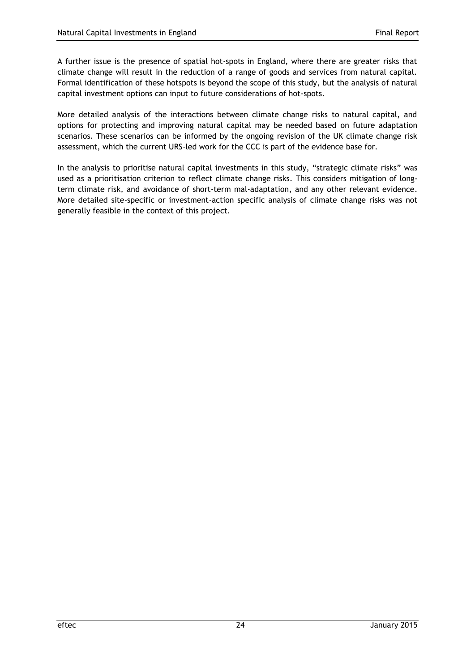A further issue is the presence of spatial hot-spots in England, where there are greater risks that climate change will result in the reduction of a range of goods and services from natural capital. Formal identification of these hotspots is beyond the scope of this study, but the analysis of natural capital investment options can input to future considerations of hot-spots.

More detailed analysis of the interactions between climate change risks to natural capital, and options for protecting and improving natural capital may be needed based on future adaptation scenarios. These scenarios can be informed by the ongoing revision of the UK climate change risk assessment, which the current URS-led work for the CCC is part of the evidence base for.

In the analysis to prioritise natural capital investments in this study, "strategic climate risks" was used as a prioritisation criterion to reflect climate change risks. This considers mitigation of longterm climate risk, and avoidance of short-term mal-adaptation, and any other relevant evidence. More detailed site-specific or investment-action specific analysis of climate change risks was not generally feasible in the context of this project.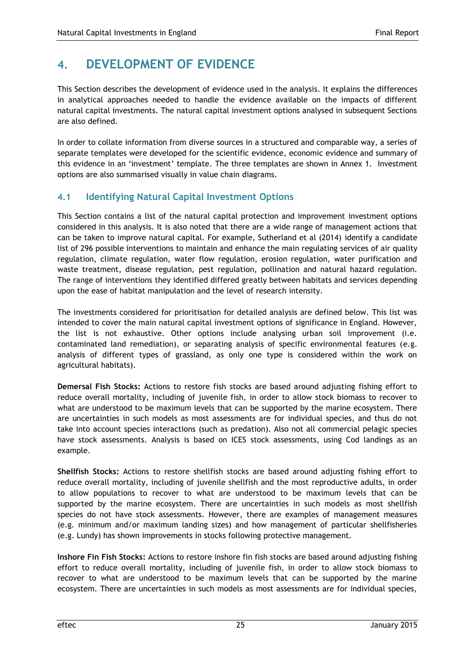# <span id="page-28-0"></span>**4. DEVELOPMENT OF EVIDENCE**

This Section describes the development of evidence used in the analysis. It explains the differences in analytical approaches needed to handle the evidence available on the impacts of different natural capital investments. The natural capital investment options analysed in subsequent Sections are also defined.

In order to collate information from diverse sources in a structured and comparable way, a series of separate templates were developed for the scientific evidence, economic evidence and summary of this evidence in an 'investment' template. The three templates are shown in Annex 1. Investment options are also summarised visually in value chain diagrams.

## <span id="page-28-1"></span>**4.1 Identifying Natural Capital Investment Options**

This Section contains a list of the natural capital protection and improvement investment options considered in this analysis. It is also noted that there are a wide range of management actions that can be taken to improve natural capital. For example, Sutherland et al (2014) identify a candidate list of 296 possible interventions to maintain and enhance the main regulating services of air quality regulation, climate regulation, water flow regulation, erosion regulation, water purification and waste treatment, disease regulation, pest regulation, pollination and natural hazard regulation. The range of interventions they identified differed greatly between habitats and services depending upon the ease of habitat manipulation and the level of research intensity.

The investments considered for prioritisation for detailed analysis are defined below. This list was intended to cover the main natural capital investment options of significance in England. However, the list is not exhaustive. Other options include analysing urban soil improvement (i.e. contaminated land remediation), or separating analysis of specific environmental features (e.g. analysis of different types of grassland, as only one type is considered within the work on agricultural habitats).

**Demersal Fish Stocks:** Actions to restore fish stocks are based around adjusting fishing effort to reduce overall mortality, including of juvenile fish, in order to allow stock biomass to recover to what are understood to be maximum levels that can be supported by the marine ecosystem. There are uncertainties in such models as most assessments are for individual species, and thus do not take into account species interactions (such as predation). Also not all commercial pelagic species have stock assessments. Analysis is based on ICES stock assessments, using Cod landings as an example.

**Shellfish Stocks:** Actions to restore shellfish stocks are based around adjusting fishing effort to reduce overall mortality, including of juvenile shellfish and the most reproductive adults, in order to allow populations to recover to what are understood to be maximum levels that can be supported by the marine ecosystem. There are uncertainties in such models as most shellfish species do not have stock assessments. However, there are examples of management measures (e.g. minimum and/or maximum landing sizes) and how management of particular shellfisheries (e.g. Lundy) has shown improvements in stocks following protective management.

**Inshore Fin Fish Stocks:** Actions to restore inshore fin fish stocks are based around adjusting fishing effort to reduce overall mortality, including of juvenile fish, in order to allow stock biomass to recover to what are understood to be maximum levels that can be supported by the marine ecosystem. There are uncertainties in such models as most assessments are for individual species,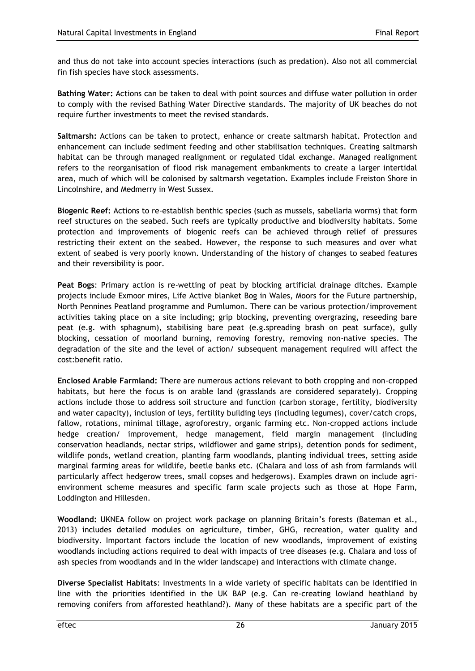and thus do not take into account species interactions (such as predation). Also not all commercial fin fish species have stock assessments.

**Bathing Water:** Actions can be taken to deal with point sources and diffuse water pollution in order to comply with the revised Bathing Water Directive standards. The majority of UK beaches do not require further investments to meet the revised standards.

**Saltmarsh:** Actions can be taken to protect, enhance or create saltmarsh habitat. Protection and enhancement can include sediment feeding and other stabilisation techniques. Creating saltmarsh habitat can be through managed realignment or regulated tidal exchange. Managed realignment refers to the reorganisation of flood risk management embankments to create a larger intertidal area, much of which will be colonised by saltmarsh vegetation. Examples include Freiston Shore in Lincolnshire, and Medmerry in West Sussex.

**Biogenic Reef:** Actions to re-establish benthic species (such as mussels, sabellaria worms) that form reef structures on the seabed. Such reefs are typically productive and biodiversity habitats. Some protection and improvements of biogenic reefs can be achieved through relief of pressures restricting their extent on the seabed. However, the response to such measures and over what extent of seabed is very poorly known. Understanding of the history of changes to seabed features and their reversibility is poor.

**Peat Bogs**: Primary action is re-wetting of peat by blocking artificial drainage ditches. Example projects include Exmoor mires, Life Active blanket Bog in Wales, Moors for the Future partnership, North Pennines Peatland programme and Pumlumon. There can be various protection/improvement activities taking place on a site including; grip blocking, preventing overgrazing, reseeding bare peat (e.g. with sphagnum), stabilising bare peat (e.g.spreading brash on peat surface), gully blocking, cessation of moorland burning, removing forestry, removing non-native species. The degradation of the site and the level of action/ subsequent management required will affect the cost:benefit ratio.

**Enclosed Arable Farmland:** There are numerous actions relevant to both cropping and non-cropped habitats, but here the focus is on arable land (grasslands are considered separately). Cropping actions include those to address soil structure and function (carbon storage, fertility, biodiversity and water capacity), inclusion of leys, fertility building leys (including legumes), cover/catch crops, fallow, rotations, minimal tillage, agroforestry, organic farming etc. Non-cropped actions include hedge creation/ improvement, hedge management, field margin management (including conservation headlands, nectar strips, wildflower and game strips), detention ponds for sediment, wildlife ponds, wetland creation, planting farm woodlands, planting individual trees, setting aside marginal farming areas for wildlife, beetle banks etc. (Chalara and loss of ash from farmlands will particularly affect hedgerow trees, small copses and hedgerows). Examples drawn on include agrienvironment scheme measures and specific farm scale projects such as those at Hope Farm, Loddington and Hillesden.

**Woodland:** UKNEA follow on project work package on planning Britain's forests (Bateman et al., 2013) includes detailed modules on agriculture, timber, GHG, recreation, water quality and biodiversity. Important factors include the location of new woodlands, improvement of existing woodlands including actions required to deal with impacts of tree diseases (e.g. Chalara and loss of ash species from woodlands and in the wider landscape) and interactions with climate change.

**Diverse Specialist Habitats**: Investments in a wide variety of specific habitats can be identified in line with the priorities identified in the UK BAP (e.g. Can re-creating lowland heathland by removing conifers from afforested heathland?). Many of these habitats are a specific part of the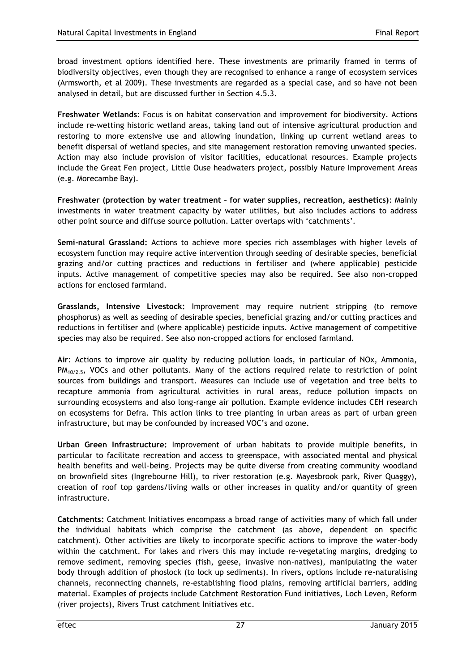broad investment options identified here. These investments are primarily framed in terms of biodiversity objectives, even though they are recognised to enhance a range of ecosystem services (Armsworth, et al 2009). These investments are regarded as a special case, and so have not been analysed in detail, but are discussed further in Section 4.5.3.

**Freshwater Wetlands**: Focus is on habitat conservation and improvement for biodiversity. Actions include re-wetting historic wetland areas, taking land out of intensive agricultural production and restoring to more extensive use and allowing inundation, linking up current wetland areas to benefit dispersal of wetland species, and site management restoration removing unwanted species. Action may also include provision of visitor facilities, educational resources. Example projects include the Great Fen project, Little Ouse headwaters project, possibly Nature Improvement Areas (e.g. Morecambe Bay).

**Freshwater (protection by water treatment – for water supplies, recreation, aesthetics)**: Mainly investments in water treatment capacity by water utilities, but also includes actions to address other point source and diffuse source pollution. Latter overlaps with 'catchments'.

**Semi-natural Grassland:** Actions to achieve more species rich assemblages with higher levels of ecosystem function may require active intervention through seeding of desirable species, beneficial grazing and/or cutting practices and reductions in fertiliser and (where applicable) pesticide inputs. Active management of competitive species may also be required. See also non-cropped actions for enclosed farmland.

**Grasslands, Intensive Livestock:** Improvement may require nutrient stripping (to remove phosphorus) as well as seeding of desirable species, beneficial grazing and/or cutting practices and reductions in fertiliser and (where applicable) pesticide inputs. Active management of competitive species may also be required. See also non-cropped actions for enclosed farmland.

**Air**: Actions to improve air quality by reducing pollution loads, in particular of NOx, Ammonia,  $PM<sub>10/2.5</sub>$ , VOCs and other pollutants. Many of the actions required relate to restriction of point sources from buildings and transport. Measures can include use of vegetation and tree belts to recapture ammonia from agricultural activities in rural areas, reduce pollution impacts on surrounding ecosystems and also long-range air pollution. Example evidence includes CEH research on ecosystems for Defra. This action links to tree planting in urban areas as part of urban green infrastructure, but may be confounded by increased VOC's and ozone.

**Urban Green Infrastructure:** Improvement of urban habitats to provide multiple benefits, in particular to facilitate recreation and access to greenspace, with associated mental and physical health benefits and well-being. Projects may be quite diverse from creating community woodland on brownfield sites (Ingrebourne Hill), to river restoration (e.g. Mayesbrook park, River Quaggy), creation of roof top gardens/living walls or other increases in quality and/or quantity of green infrastructure.

**Catchments:** Catchment Initiatives encompass a broad range of activities many of which fall under the individual habitats which comprise the catchment (as above, dependent on specific catchment). Other activities are likely to incorporate specific actions to improve the water-body within the catchment. For lakes and rivers this may include re-vegetating margins, dredging to remove sediment, removing species (fish, geese, invasive non-natives), manipulating the water body through addition of phoslock (to lock up sediments). In rivers, options include re-naturalising channels, reconnecting channels, re-establishing flood plains, removing artificial barriers, adding material. Examples of projects include Catchment Restoration Fund initiatives, Loch Leven, Reform (river projects), Rivers Trust catchment Initiatives etc.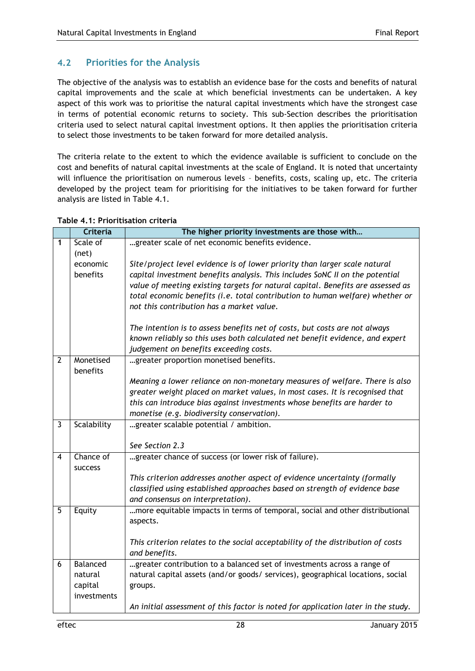## <span id="page-31-0"></span>**4.2 Priorities for the Analysis**

The objective of the analysis was to establish an evidence base for the costs and benefits of natural capital improvements and the scale at which beneficial investments can be undertaken. A key aspect of this work was to prioritise the natural capital investments which have the strongest case in terms of potential economic returns to society. This sub-Section describes the prioritisation criteria used to select natural capital investment options. It then applies the prioritisation criteria to select those investments to be taken forward for more detailed analysis.

The criteria relate to the extent to which the evidence available is sufficient to conclude on the cost and benefits of natural capital investments at the scale of England. It is noted that uncertainty will influence the prioritisation on numerous levels – benefits, costs, scaling up, etc. The criteria developed by the project team for prioritising for the initiatives to be taken forward for further analysis are listed in Table 4.1.

|                | <b>Criteria</b>      | The higher priority investments are those with                                                                                                                  |
|----------------|----------------------|-----------------------------------------------------------------------------------------------------------------------------------------------------------------|
| 1              | Scale of             | greater scale of net economic benefits evidence.                                                                                                                |
|                | (net)                |                                                                                                                                                                 |
|                | economic<br>benefits | Site/project level evidence is of lower priority than larger scale natural                                                                                      |
|                |                      | capital investment benefits analysis. This includes SoNC II on the potential<br>value of meeting existing targets for natural capital. Benefits are assessed as |
|                |                      | total economic benefits (i.e. total contribution to human welfare) whether or                                                                                   |
|                |                      | not this contribution has a market value.                                                                                                                       |
|                |                      |                                                                                                                                                                 |
|                |                      | The intention is to assess benefits net of costs, but costs are not always                                                                                      |
|                |                      | known reliably so this uses both calculated net benefit evidence, and expert<br>judgement on benefits exceeding costs.                                          |
| $\overline{2}$ | Monetised            | greater proportion monetised benefits.                                                                                                                          |
|                | benefits             |                                                                                                                                                                 |
|                |                      | Meaning a lower reliance on non-monetary measures of welfare. There is also                                                                                     |
|                |                      | greater weight placed on market values, in most cases. It is recognised that                                                                                    |
|                |                      | this can introduce bias against investments whose benefits are harder to                                                                                        |
|                |                      | monetise (e.g. biodiversity conservation).                                                                                                                      |
| 3              | Scalability          | greater scalable potential / ambition.                                                                                                                          |
|                |                      | See Section 2.3                                                                                                                                                 |
| 4              | Chance of            | greater chance of success (or lower risk of failure).                                                                                                           |
|                | success              |                                                                                                                                                                 |
|                |                      | This criterion addresses another aspect of evidence uncertainty (formally                                                                                       |
|                |                      | classified using established approaches based on strength of evidence base                                                                                      |
|                |                      | and consensus on interpretation).                                                                                                                               |
| 5              | Equity               | more equitable impacts in terms of temporal, social and other distributional<br>aspects.                                                                        |
|                |                      |                                                                                                                                                                 |
|                |                      | This criterion relates to the social acceptability of the distribution of costs                                                                                 |
|                |                      | and benefits.                                                                                                                                                   |
| 6              | Balanced             | greater contribution to a balanced set of investments across a range of                                                                                         |
|                | natural              | natural capital assets (and/or goods/ services), geographical locations, social                                                                                 |
|                | capital              | groups.                                                                                                                                                         |
|                | investments          |                                                                                                                                                                 |
|                |                      | An initial assessment of this factor is noted for application later in the study.                                                                               |

#### **Table 4.1: Prioritisation criteria**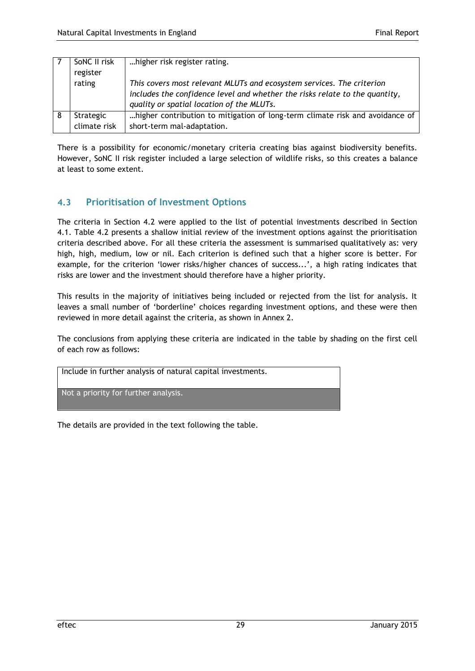| SoNC II risk<br>register  | higher risk register rating.                                                                                                                                                                      |
|---------------------------|---------------------------------------------------------------------------------------------------------------------------------------------------------------------------------------------------|
| rating                    | This covers most relevant MLUTs and ecosystem services. The criterion<br>includes the confidence level and whether the risks relate to the quantity,<br>quality or spatial location of the MLUTs. |
| Strategic<br>climate risk | higher contribution to mitigation of long-term climate risk and avoidance of<br>short-term mal-adaptation.                                                                                        |

There is a possibility for economic/monetary criteria creating bias against biodiversity benefits. However, SoNC II risk register included a large selection of wildlife risks, so this creates a balance at least to some extent.

## <span id="page-32-0"></span>**4.3 Prioritisation of Investment Options**

The criteria in Section 4.2 were applied to the list of potential investments described in Section 4.1. Table 4.2 presents a shallow initial review of the investment options against the prioritisation criteria described above. For all these criteria the assessment is summarised qualitatively as: very high, high, medium, low or nil. Each criterion is defined such that a higher score is better. For example, for the criterion 'lower risks/higher chances of success...', a high rating indicates that risks are lower and the investment should therefore have a higher priority.

This results in the majority of initiatives being included or rejected from the list for analysis. It leaves a small number of 'borderline' choices regarding investment options, and these were then reviewed in more detail against the criteria, as shown in Annex 2.

The conclusions from applying these criteria are indicated in the table by shading on the first cell of each row as follows:

| Include in further analysis of natural capital investments. |
|-------------------------------------------------------------|
| Not a priority for further analysis.                        |

The details are provided in the text following the table.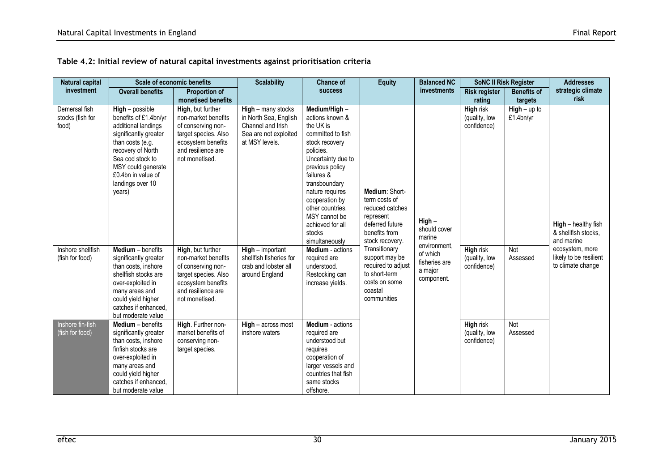| <b>Natural capital</b>                     |                                                                                                                                                                                                                                   | <b>Scale of economic benefits</b>                                                                                                                    | <b>Scalability</b>                                                                                          | <b>Chance of</b>                                                                                                                                                                                                                                                                                   | <b>Equity</b>                                                                                                                                                                                                                               | <b>Balanced NC</b>                                                 | <b>SoNC II Risk Register</b>                     |                           | <b>Addresses</b>                                                                                                           |
|--------------------------------------------|-----------------------------------------------------------------------------------------------------------------------------------------------------------------------------------------------------------------------------------|------------------------------------------------------------------------------------------------------------------------------------------------------|-------------------------------------------------------------------------------------------------------------|----------------------------------------------------------------------------------------------------------------------------------------------------------------------------------------------------------------------------------------------------------------------------------------------------|---------------------------------------------------------------------------------------------------------------------------------------------------------------------------------------------------------------------------------------------|--------------------------------------------------------------------|--------------------------------------------------|---------------------------|----------------------------------------------------------------------------------------------------------------------------|
| investment                                 | <b>Overall benefits</b>                                                                                                                                                                                                           | <b>Proportion of</b>                                                                                                                                 |                                                                                                             | <b>SUCCESS</b>                                                                                                                                                                                                                                                                                     |                                                                                                                                                                                                                                             | investments                                                        | <b>Risk register</b>                             | <b>Benefits of</b>        | strategic climate                                                                                                          |
|                                            |                                                                                                                                                                                                                                   | monetised benefits                                                                                                                                   |                                                                                                             |                                                                                                                                                                                                                                                                                                    |                                                                                                                                                                                                                                             |                                                                    | rating                                           | targets                   | risk                                                                                                                       |
| Demersal fish<br>stocks (fish for<br>food) | $High - possible$<br>benefits of £1.4bn/yr<br>additional landings<br>significantly greater<br>than costs (e.g.<br>recovery of North<br>Sea cod stock to<br>MSY could generate<br>£0.4bn in value of<br>landings over 10<br>years) | High, but further<br>non-market benefits<br>of conserving non-<br>target species. Also<br>ecosystem benefits<br>and resilience are<br>not monetised. | High - many stocks<br>in North Sea, English<br>Channel and Irish<br>Sea are not exploited<br>at MSY levels. | Medium/High-<br>actions known &<br>the UK is<br>committed to fish<br>stock recovery<br>policies.<br>Uncertainty due to<br>previous policy<br>failures &<br>transboundary<br>nature requires<br>cooperation by<br>other countries.<br>MSY cannot be<br>achieved for all<br>stocks<br>simultaneously | Medium: Short-<br>term costs of<br>reduced catches<br>represent<br>deferred future<br>benefits from<br>stock recovery.<br>Transitionary<br>support may be<br>required to adjust<br>to short-term<br>costs on some<br>coastal<br>communities | High-<br>should cover<br>marine                                    | High risk<br>(quality, low<br>confidence)        | $High-up to$<br>£1.4bn/yr | High - healthy fish<br>& shellfish stocks,<br>and marine<br>ecosystem, more<br>likely to be resilient<br>to climate change |
| Inshore shellfish<br>(fish for food)       | Medium - benefits<br>significantly greater<br>than costs, inshore<br>shellfish stocks are<br>over-exploited in<br>many areas and<br>could yield higher<br>catches if enhanced,<br>but moderate value                              | High, but further<br>non-market benefits<br>of conserving non-<br>target species. Also<br>ecosystem benefits<br>and resilience are<br>not monetised. | $High - important$<br>shellfish fisheries for<br>crab and lobster all<br>around England                     | <b>Medium</b> - actions<br>required are<br>understood.<br>Restocking can<br>increase yields.                                                                                                                                                                                                       |                                                                                                                                                                                                                                             | environment.<br>of which<br>fisheries are<br>a major<br>component. | <b>High risk</b><br>(quality, low<br>confidence) | Not<br>Assessed           |                                                                                                                            |
| Inshore fin-fish<br>(fish for food)        | <b>Medium</b> – benefits<br>significantly greater<br>than costs, inshore<br>finfish stocks are<br>over-exploited in<br>many areas and<br>could yield higher<br>catches if enhanced,<br>but moderate value                         | High. Further non-<br>market benefits of<br>conserving non-<br>target species.                                                                       | $High - across most$<br>inshore waters                                                                      | Medium - actions<br>required are<br>understood but<br>requires<br>cooperation of<br>larger vessels and<br>countries that fish<br>same stocks<br>offshore.                                                                                                                                          |                                                                                                                                                                                                                                             |                                                                    | High risk<br>(quality, low<br>confidence)        | Not<br>Assessed           |                                                                                                                            |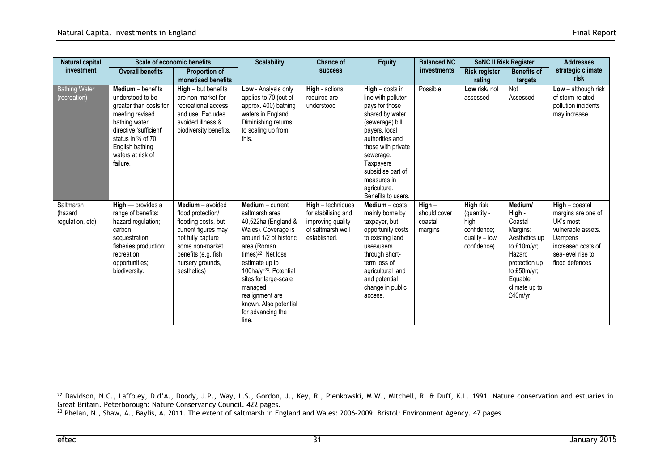| Natural capital                          | <b>Scale of economic benefits</b>                                                                                                                                                                                  |                                                                                                                                                                                       | <b>Scalability</b><br>Chance of                                                                                                                                                                                                                                                                                           |                                                                                                    | <b>Equity</b>                                                                                                                                                                                                                                                 | <b>Balanced NC</b>                          | <b>SoNC II Risk Register</b>                                                           |                                                                                                                                                             | <b>Addresses</b>                                                                                                                                  |
|------------------------------------------|--------------------------------------------------------------------------------------------------------------------------------------------------------------------------------------------------------------------|---------------------------------------------------------------------------------------------------------------------------------------------------------------------------------------|---------------------------------------------------------------------------------------------------------------------------------------------------------------------------------------------------------------------------------------------------------------------------------------------------------------------------|----------------------------------------------------------------------------------------------------|---------------------------------------------------------------------------------------------------------------------------------------------------------------------------------------------------------------------------------------------------------------|---------------------------------------------|----------------------------------------------------------------------------------------|-------------------------------------------------------------------------------------------------------------------------------------------------------------|---------------------------------------------------------------------------------------------------------------------------------------------------|
| investment                               | <b>Overall benefits</b>                                                                                                                                                                                            | <b>Proportion of</b><br>monetised benefits                                                                                                                                            |                                                                                                                                                                                                                                                                                                                           | <b>success</b>                                                                                     |                                                                                                                                                                                                                                                               | investments                                 | <b>Risk register</b><br>rating                                                         | <b>Benefits of</b><br>targets                                                                                                                               | strategic climate<br>risk                                                                                                                         |
| <b>Bathing Water</b><br>(recreation)     | Medium - benefits<br>understood to be<br>greater than costs for<br>meeting revised<br>bathing water<br>directive 'sufficient'<br>status in $\frac{3}{4}$ of 70<br>English bathing<br>waters at risk of<br>failure. | $High - but benefits$<br>are non-market for<br>recreational access<br>and use. Excludes<br>avoided illness &<br>biodiversity benefits.                                                | Low - Analysis only<br>applies to 70 (out of<br>approx. 400) bathing<br>waters in England.<br>Diminishing returns<br>to scaling up from<br>this.                                                                                                                                                                          | High - actions<br>required are<br>understood                                                       | $High - costs in$<br>line with polluter<br>pays for those<br>shared by water<br>(sewerage) bill<br>payers, local<br>authorities and<br>those with private<br>sewerage.<br>Taxpayers<br>subsidise part of<br>measures in<br>agriculture.<br>Benefits to users. | Possible                                    | Low risk/not<br>assessed                                                               | Not<br>Assessed                                                                                                                                             | Low $-$ although risk<br>of storm-related<br>pollution incidents<br>may increase                                                                  |
| Saltmarsh<br>(hazard<br>regulation, etc) | $High$ - provides a<br>range of benefits:<br>hazard regulation;<br>carbon<br>sequestration;<br>fisheries production;<br>recreation<br>opportunities;<br>biodiversity.                                              | Medium - avoided<br>flood protection/<br>flooding costs, but<br>current figures may<br>not fully capture<br>some non-market<br>benefits (e.g. fish<br>nursery grounds,<br>aesthetics) | Medium - current<br>saltmarsh area<br>40,522ha (England &<br>Wales). Coverage is<br>around 1/2 of historic<br>area (Roman<br>times) $22$ . Net loss<br>estimate up to<br>100ha/yr <sup>23</sup> . Potential<br>sites for large-scale<br>managed<br>realignment are<br>known. Also potential<br>for advancing the<br>line. | High - techniques<br>for stabilising and<br>improving quality<br>of saltmarsh well<br>established. | $Median - costs$<br>mainly borne by<br>taxpayer, but<br>opportunity costs<br>to existing land<br>uses/users<br>through short-<br>term loss of<br>agricultural land<br>and potential<br>change in public<br>access.                                            | High-<br>should cover<br>coastal<br>margins | <b>High risk</b><br>(quantity -<br>high<br>confidence:<br>quality – low<br>confidence) | Medium/<br>High -<br>Coastal<br>Margins:<br>Aesthetics up<br>to $£10m/yr;$<br>Hazard<br>protection up<br>to £50m/yr;<br>Equable<br>climate up to<br>£40m/yr | $High$ - coastal<br>margins are one of<br>UK's most<br>vulnerable assets.<br>Dampens<br>increased costs of<br>sea-level rise to<br>flood defences |

 $^{22}$  Davidson, N.C., Laffoley, D.d'A., Doody, J.P., Way, L.S., Gordon, J., Key, R., Pienkowski, M.W., Mitchell, R. & Duff, K.L. 1991. Nature conservation and estuaries in Great Britain. Peterborough: Nature Conservancy Council. 422 pages.

 $^{23}$  Phelan, N., Shaw, A., Baylis, A. 2011. The extent of saltmarsh in England and Wales: 2006-2009. Bristol: Environment Agency. 47 pages.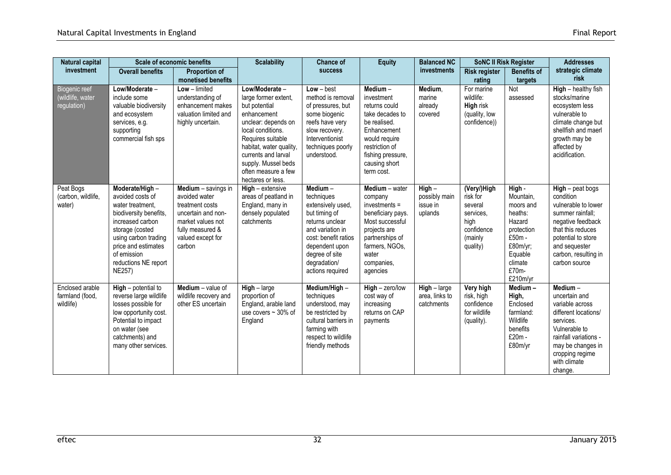| Natural capital                                  | <b>Scale of economic benefits</b>                                                                                                                                                                                              |                                                                                                                                                       | <b>Scalability</b>                                                                                                                                                                                                                                           | <b>Chance of</b>                                                                                                                                                                                   | <b>Equity</b>                                                                                                                                                                   | <b>Balanced NC</b>                               | <b>SoNC II Risk Register</b>                                                                 |                                                                                                                                      | <b>Addresses</b>                                                                                                                                                                                     |
|--------------------------------------------------|--------------------------------------------------------------------------------------------------------------------------------------------------------------------------------------------------------------------------------|-------------------------------------------------------------------------------------------------------------------------------------------------------|--------------------------------------------------------------------------------------------------------------------------------------------------------------------------------------------------------------------------------------------------------------|----------------------------------------------------------------------------------------------------------------------------------------------------------------------------------------------------|---------------------------------------------------------------------------------------------------------------------------------------------------------------------------------|--------------------------------------------------|----------------------------------------------------------------------------------------------|--------------------------------------------------------------------------------------------------------------------------------------|------------------------------------------------------------------------------------------------------------------------------------------------------------------------------------------------------|
| investment                                       | <b>Overall benefits</b>                                                                                                                                                                                                        | <b>Proportion of</b><br>monetised benefits                                                                                                            |                                                                                                                                                                                                                                                              | <b>SUCCESS</b>                                                                                                                                                                                     |                                                                                                                                                                                 | investments                                      | <b>Risk register</b><br>rating                                                               | <b>Benefits of</b><br>targets                                                                                                        | strategic climate<br>risk                                                                                                                                                                            |
| Biogenic reef<br>(wildlife, water<br>regulation) | Low/Moderate-<br>include some<br>valuable biodiversity<br>and ecosystem<br>services, e.g.<br>supporting<br>commercial fish sps                                                                                                 | $Low - limited$<br>understanding of<br>enhancement makes<br>valuation limited and<br>highly uncertain.                                                | Low/Moderate -<br>large former extent,<br>but potential<br>enhancement<br>unclear: depends on<br>local conditions.<br>Requires suitable<br>habitat, water quality,<br>currents and larval<br>supply. Mussel beds<br>often measure a few<br>hectares or less. | $Low - best$<br>method is removal<br>of pressures, but<br>some biogenic<br>reefs have very<br>slow recovery.<br>Interventionist<br>techniques poorly<br>understood.                                | Medium-<br>investment<br>returns could<br>take decades to<br>be realised.<br>Enhancement<br>would require<br>restriction of<br>fishing pressure,<br>causing short<br>term cost. | Medium,<br>marine<br>already<br>covered          | For marine<br>wildlife:<br>High risk<br>(quality, low<br>confidence))                        | Not<br>assessed                                                                                                                      | High - healthy fish<br>stocks/marine<br>ecosystem less<br>vulnerable to<br>climate change but<br>shellfish and maerl<br>growth may be<br>affected by<br>acidification.                               |
| Peat Bogs<br>(carbon, wildlife,<br>water)        | Moderate/High-<br>avoided costs of<br>water treatment.<br>biodiversity benefits,<br>increased carbon<br>storage (costed<br>using carbon trading<br>price and estimates<br>of emission<br>reductions NE report<br><b>NE257)</b> | Medium - savings in<br>avoided water<br>treatment costs<br>uncertain and non-<br>market values not<br>fully measured &<br>valued except for<br>carbon | $High - extensive$<br>areas of peatland in<br>England, many in<br>densely populated<br>catchments                                                                                                                                                            | Medium-<br>techniques<br>extensively used,<br>but timing of<br>returns unclear<br>and variation in<br>cost: benefit ratios<br>dependent upon<br>degree of site<br>degradation/<br>actions required | Medium - water<br>company<br>$investments =$<br>beneficiary pays.<br>Most successful<br>projects are<br>partnerships of<br>farmers, NGOs,<br>water<br>companies,<br>agencies    | $High -$<br>possibly main<br>issue in<br>uplands | (Very/)High<br>risk for<br>several<br>services,<br>high<br>confidence<br>(mainly<br>quality) | High -<br>Mountain,<br>moors and<br>heaths:<br>Hazard<br>protection<br>£50m -<br>£80m/yr;<br>Equable<br>climate<br>£70m-<br>£210m/yr | $High - peak$ bogs<br>condition<br>vulnerable to lower<br>summer rainfall;<br>negative feedback<br>that this reduces<br>potential to store<br>and sequester<br>carbon, resulting in<br>carbon source |
| Enclosed arable<br>farmland (food,<br>wildlife)  | High - potential to<br>reverse large wildlife<br>losses possible for<br>low opportunity cost.<br>Potential to impact<br>on water (see<br>catchments) and<br>many other services.                                               | Medium - value of<br>wildlife recovery and<br>other ES uncertain                                                                                      | $High - large$<br>proportion of<br>England, arable land<br>use covers $\sim$ 30% of<br>England                                                                                                                                                               | Medium/High-<br>techniques<br>understood, may<br>be restricted by<br>cultural barriers in<br>farming with<br>respect to wildlife<br>friendly methods                                               | $High - zero/low$<br>cost way of<br>increasing<br>returns on CAP<br>payments                                                                                                    | $High - large$<br>area, links to<br>catchments   | Very high<br>risk, high<br>confidence<br>for wildlife<br>(quality).                          | $M$ edium –<br>High,<br>Enclosed<br>farmland:<br>Wildlife<br>benefits<br>£20m -<br>£80m/yr                                           | $M$ edium $-$<br>uncertain and<br>variable across<br>different locations/<br>services.<br>Vulnerable to<br>rainfall variations -<br>may be changes in<br>cropping regime<br>with climate<br>change.  |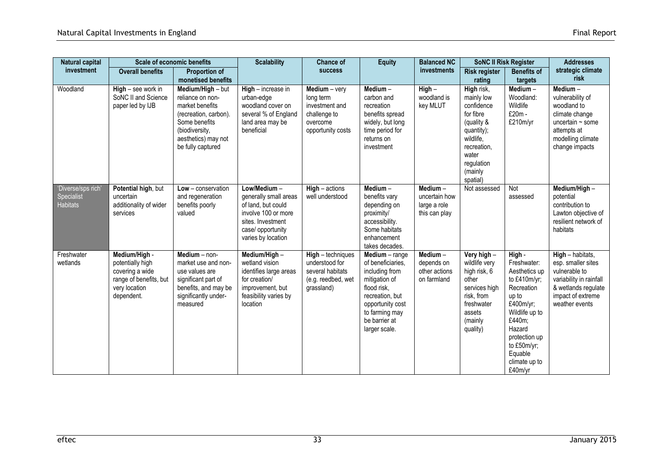| Natural capital                                     | <b>Scale of economic benefits</b>                                                                             |                                                                                                                                                                  | <b>Scalability</b>                                                                                                                                | Chance of                                                                                       | <b>Equity</b>                                                                                                                                                                    | <b>Balanced NC</b>                                          | <b>SoNC II Risk Register</b>                                                                                                                              | <b>Addresses</b>                                                                                                                                                                                        |                                                                                                                                                    |
|-----------------------------------------------------|---------------------------------------------------------------------------------------------------------------|------------------------------------------------------------------------------------------------------------------------------------------------------------------|---------------------------------------------------------------------------------------------------------------------------------------------------|-------------------------------------------------------------------------------------------------|----------------------------------------------------------------------------------------------------------------------------------------------------------------------------------|-------------------------------------------------------------|-----------------------------------------------------------------------------------------------------------------------------------------------------------|---------------------------------------------------------------------------------------------------------------------------------------------------------------------------------------------------------|----------------------------------------------------------------------------------------------------------------------------------------------------|
| investment                                          | <b>Overall benefits</b>                                                                                       | <b>Proportion of</b><br>monetised benefits                                                                                                                       |                                                                                                                                                   | <b>success</b>                                                                                  |                                                                                                                                                                                  | investments                                                 | <b>Risk register</b><br>rating                                                                                                                            | <b>Benefits of</b><br>targets                                                                                                                                                                           | strategic climate<br>risk                                                                                                                          |
| Woodland                                            | $High - see$ work in<br>SoNC II and Science<br>paper led by IJB                                               | Medium/High - but<br>reliance on non-<br>market benefits<br>(recreation, carbon).<br>Some benefits<br>(biodiversity,<br>aesthetics) may not<br>be fully captured | High - increase in<br>urban-edge<br>woodland cover on<br>several % of England<br>land area may be<br>beneficial                                   | $Median - very$<br>long term<br>investment and<br>challenge to<br>overcome<br>opportunity costs | Medium $-$<br>carbon and<br>recreation<br>benefits spread<br>widely, but long<br>time period for<br>returns on<br>investment                                                     | $High -$<br>woodland is<br>key MLUT                         | High risk,<br>mainly low<br>confidence<br>for fibre<br>(quality &<br>quantity);<br>wildlife,<br>recreation,<br>water<br>regulation<br>(mainly<br>spatial) | Medium-<br>Woodland:<br>Wildlife<br>£20m -<br>£210m/yr                                                                                                                                                  | $M$ edium $-$<br>vulnerability of<br>woodland to<br>climate change<br>uncertain $\sim$ some<br>attempts at<br>modelling climate<br>change impacts  |
| 'Diverse/sps rich'<br>Specialist<br><b>Habitats</b> | Potential high, but<br>uncertain<br>additionality of wider<br>services                                        | $Low$ – conservation<br>and regeneration<br>benefits poorly<br>valued                                                                                            | Low/Medium-<br>generally small areas<br>of land, but could<br>involve 100 or more<br>sites. Investment<br>case/ opportunity<br>varies by location | $High - actions$<br>well understood                                                             | Medium-<br>benefits vary<br>depending on<br>proximity/<br>accessibility.<br>Some habitats<br>enhancement<br>takes decades.                                                       | Medium-<br>uncertain how<br>large a role<br>this can play   | Not assessed                                                                                                                                              | Not<br>assessed                                                                                                                                                                                         | Medium/High-<br>potential<br>contribution to<br>Lawton objective of<br>resilient network of<br>habitats                                            |
| Freshwater<br>wetlands                              | Medium/High -<br>potentially high<br>covering a wide<br>range of benefits, but<br>very location<br>dependent. | Medium - non-<br>market use and non-<br>use values are<br>significant part of<br>benefits, and may be<br>significantly under-<br>measured                        | Medium/High-<br>wetland vision<br>identifies large areas<br>for creation/<br>improvement, but<br>feasibility varies by<br>location                | High - techniques<br>understood for<br>several habitats<br>(e.g. reedbed, wet<br>grassland)     | Medium - range<br>of beneficiaries.<br>including from<br>mitigation of<br>flood risk.<br>recreation, but<br>opportunity cost<br>to farming may<br>be barrier at<br>larger scale. | $M$ edium $-$<br>depends on<br>other actions<br>on farmland | Very high -<br>wildlife very<br>high risk, 6<br>other<br>services high<br>risk. from<br>freshwater<br>assets<br>(mainly<br>quality)                       | High -<br>Freshwater:<br>Aesthetics up<br>to £410m/yr;<br>Recreation<br>up to<br>£400m/yr;<br>Wildlife up to<br>£440m;<br>Hazard<br>protection up<br>to £50m/yr;<br>Equable<br>climate up to<br>£40m/yr | $High - habitats,$<br>esp. smaller sites<br>vulnerable to<br>variability in rainfall<br>& wetlands regulate<br>impact of extreme<br>weather events |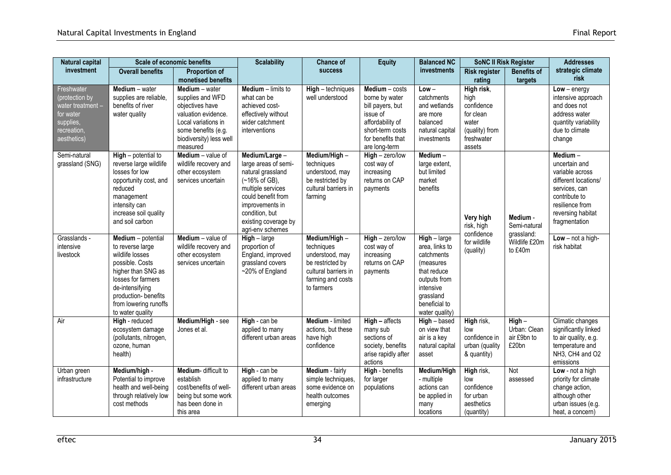| <b>Natural capital</b>                                                                                    | <b>Scale of economic benefits</b>                                                                                                                                                                                |                                                                                                                                                                   | <b>Scalability</b>                                                                                                                                                                                      | <b>Chance of</b>                                                                                                              | <b>Equity</b>                                                                                                                                    | <b>Balanced NC</b>                                                                                                                                    | <b>SoNC II Risk Register</b>                                                                     |                                                  | <b>Addresses</b>                                                                                                                                               |
|-----------------------------------------------------------------------------------------------------------|------------------------------------------------------------------------------------------------------------------------------------------------------------------------------------------------------------------|-------------------------------------------------------------------------------------------------------------------------------------------------------------------|---------------------------------------------------------------------------------------------------------------------------------------------------------------------------------------------------------|-------------------------------------------------------------------------------------------------------------------------------|--------------------------------------------------------------------------------------------------------------------------------------------------|-------------------------------------------------------------------------------------------------------------------------------------------------------|--------------------------------------------------------------------------------------------------|--------------------------------------------------|----------------------------------------------------------------------------------------------------------------------------------------------------------------|
| investment                                                                                                | <b>Overall benefits</b>                                                                                                                                                                                          | <b>Proportion of</b><br>monetised benefits                                                                                                                        |                                                                                                                                                                                                         | <b>success</b>                                                                                                                |                                                                                                                                                  | investments                                                                                                                                           | <b>Risk register</b><br>rating                                                                   | <b>Benefits of</b><br>targets                    | strategic climate<br>risk                                                                                                                                      |
| Freshwater<br>(protection by<br>water treatment -<br>for water<br>supplies,<br>recreation,<br>aesthetics) | Medium - water<br>supplies are reliable,<br>benefits of river<br>water quality                                                                                                                                   | Medium - water<br>supplies and WFD<br>objectives have<br>valuation evidence.<br>Local variations in<br>some benefits (e.g.<br>biodiversity) less well<br>measured | Medium - limits to<br>what can be<br>achieved cost-<br>effectively without<br>wider catchment<br>interventions                                                                                          | High - techniques<br>well understood                                                                                          | $Median - costs$<br>borne by water<br>bill payers, but<br>issue of<br>affordability of<br>short-term costs<br>for benefits that<br>are long-term | $Low -$<br>catchments<br>and wetlands<br>are more<br>balanced<br>natural capital<br>investments                                                       | High risk,<br>high<br>confidence<br>for clean<br>water<br>(quality) from<br>freshwater<br>assets |                                                  | $Low - energy$<br>intensive approach<br>and does not<br>address water<br>quantity variability<br>due to climate<br>change                                      |
| Semi-natural<br>grassland (SNG)                                                                           | $High$ – potential to<br>reverse large wildlife<br>losses for low<br>opportunity cost, and<br>reduced<br>management<br>intensity can<br>increase soil quality<br>and soil carbon                                 | $Median - value of$<br>wildlife recovery and<br>other ecosystem<br>services uncertain                                                                             | Medium/Large-<br>large areas of semi-<br>natural grassland<br>(~16% of GB),<br>multiple services<br>could benefit from<br>improvements in<br>condition, but<br>existing coverage by<br>agri-env schemes | Medium/High-<br>techniques<br>understood, may<br>be restricted by<br>cultural barriers in<br>farming                          | $High - zero/low$<br>cost way of<br>increasing<br>returns on CAP<br>payments                                                                     | Medium-<br>large extent,<br>but limited<br>market<br>benefits                                                                                         | Very high<br>risk, high<br>confidence                                                            | Medium -<br>Semi-natural                         | Medium-<br>uncertain and<br>variable across<br>different locations/<br>services, can<br>contribute to<br>resilience from<br>reversing habitat<br>fragmentation |
| Grasslands -<br>intensive<br>livestock                                                                    | Medium - potential<br>to reverse large<br>wildlife losses<br>possible. Costs<br>higher than SNG as<br>losses for farmers<br>de-intensifying<br>production- benefits<br>from lowering runoffs<br>to water quality | Medium - value of<br>wildlife recovery and<br>other ecosystem<br>services uncertain                                                                               | $High - large$<br>proportion of<br>England, improved<br>grassland covers<br>~20% of England                                                                                                             | Medium/High -<br>techniques<br>understood, may<br>be restricted by<br>cultural barriers in<br>farming and costs<br>to farmers | $High - zero/low$<br>cost way of<br>increasing<br>returns on CAP<br>payments                                                                     | High - large<br>area, links to<br>catchments<br>(measures<br>that reduce<br>outputs from<br>intensive<br>grassland<br>beneficial to<br>water quality) | for wildlife<br>(quality)                                                                        | grassland:<br>Wildlife £20m<br>to £40m           | Low - not a high-<br>risk habitat                                                                                                                              |
| Air                                                                                                       | High - reduced<br>ecosystem damage<br>(pollutants, nitrogen,<br>ozone, human<br>health)                                                                                                                          | Medium/High - see<br>Jones et al.                                                                                                                                 | High - can be<br>applied to many<br>different urban areas                                                                                                                                               | Medium - limited<br>actions, but these<br>have high<br>confidence                                                             | $High - affects$<br>many sub<br>sections of<br>society, benefits<br>arise rapidly after<br>actions                                               | High - based<br>on view that<br>air is a key<br>natural capital<br>asset                                                                              | High risk,<br>low<br>confidence in<br>urban (quality<br>& quantity)                              | $High -$<br>Urban: Clean<br>air £9bn to<br>£20bn | Climatic changes<br>significantly linked<br>to air quality, e.g.<br>temperature and<br>NH3, CH4 and O2<br>emissions                                            |
| Urban green<br>infrastructure                                                                             | Medium/high -<br>Potential to improve<br>health and well-being<br>through relatively low<br>cost methods                                                                                                         | Medium-difficult to<br>establish<br>cost/benefits of well-<br>being but some work<br>has been done in<br>this area                                                | High - can be<br>applied to many<br>different urban areas                                                                                                                                               | Medium - fairly<br>simple techniques,<br>some evidence on<br>health outcomes<br>emerging                                      | High - benefits<br>for larger<br>populations                                                                                                     | Medium/High<br>- multiple<br>actions can<br>be applied in<br>many<br>locations                                                                        | High risk,<br>low<br>confidence<br>for urban<br>aesthetics<br>(quantity)                         | Not<br>assessed                                  | Low - not a high<br>priority for climate<br>change action,<br>although other<br>urban issues (e.g.<br>heat, a concern)                                         |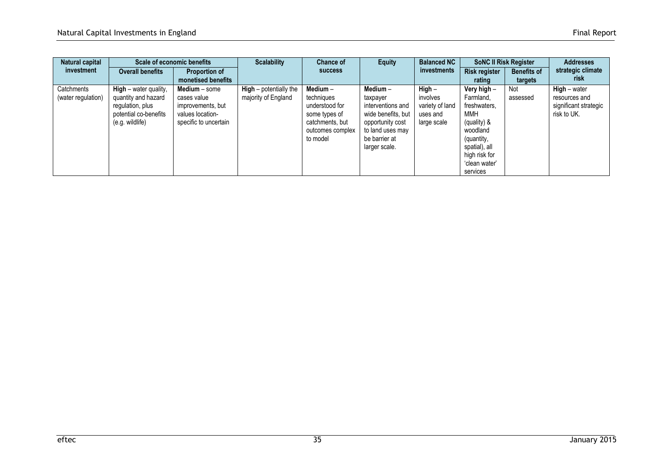| Natural capital                  | <b>Scale of economic benefits</b><br><b>Scalability</b><br><b>Proportion of</b><br><b>Overall benefits</b>     |                                                                                                | <b>Chance of</b>                                |                                                                                                                | <b>Equity</b>                                                                                                                               | <b>Balanced NC</b>                                                 | <b>SoNC II Risk Register</b>                                                                                                                            | <b>Addresses</b>          |                                                                         |
|----------------------------------|----------------------------------------------------------------------------------------------------------------|------------------------------------------------------------------------------------------------|-------------------------------------------------|----------------------------------------------------------------------------------------------------------------|---------------------------------------------------------------------------------------------------------------------------------------------|--------------------------------------------------------------------|---------------------------------------------------------------------------------------------------------------------------------------------------------|---------------------------|-------------------------------------------------------------------------|
| investment                       |                                                                                                                |                                                                                                | <b>SUCCESS</b>                                  |                                                                                                                | investments                                                                                                                                 |                                                                    | <b>Benefits of</b>                                                                                                                                      | strategic climate<br>risk |                                                                         |
|                                  |                                                                                                                | monetised benefits                                                                             |                                                 |                                                                                                                |                                                                                                                                             |                                                                    | rating                                                                                                                                                  | targets                   |                                                                         |
| Catchments<br>(water regulation) | $High - water quality,$<br>quantity and hazard<br>regulation, plus<br>potential co-benefits<br>(e.g. wildlife) | Medium - some<br>cases value<br>improvements, but<br>values location-<br>specific to uncertain | $High - potentially the$<br>majority of England | Medium $-$<br>techniques<br>understood for<br>some types of<br>catchments, but<br>outcomes complex<br>to model | Medium $-$<br>taxpayer<br>interventions and<br>wide benefits, but<br>opportunity cost<br>to land uses may<br>be barrier at<br>larger scale. | $High -$<br>involves<br>variety of land<br>uses and<br>large scale | Very high -<br>Farmland,<br>freshwaters,<br>MMH<br>(quality) &<br>woodland<br>(quantity,<br>spatial), all<br>high risk for<br>'clean water'<br>services | Not<br>assessed           | $High - water$<br>resources and<br>significant strategic<br>risk to UK. |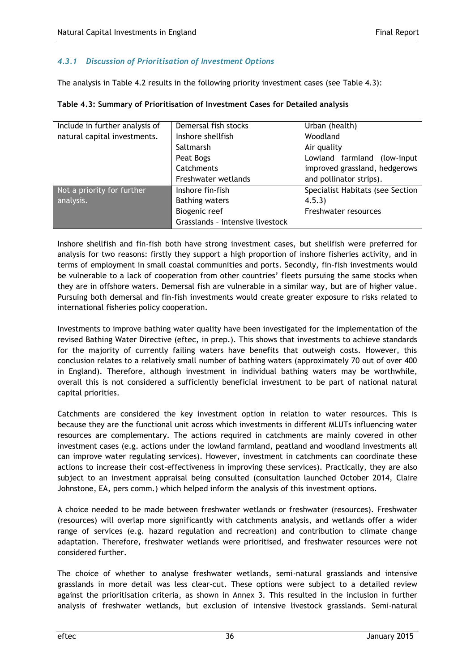### *4.3.1 Discussion of Prioritisation of Investment Options*

The analysis in Table 4.2 results in the following priority investment cases (see Table 4.3):

| Include in further analysis of | Demersal fish stocks             | Urban (health)                   |
|--------------------------------|----------------------------------|----------------------------------|
| natural capital investments.   | Inshore shellfish                | Woodland                         |
|                                | Saltmarsh                        | Air quality                      |
|                                | Peat Bogs                        | Lowland farmland (low-input      |
|                                | Catchments                       | improved grassland, hedgerows    |
|                                | Freshwater wetlands              | and pollinator strips).          |
| Not a priority for further     | Inshore fin-fish                 | Specialist Habitats (see Section |
| analysis.                      | <b>Bathing waters</b>            | 4.5.3)                           |
|                                | Biogenic reef                    | Freshwater resources             |
|                                | Grasslands - intensive livestock |                                  |

**Table 4.3: Summary of Prioritisation of Investment Cases for Detailed analysis**

Inshore shellfish and fin-fish both have strong investment cases, but shellfish were preferred for analysis for two reasons: firstly they support a high proportion of inshore fisheries activity, and in terms of employment in small coastal communities and ports. Secondly, fin-fish investments would be vulnerable to a lack of cooperation from other countries' fleets pursuing the same stocks when they are in offshore waters. Demersal fish are vulnerable in a similar way, but are of higher value. Pursuing both demersal and fin-fish investments would create greater exposure to risks related to international fisheries policy cooperation.

Investments to improve bathing water quality have been investigated for the implementation of the revised Bathing Water Directive (eftec, in prep.). This shows that investments to achieve standards for the majority of currently failing waters have benefits that outweigh costs. However, this conclusion relates to a relatively small number of bathing waters (approximately 70 out of over 400 in England). Therefore, although investment in individual bathing waters may be worthwhile, overall this is not considered a sufficiently beneficial investment to be part of national natural capital priorities.

Catchments are considered the key investment option in relation to water resources. This is because they are the functional unit across which investments in different MLUTs influencing water resources are complementary. The actions required in catchments are mainly covered in other investment cases (e.g. actions under the lowland farmland, peatland and woodland investments all can improve water regulating services). However, investment in catchments can coordinate these actions to increase their cost-effectiveness in improving these services). Practically, they are also subject to an investment appraisal being consulted (consultation launched October 2014, Claire Johnstone, EA, pers comm.) which helped inform the analysis of this investment options.

A choice needed to be made between freshwater wetlands or freshwater (resources). Freshwater (resources) will overlap more significantly with catchments analysis, and wetlands offer a wider range of services (e.g. hazard regulation and recreation) and contribution to climate change adaptation. Therefore, freshwater wetlands were prioritised, and freshwater resources were not considered further.

The choice of whether to analyse freshwater wetlands, semi-natural grasslands and intensive grasslands in more detail was less clear-cut. These options were subject to a detailed review against the prioritisation criteria, as shown in Annex 3. This resulted in the inclusion in further analysis of freshwater wetlands, but exclusion of intensive livestock grasslands. Semi-natural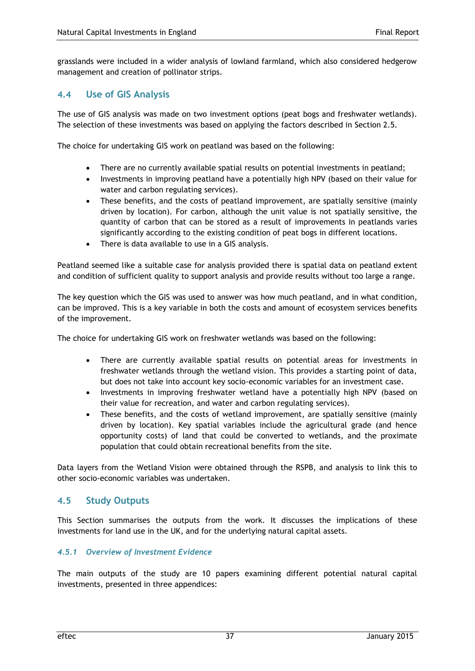grasslands were included in a wider analysis of lowland farmland, which also considered hedgerow management and creation of pollinator strips.

### **4.4 Use of GIS Analysis**

The use of GIS analysis was made on two investment options (peat bogs and freshwater wetlands). The selection of these investments was based on applying the factors described in Section 2.5.

The choice for undertaking GIS work on peatland was based on the following:

- There are no currently available spatial results on potential investments in peatland;
- Investments in improving peatland have a potentially high NPV (based on their value for water and carbon regulating services).
- These benefits, and the costs of peatland improvement, are spatially sensitive (mainly driven by location). For carbon, although the unit value is not spatially sensitive, the quantity of carbon that can be stored as a result of improvements in peatlands varies significantly according to the existing condition of peat bogs in different locations.
- There is data available to use in a GIS analysis.

Peatland seemed like a suitable case for analysis provided there is spatial data on peatland extent and condition of sufficient quality to support analysis and provide results without too large a range.

The key question which the GIS was used to answer was how much peatland, and in what condition, can be improved. This is a key variable in both the costs and amount of ecosystem services benefits of the improvement.

The choice for undertaking GIS work on freshwater wetlands was based on the following:

- There are currently available spatial results on potential areas for investments in freshwater wetlands through the wetland vision. This provides a starting point of data, but does not take into account key socio-economic variables for an investment case.
- Investments in improving freshwater wetland have a potentially high NPV (based on their value for recreation, and water and carbon regulating services).
- These benefits, and the costs of wetland improvement, are spatially sensitive (mainly driven by location). Key spatial variables include the agricultural grade (and hence opportunity costs) of land that could be converted to wetlands, and the proximate population that could obtain recreational benefits from the site.

Data layers from the Wetland Vision were obtained through the RSPB, and analysis to link this to other socio-economic variables was undertaken.

### **4.5 Study Outputs**

This Section summarises the outputs from the work. It discusses the implications of these investments for land use in the UK, and for the underlying natural capital assets.

### *4.5.1 Overview of Investment Evidence*

The main outputs of the study are 10 papers examining different potential natural capital investments, presented in three appendices: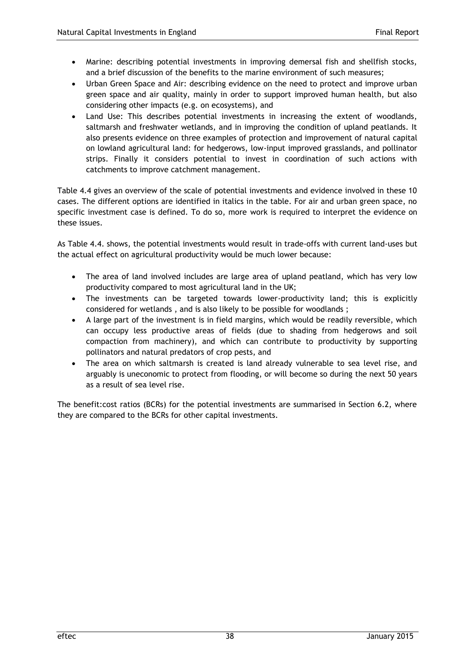- Marine: describing potential investments in improving demersal fish and shellfish stocks, and a brief discussion of the benefits to the marine environment of such measures;
- Urban Green Space and Air: describing evidence on the need to protect and improve urban green space and air quality, mainly in order to support improved human health, but also considering other impacts (e.g. on ecosystems), and
- Land Use: This describes potential investments in increasing the extent of woodlands, saltmarsh and freshwater wetlands, and in improving the condition of upland peatlands. It also presents evidence on three examples of protection and improvement of natural capital on lowland agricultural land: for hedgerows, low-input improved grasslands, and pollinator strips. Finally it considers potential to invest in coordination of such actions with catchments to improve catchment management.

Table 4.4 gives an overview of the scale of potential investments and evidence involved in these 10 cases. The different options are identified in italics in the table. For air and urban green space, no specific investment case is defined. To do so, more work is required to interpret the evidence on these issues.

As Table 4.4. shows, the potential investments would result in trade-offs with current land-uses but the actual effect on agricultural productivity would be much lower because:

- The area of land involved includes are large area of upland peatland, which has very low productivity compared to most agricultural land in the UK;
- The investments can be targeted towards lower-productivity land; this is explicitly considered for wetlands , and is also likely to be possible for woodlands ;
- A large part of the investment is in field margins, which would be readily reversible, which can occupy less productive areas of fields (due to shading from hedgerows and soil compaction from machinery), and which can contribute to productivity by supporting pollinators and natural predators of crop pests, and
- The area on which saltmarsh is created is land already vulnerable to sea level rise, and arguably is uneconomic to protect from flooding, or will become so during the next 50 years as a result of sea level rise.

The benefit:cost ratios (BCRs) for the potential investments are summarised in Section 6.2, where they are compared to the BCRs for other capital investments.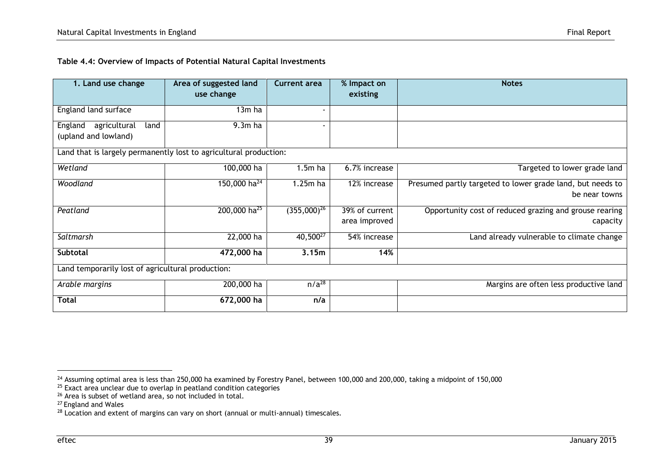| Table 4.4: Overview of Impacts of Potential Natural Capital Investments |  |
|-------------------------------------------------------------------------|--|
|-------------------------------------------------------------------------|--|

| 1. Land use change                                                | Area of suggested land<br>use change | <b>Current area</b> | % Impact on<br>existing | <b>Notes</b>                                               |
|-------------------------------------------------------------------|--------------------------------------|---------------------|-------------------------|------------------------------------------------------------|
|                                                                   |                                      |                     |                         |                                                            |
| England land surface                                              | 13m ha                               | -                   |                         |                                                            |
| agricultural<br>land<br>England                                   | $9.3m$ ha                            |                     |                         |                                                            |
| (upland and lowland)                                              |                                      |                     |                         |                                                            |
| Land that is largely permanently lost to agricultural production: |                                      |                     |                         |                                                            |
| Wetland                                                           | 100,000 ha                           | $1.5m$ ha           | 6.7% increase           | Targeted to lower grade land                               |
| Woodland                                                          | 150,000 ha <sup>24</sup>             | $1.25m$ ha          | 12% increase            | Presumed partly targeted to lower grade land, but needs to |
|                                                                   |                                      |                     |                         | be near towns                                              |
| Peatland                                                          | 200,000 ha <sup>25</sup>             | $(355,000)^{26}$    | 39% of current          | Opportunity cost of reduced grazing and grouse rearing     |
|                                                                   |                                      |                     | area improved           | capacity                                                   |
| Saltmarsh                                                         | 22,000 ha                            | $40,500^{27}$       | 54% increase            | Land already vulnerable to climate change                  |
| <b>Subtotal</b>                                                   | 472,000 ha                           | 3.15m               | 14%                     |                                                            |
| Land temporarily lost of agricultural production:                 |                                      |                     |                         |                                                            |
| Arable margins                                                    | 200,000 ha                           | $n/a^{28}$          |                         | Margins are often less productive land                     |
| Total                                                             | 672,000 ha                           | n/a                 |                         |                                                            |

 $^{24}$  Assuming optimal area is less than 250,000 ha examined by Forestry Panel, between 100,000 and 200,000, taking a midpoint of 150,000  $\,$ 

 $25$  Exact area unclear due to overlap in peatland condition categories

<sup>&</sup>lt;sup>26</sup> Area is subset of wetland area, so not included in total.

<sup>&</sup>lt;sup>27</sup> England and Wales

 $28$  Location and extent of margins can vary on short (annual or multi-annual) timescales.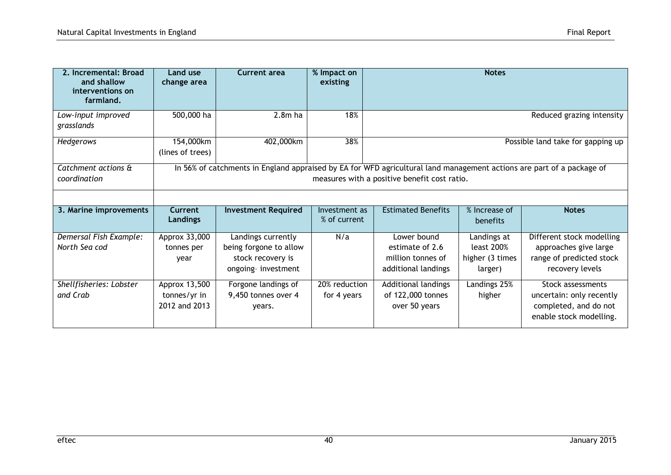| Final Report |
|--------------|
|              |

| 2. Incremental: Broad<br>and shallow<br>interventions on<br>farmland. | Land use<br>change area                        | Current area                                                                            | % Impact on<br>existing       | <b>Notes</b>                                                                                                                                                          |                                                         |                                                                                                   |  |
|-----------------------------------------------------------------------|------------------------------------------------|-----------------------------------------------------------------------------------------|-------------------------------|-----------------------------------------------------------------------------------------------------------------------------------------------------------------------|---------------------------------------------------------|---------------------------------------------------------------------------------------------------|--|
| Low-input improved<br>grasslands                                      | 500,000 ha                                     | $2.8m$ ha                                                                               | 18%                           | Reduced grazing intensity                                                                                                                                             |                                                         |                                                                                                   |  |
| Hedgerows                                                             | 154,000km<br>(lines of trees)                  | 402,000km                                                                               | 38%                           | Possible land take for gapping up                                                                                                                                     |                                                         |                                                                                                   |  |
| Catchment actions &<br>coordination                                   |                                                |                                                                                         |                               | In 56% of catchments in England appraised by EA for WFD agricultural land management actions are part of a package of<br>measures with a positive benefit cost ratio. |                                                         |                                                                                                   |  |
| 3. Marine improvements                                                | <b>Current</b><br><b>Landings</b>              | <b>Investment Required</b>                                                              | Investment as<br>% of current | <b>Estimated Benefits</b>                                                                                                                                             | % Increase of<br>benefits                               | <b>Notes</b>                                                                                      |  |
| Demersal Fish Example:<br>North Sea cod                               | Approx 33,000<br>tonnes per<br>year            | Landings currently<br>being forgone to allow<br>stock recovery is<br>ongoing-investment | N/a                           | Lower bound<br>estimate of 2.6<br>million tonnes of<br>additional landings                                                                                            | Landings at<br>least 200%<br>higher (3 times<br>larger) | Different stock modelling<br>approaches give large<br>range of predicted stock<br>recovery levels |  |
| Shellfisheries: Lobster<br>and Crab                                   | Approx 13,500<br>tonnes/yr in<br>2012 and 2013 | Forgone landings of<br>9,450 tonnes over 4<br>years.                                    | 20% reduction<br>for 4 years  | Additional landings<br>of 122,000 tonnes<br>over 50 years                                                                                                             | Landings 25%<br>higher                                  | Stock assessments<br>uncertain: only recently<br>completed, and do not<br>enable stock modelling. |  |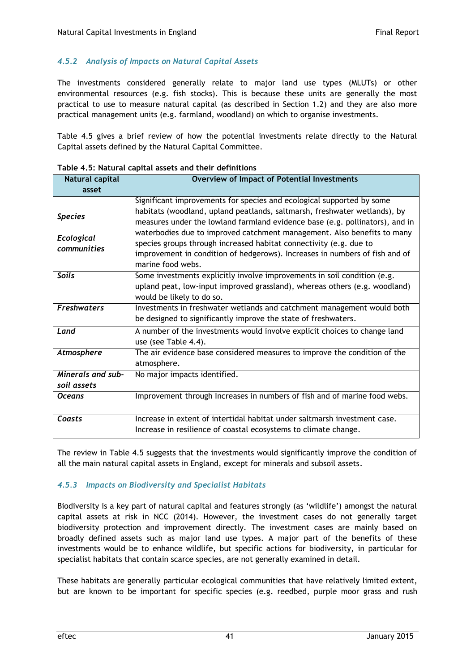### *4.5.2 Analysis of Impacts on Natural Capital Assets*

The investments considered generally relate to major land use types (MLUTs) or other environmental resources (e.g. fish stocks). This is because these units are generally the most practical to use to measure natural capital (as described in Section 1.2) and they are also more practical management units (e.g. farmland, woodland) on which to organise investments.

Table 4.5 gives a brief review of how the potential investments relate directly to the Natural Capital assets defined by the Natural Capital Committee.

| Natural capital                             | <b>Overview of Impact of Potential Investments</b>                                                                                                                                                                                                                                                                                                                                                                                                                                      |
|---------------------------------------------|-----------------------------------------------------------------------------------------------------------------------------------------------------------------------------------------------------------------------------------------------------------------------------------------------------------------------------------------------------------------------------------------------------------------------------------------------------------------------------------------|
| asset                                       |                                                                                                                                                                                                                                                                                                                                                                                                                                                                                         |
| <b>Species</b><br>Ecological<br>communities | Significant improvements for species and ecological supported by some<br>habitats (woodland, upland peatlands, saltmarsh, freshwater wetlands), by<br>measures under the lowland farmland evidence base (e.g. pollinators), and in<br>waterbodies due to improved catchment management. Also benefits to many<br>species groups through increased habitat connectivity (e.g. due to<br>improvement in condition of hedgerows). Increases in numbers of fish and of<br>marine food webs. |
| <b>Soils</b>                                | Some investments explicitly involve improvements in soil condition (e.g.<br>upland peat, low-input improved grassland), whereas others (e.g. woodland)<br>would be likely to do so.                                                                                                                                                                                                                                                                                                     |
| <b>Freshwaters</b>                          | Investments in freshwater wetlands and catchment management would both<br>be designed to significantly improve the state of freshwaters.                                                                                                                                                                                                                                                                                                                                                |
| Land                                        | A number of the investments would involve explicit choices to change land<br>use (see Table 4.4).                                                                                                                                                                                                                                                                                                                                                                                       |
| Atmosphere                                  | The air evidence base considered measures to improve the condition of the<br>atmosphere.                                                                                                                                                                                                                                                                                                                                                                                                |
| Minerals and sub-<br>soil assets            | No major impacts identified.                                                                                                                                                                                                                                                                                                                                                                                                                                                            |
| <b>Oceans</b>                               | Improvement through Increases in numbers of fish and of marine food webs.                                                                                                                                                                                                                                                                                                                                                                                                               |
| Coasts                                      | Increase in extent of intertidal habitat under saltmarsh investment case.<br>Increase in resilience of coastal ecosystems to climate change.                                                                                                                                                                                                                                                                                                                                            |

**Table 4.5: Natural capital assets and their definitions**

The review in Table 4.5 suggests that the investments would significantly improve the condition of all the main natural capital assets in England, except for minerals and subsoil assets.

### *4.5.3 Impacts on Biodiversity and Specialist Habitats*

Biodiversity is a key part of natural capital and features strongly (as 'wildlife') amongst the natural capital assets at risk in NCC (2014). However, the investment cases do not generally target biodiversity protection and improvement directly. The investment cases are mainly based on broadly defined assets such as major land use types. A major part of the benefits of these investments would be to enhance wildlife, but specific actions for biodiversity, in particular for specialist habitats that contain scarce species, are not generally examined in detail.

These habitats are generally particular ecological communities that have relatively limited extent, but are known to be important for specific species (e.g. reedbed, purple moor grass and rush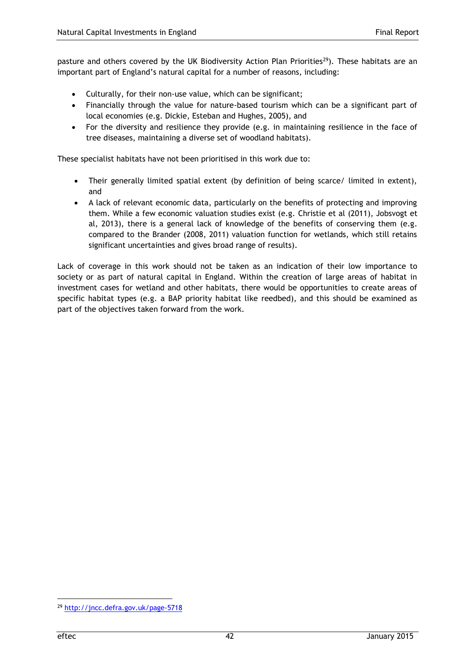pasture and others covered by the UK Biodiversity Action Plan Priorities<sup>29</sup>). These habitats are an important part of England's natural capital for a number of reasons, including:

- Culturally, for their non-use value, which can be significant;
- Financially through the value for nature-based tourism which can be a significant part of local economies (e.g. Dickie, Esteban and Hughes, 2005), and
- For the diversity and resilience they provide (e.g. in maintaining resilience in the face of tree diseases, maintaining a diverse set of woodland habitats).

These specialist habitats have not been prioritised in this work due to:

- Their generally limited spatial extent (by definition of being scarce/ limited in extent), and
- A lack of relevant economic data, particularly on the benefits of protecting and improving them. While a few economic valuation studies exist (e.g. Christie et al (2011), Jobsvogt et al, 2013), there is a general lack of knowledge of the benefits of conserving them (e.g. compared to the Brander (2008, 2011) valuation function for wetlands, which still retains significant uncertainties and gives broad range of results).

Lack of coverage in this work should not be taken as an indication of their low importance to society or as part of natural capital in England. Within the creation of large areas of habitat in investment cases for wetland and other habitats, there would be opportunities to create areas of specific habitat types (e.g. a BAP priority habitat like reedbed), and this should be examined as part of the objectives taken forward from the work.

<sup>29</sup> <http://jncc.defra.gov.uk/page-5718>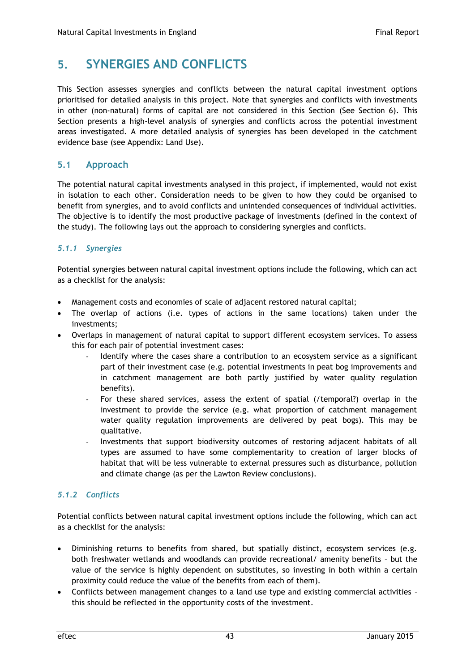## **5. SYNERGIES AND CONFLICTS**

This Section assesses synergies and conflicts between the natural capital investment options prioritised for detailed analysis in this project. Note that synergies and conflicts with investments in other (non-natural) forms of capital are not considered in this Section (See Section 6). This Section presents a high-level analysis of synergies and conflicts across the potential investment areas investigated. A more detailed analysis of synergies has been developed in the catchment evidence base (see Appendix: Land Use).

### **5.1 Approach**

The potential natural capital investments analysed in this project, if implemented, would not exist in isolation to each other. Consideration needs to be given to how they could be organised to benefit from synergies, and to avoid conflicts and unintended consequences of individual activities. The objective is to identify the most productive package of investments (defined in the context of the study). The following lays out the approach to considering synergies and conflicts.

### *5.1.1 Synergies*

Potential synergies between natural capital investment options include the following, which can act as a checklist for the analysis:

- Management costs and economies of scale of adjacent restored natural capital;
- The overlap of actions (i.e. types of actions in the same locations) taken under the investments;
- Overlaps in management of natural capital to support different ecosystem services. To assess this for each pair of potential investment cases:
	- Identify where the cases share a contribution to an ecosystem service as a significant part of their investment case (e.g. potential investments in peat bog improvements and in catchment management are both partly justified by water quality regulation benefits).
	- For these shared services, assess the extent of spatial (/temporal?) overlap in the investment to provide the service (e.g. what proportion of catchment management water quality regulation improvements are delivered by peat bogs). This may be qualitative.
	- Investments that support biodiversity outcomes of restoring adjacent habitats of all types are assumed to have some complementarity to creation of larger blocks of habitat that will be less vulnerable to external pressures such as disturbance, pollution and climate change (as per the Lawton Review conclusions).

### *5.1.2 Conflicts*

Potential conflicts between natural capital investment options include the following, which can act as a checklist for the analysis:

- Diminishing returns to benefits from shared, but spatially distinct, ecosystem services (e.g. both freshwater wetlands and woodlands can provide recreational/ amenity benefits – but the value of the service is highly dependent on substitutes, so investing in both within a certain proximity could reduce the value of the benefits from each of them).
- Conflicts between management changes to a land use type and existing commercial activities this should be reflected in the opportunity costs of the investment.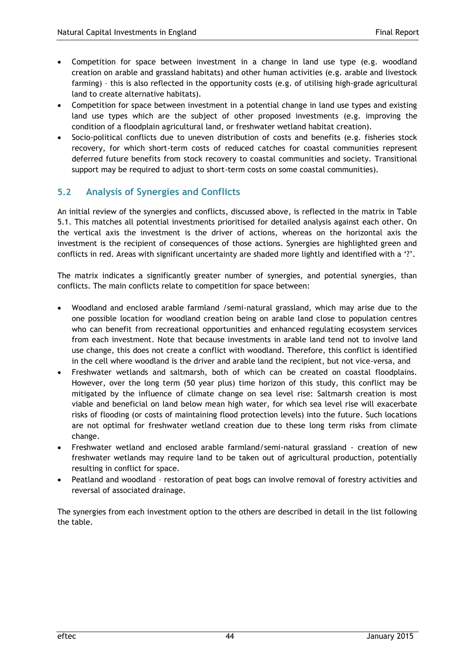- Competition for space between investment in a change in land use type (e.g. woodland creation on arable and grassland habitats) and other human activities (e.g. arable and livestock farming) – this is also reflected in the opportunity costs (e.g. of utilising high-grade agricultural land to create alternative habitats).
- Competition for space between investment in a potential change in land use types and existing land use types which are the subject of other proposed investments (e.g. improving the condition of a floodplain agricultural land, or freshwater wetland habitat creation).
- Socio-political conflicts due to uneven distribution of costs and benefits (e.g. fisheries stock recovery, for which short-term costs of reduced catches for coastal communities represent deferred future benefits from stock recovery to coastal communities and society. Transitional support may be required to adjust to short-term costs on some coastal communities).

## **5.2 Analysis of Synergies and Conflicts**

An initial review of the synergies and conflicts, discussed above, is reflected in the matrix in Table 5.1. This matches all potential investments prioritised for detailed analysis against each other. On the vertical axis the investment is the driver of actions, whereas on the horizontal axis the investment is the recipient of consequences of those actions. Synergies are highlighted green and conflicts in red. Areas with significant uncertainty are shaded more lightly and identified with a '?'.

The matrix indicates a significantly greater number of synergies, and potential synergies, than conflicts. The main conflicts relate to competition for space between:

- Woodland and enclosed arable farmland /semi-natural grassland, which may arise due to the one possible location for woodland creation being on arable land close to population centres who can benefit from recreational opportunities and enhanced regulating ecosystem services from each investment. Note that because investments in arable land tend not to involve land use change, this does not create a conflict with woodland. Therefore, this conflict is identified in the cell where woodland is the driver and arable land the recipient, but not vice-versa, and
- Freshwater wetlands and saltmarsh, both of which can be created on coastal floodplains. However, over the long term (50 year plus) time horizon of this study, this conflict may be mitigated by the influence of climate change on sea level rise: Saltmarsh creation is most viable and beneficial on land below mean high water, for which sea level rise will exacerbate risks of flooding (or costs of maintaining flood protection levels) into the future. Such locations are not optimal for freshwater wetland creation due to these long term risks from climate change.
- Freshwater wetland and enclosed arable farmland/semi-natural grassland creation of new freshwater wetlands may require land to be taken out of agricultural production, potentially resulting in conflict for space.
- Peatland and woodland restoration of peat bogs can involve removal of forestry activities and reversal of associated drainage.

The synergies from each investment option to the others are described in detail in the list following the table.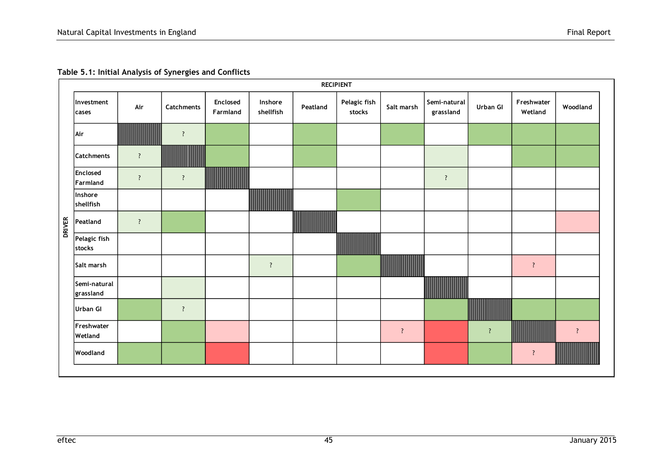|               |                           |            |            |                      |                      |          | <b>RECIPIENT</b>       |                |                           |                |                       |                    |
|---------------|---------------------------|------------|------------|----------------------|----------------------|----------|------------------------|----------------|---------------------------|----------------|-----------------------|--------------------|
|               | Investment<br>cases       | Air        | Catchments | Enclosed<br>Farmland | Inshore<br>shellfish | Peatland | Pelagic fish<br>stocks | Salt marsh     | Semi-natural<br>grassland | Urban GI       | Freshwater<br>Wetland | Woodland           |
|               | Air                       |            | $\ddot{?}$ |                      |                      |          |                        |                |                           |                |                       |                    |
|               | <b>Catchments</b>         | ?          |            |                      |                      |          |                        |                |                           |                |                       |                    |
|               | Enclosed<br>Farmland      | $\ddot{?}$ | $\ddot{?}$ |                      |                      |          |                        |                | $\overline{?}$            |                |                       |                    |
|               | Inshore<br>shellfish      |            |            |                      |                      |          |                        |                |                           |                |                       |                    |
| <b>DRIVER</b> | Peatland                  | $\ddot{?}$ |            |                      |                      |          |                        |                |                           |                |                       |                    |
|               | Pelagic fish<br>stocks    |            |            |                      |                      |          | <u> ANTIQUE S</u>      |                |                           |                |                       |                    |
|               | Salt marsh                |            |            |                      | $\cdot$              |          |                        | ,,,,,,,,,,,    |                           |                | $\ddot{?}$            |                    |
|               | Semi-natural<br>grassland |            |            |                      |                      |          |                        |                | ШШ                        |                |                       |                    |
|               | <b>Urban GI</b>           |            | $\ddot{?}$ |                      |                      |          |                        |                |                           |                |                       |                    |
|               | Freshwater<br>Wetland     |            |            |                      |                      |          |                        | $\ddot{\cdot}$ |                           | $\overline{?}$ |                       | $\overline{\cdot}$ |
|               | Woodland                  |            |            |                      |                      |          |                        |                |                           |                | $\ddot{?}$            |                    |
|               |                           |            |            |                      |                      |          |                        |                |                           |                |                       |                    |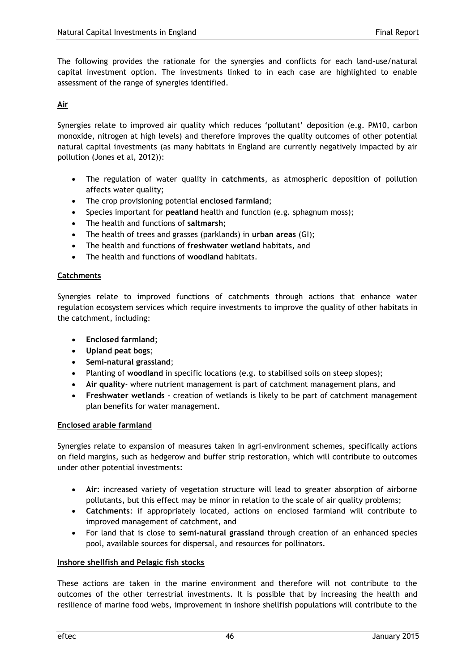The following provides the rationale for the synergies and conflicts for each land-use/natural capital investment option. The investments linked to in each case are highlighted to enable assessment of the range of synergies identified.

### **Air**

Synergies relate to improved air quality which reduces 'pollutant' deposition (e.g. PM10, carbon monoxide, nitrogen at high levels) and therefore improves the quality outcomes of other potential natural capital investments (as many habitats in England are currently negatively impacted by air pollution (Jones et al, 2012)):

- The regulation of water quality in **catchments**, as atmospheric deposition of pollution affects water quality;
- The crop provisioning potential **enclosed farmland**;
- Species important for **peatland** health and function (e.g. sphagnum moss);
- The health and functions of **saltmarsh**;
- The health of trees and grasses (parklands) in **urban areas** (GI);
- The health and functions of **freshwater wetland** habitats, and
- The health and functions of **woodland** habitats.

### **Catchments**

Synergies relate to improved functions of catchments through actions that enhance water regulation ecosystem services which require investments to improve the quality of other habitats in the catchment, including:

- **Enclosed farmland**;
- **Upland peat bogs**;
- **Semi-natural grassland**;
- Planting of **woodland** in specific locations (e.g. to stabilised soils on steep slopes);
- **Air quality** where nutrient management is part of catchment management plans, and
- **Freshwater wetlands** creation of wetlands is likely to be part of catchment management plan benefits for water management.

### **Enclosed arable farmland**

Synergies relate to expansion of measures taken in agri-environment schemes, specifically actions on field margins, such as hedgerow and buffer strip restoration, which will contribute to outcomes under other potential investments:

- **Air**: increased variety of vegetation structure will lead to greater absorption of airborne pollutants, but this effect may be minor in relation to the scale of air quality problems;
- **Catchments**: if appropriately located, actions on enclosed farmland will contribute to improved management of catchment, and
- For land that is close to **semi-natural grassland** through creation of an enhanced species pool, available sources for dispersal, and resources for pollinators.

### **Inshore shellfish and Pelagic fish stocks**

These actions are taken in the marine environment and therefore will not contribute to the outcomes of the other terrestrial investments. It is possible that by increasing the health and resilience of marine food webs, improvement in inshore shellfish populations will contribute to the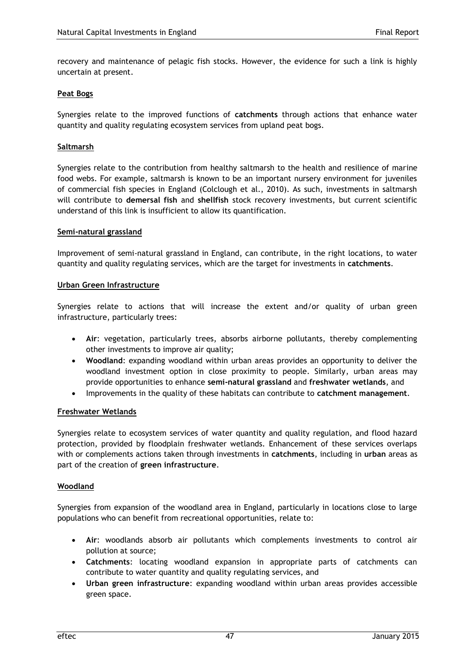recovery and maintenance of pelagic fish stocks. However, the evidence for such a link is highly uncertain at present.

### **Peat Bogs**

Synergies relate to the improved functions of **catchments** through actions that enhance water quantity and quality regulating ecosystem services from upland peat bogs.

### **Saltmarsh**

Synergies relate to the contribution from healthy saltmarsh to the health and resilience of marine food webs. For example, saltmarsh is known to be an important nursery environment for juveniles of commercial fish species in England (Colclough et al., 2010). As such, investments in saltmarsh will contribute to **demersal fish** and **shellfish** stock recovery investments, but current scientific understand of this link is insufficient to allow its quantification.

### **Semi-natural grassland**

Improvement of semi-natural grassland in England, can contribute, in the right locations, to water quantity and quality regulating services, which are the target for investments in **catchments**.

### **Urban Green Infrastructure**

Synergies relate to actions that will increase the extent and/or quality of urban green infrastructure, particularly trees:

- **Air**: vegetation, particularly trees, absorbs airborne pollutants, thereby complementing other investments to improve air quality;
- **Woodland**: expanding woodland within urban areas provides an opportunity to deliver the woodland investment option in close proximity to people. Similarly, urban areas may provide opportunities to enhance **semi-natural grassland** and **freshwater wetlands**, and
- Improvements in the quality of these habitats can contribute to **catchment management**.

### **Freshwater Wetlands**

Synergies relate to ecosystem services of water quantity and quality regulation, and flood hazard protection, provided by floodplain freshwater wetlands. Enhancement of these services overlaps with or complements actions taken through investments in **catchments**, including in **urban** areas as part of the creation of **green infrastructure**.

### **Woodland**

Synergies from expansion of the woodland area in England, particularly in locations close to large populations who can benefit from recreational opportunities, relate to:

- **Air**: woodlands absorb air pollutants which complements investments to control air pollution at source;
- **Catchments**: locating woodland expansion in appropriate parts of catchments can contribute to water quantity and quality regulating services, and
- **Urban green infrastructure**: expanding woodland within urban areas provides accessible green space.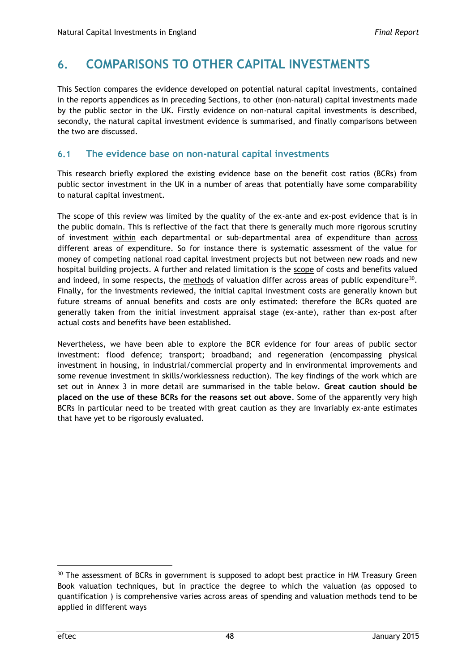## **6. COMPARISONS TO OTHER CAPITAL INVESTMENTS**

This Section compares the evidence developed on potential natural capital investments, contained in the reports appendices as in preceding Sections, to other (non-natural) capital investments made by the public sector in the UK. Firstly evidence on non-natural capital investments is described, secondly, the natural capital investment evidence is summarised, and finally comparisons between the two are discussed.

### **6.1 The evidence base on non-natural capital investments**

This research briefly explored the existing evidence base on the benefit cost ratios (BCRs) from public sector investment in the UK in a number of areas that potentially have some comparability to natural capital investment.

The scope of this review was limited by the quality of the ex-ante and ex-post evidence that is in the public domain. This is reflective of the fact that there is generally much more rigorous scrutiny of investment within each departmental or sub-departmental area of expenditure than across different areas of expenditure. So for instance there is systematic assessment of the value for money of competing national road capital investment projects but not between new roads and new hospital building projects. A further and related limitation is the scope of costs and benefits valued and indeed, in some respects, the  $methods$  of valuation differ across areas of public expenditure<sup>30</sup>. Finally, for the investments reviewed, the initial capital investment costs are generally known but future streams of annual benefits and costs are only estimated: therefore the BCRs quoted are generally taken from the initial investment appraisal stage (ex-ante), rather than ex-post after actual costs and benefits have been established.

Nevertheless, we have been able to explore the BCR evidence for four areas of public sector investment: flood defence; transport; broadband; and regeneration (encompassing physical investment in housing, in industrial/commercial property and in environmental improvements and some revenue investment in skills/worklessness reduction). The key findings of the work which are set out in Annex 3 in more detail are summarised in the table below. **Great caution should be placed on the use of these BCRs for the reasons set out above**. Some of the apparently very high BCRs in particular need to be treated with great caution as they are invariably ex-ante estimates that have yet to be rigorously evaluated.

1

<sup>&</sup>lt;sup>30</sup> The assessment of BCRs in government is supposed to adopt best practice in HM Treasury Green Book valuation techniques, but in practice the degree to which the valuation (as opposed to quantification ) is comprehensive varies across areas of spending and valuation methods tend to be applied in different ways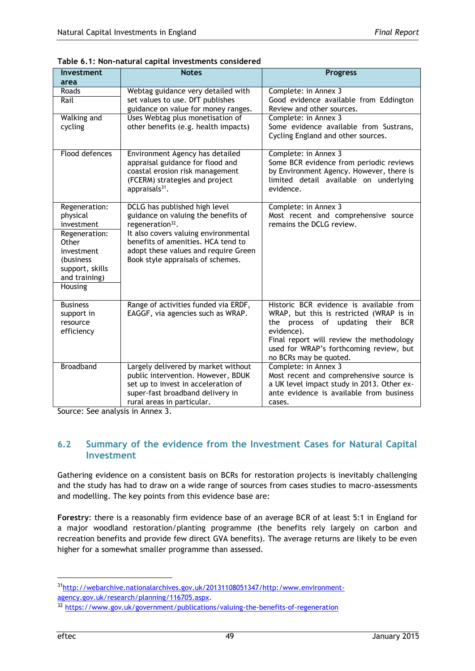| <b>Investment</b>                                       | <b>Notes</b>                                                                                                                                                                       | <b>Progress</b>                                                                                                                                                                                                                                                         |
|---------------------------------------------------------|------------------------------------------------------------------------------------------------------------------------------------------------------------------------------------|-------------------------------------------------------------------------------------------------------------------------------------------------------------------------------------------------------------------------------------------------------------------------|
| area                                                    |                                                                                                                                                                                    |                                                                                                                                                                                                                                                                         |
| Roads<br>Rail                                           | Webtag guidance very detailed with<br>set values to use. DfT publishes                                                                                                             | Complete: in Annex 3<br>Good evidence available from Eddington                                                                                                                                                                                                          |
|                                                         | guidance on value for money ranges.                                                                                                                                                | Review and other sources.                                                                                                                                                                                                                                               |
| <b>Walking and</b>                                      | Uses Webtag plus monetisation of                                                                                                                                                   | Complete: in Annex 3                                                                                                                                                                                                                                                    |
| cycling                                                 | other benefits (e.g. health impacts)                                                                                                                                               | Some evidence available from Sustrans,<br>Cycling England and other sources.                                                                                                                                                                                            |
| Flood defences                                          | Environment Agency has detailed<br>appraisal guidance for flood and<br>coastal erosion risk management<br>(FCERM) strategies and project<br>appraisals <sup>31</sup> .             | Complete: in Annex 3<br>Some BCR evidence from periodic reviews<br>by Environment Agency. However, there is<br>limited detail available on underlying<br>evidence.                                                                                                      |
| Regeneration:                                           | DCLG has published high level                                                                                                                                                      | Complete: in Annex 3                                                                                                                                                                                                                                                    |
| physical<br>investment                                  | guidance on valuing the benefits of<br>regeneration <sup>32</sup> .                                                                                                                | Most recent and comprehensive source<br>remains the DCLG review.                                                                                                                                                                                                        |
| Regeneration:<br>Other<br>investment                    | It also covers valuing environmental<br>benefits of amenities. HCA tend to<br>adopt these values and require Green                                                                 |                                                                                                                                                                                                                                                                         |
| (business)<br>support, skills<br>and training)          | Book style appraisals of schemes.                                                                                                                                                  |                                                                                                                                                                                                                                                                         |
| Housing                                                 |                                                                                                                                                                                    |                                                                                                                                                                                                                                                                         |
| <b>Business</b><br>support in<br>resource<br>efficiency | Range of activities funded via ERDF,<br>EAGGF, via agencies such as WRAP.                                                                                                          | Historic BCR evidence is available from<br>WRAP, but this is restricted (WRAP is in<br>the process of<br>updating<br>their<br><b>BCR</b><br>evidence).<br>Final report will review the methodology<br>used for WRAP's forthcoming review, but<br>no BCRs may be quoted. |
| <b>Broadband</b>                                        | Largely delivered by market without<br>public intervention. However, BDUK<br>set up to invest in acceleration of<br>super-fast broadband delivery in<br>rural areas in particular. | Complete: in Annex 3<br>Most recent and comprehensive source is<br>a UK level impact study in 2013. Other ex-<br>ante evidence is available from business<br>cases.                                                                                                     |

**Table 6.1: Non-natural capital investments considered**

Source: See analysis in Annex 3.

### **6.2 Summary of the evidence from the Investment Cases for Natural Capital Investment**

Gathering evidence on a consistent basis on BCRs for restoration projects is inevitably challenging and the study has had to draw on a wide range of sources from cases studies to macro-assessments and modelling. The key points from this evidence base are:

**Forestry**: there is a reasonably firm evidence base of an average BCR of at least 5:1 in England for a major woodland restoration/planting programme (the benefits rely largely on carbon and recreation benefits and provide few direct GVA benefits). The average returns are likely to be even higher for a somewhat smaller programme than assessed.

<sup>31</sup>[http://webarchive.nationalarchives.gov.uk/20131108051347/http:/www.environment](http://webarchive.nationalarchives.gov.uk/20131108051347/http:/www.environment-agency.gov.uk/research/planning/116705.aspx)[agency.gov.uk/research/planning/116705.aspx.](http://webarchive.nationalarchives.gov.uk/20131108051347/http:/www.environment-agency.gov.uk/research/planning/116705.aspx)

<sup>32</sup> <https://www.gov.uk/government/publications/valuing-the-benefits-of-regeneration>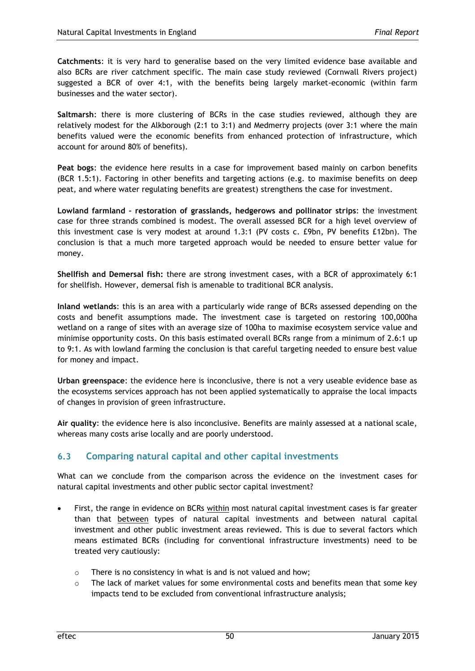**Catchments**: it is very hard to generalise based on the very limited evidence base available and also BCRs are river catchment specific. The main case study reviewed (Cornwall Rivers project) suggested a BCR of over 4:1, with the benefits being largely market-economic (within farm businesses and the water sector).

**Saltmarsh**: there is more clustering of BCRs in the case studies reviewed, although they are relatively modest for the Alkborough (2:1 to 3:1) and Medmerry projects (over 3:1 where the main benefits valued were the economic benefits from enhanced protection of infrastructure, which account for around 80% of benefits).

**Peat bogs**: the evidence here results in a case for improvement based mainly on carbon benefits (BCR 1.5:1). Factoring in other benefits and targeting actions (e.g. to maximise benefits on deep peat, and where water regulating benefits are greatest) strengthens the case for investment.

**Lowland farmland – restoration of grasslands, hedgerows and pollinator strips**: the investment case for three strands combined is modest. The overall assessed BCR for a high level overview of this investment case is very modest at around 1.3:1 (PV costs c. £9bn, PV benefits £12bn). The conclusion is that a much more targeted approach would be needed to ensure better value for money.

**Shellfish and Demersal fish:** there are strong investment cases, with a BCR of approximately 6:1 for shellfish. However, demersal fish is amenable to traditional BCR analysis.

**Inland wetlands**: this is an area with a particularly wide range of BCRs assessed depending on the costs and benefit assumptions made. The investment case is targeted on restoring 100,000ha wetland on a range of sites with an average size of 100ha to maximise ecosystem service value and minimise opportunity costs. On this basis estimated overall BCRs range from a minimum of 2.6:1 up to 9:1. As with lowland farming the conclusion is that careful targeting needed to ensure best value for money and impact.

**Urban greenspace**: the evidence here is inconclusive, there is not a very useable evidence base as the ecosystems services approach has not been applied systematically to appraise the local impacts of changes in provision of green infrastructure.

**Air quality**: the evidence here is also inconclusive. Benefits are mainly assessed at a national scale, whereas many costs arise locally and are poorly understood.

## **6.3 Comparing natural capital and other capital investments**

What can we conclude from the comparison across the evidence on the investment cases for natural capital investments and other public sector capital investment?

- First, the range in evidence on BCRs within most natural capital investment cases is far greater than that between types of natural capital investments and between natural capital investment and other public investment areas reviewed. This is due to several factors which means estimated BCRs (including for conventional infrastructure investments) need to be treated very cautiously:
	- o There is no consistency in what is and is not valued and how;
	- $\circ$  The lack of market values for some environmental costs and benefits mean that some key impacts tend to be excluded from conventional infrastructure analysis;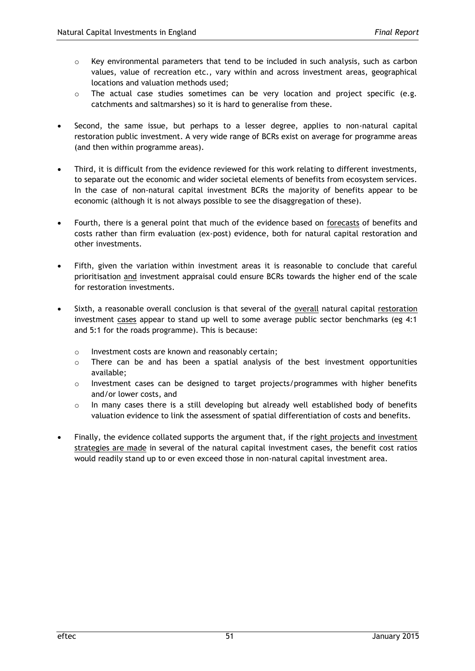- $\circ$  Key environmental parameters that tend to be included in such analysis, such as carbon values, value of recreation etc., vary within and across investment areas, geographical locations and valuation methods used;
- $\circ$  The actual case studies sometimes can be very location and project specific (e.g. catchments and saltmarshes) so it is hard to generalise from these.
- Second, the same issue, but perhaps to a lesser degree, applies to non-natural capital restoration public investment. A very wide range of BCRs exist on average for programme areas (and then within programme areas).
- Third, it is difficult from the evidence reviewed for this work relating to different investments, to separate out the economic and wider societal elements of benefits from ecosystem services. In the case of non-natural capital investment BCRs the majority of benefits appear to be economic (although it is not always possible to see the disaggregation of these).
- Fourth, there is a general point that much of the evidence based on forecasts of benefits and costs rather than firm evaluation (ex-post) evidence, both for natural capital restoration and other investments.
- Fifth, given the variation within investment areas it is reasonable to conclude that careful prioritisation and investment appraisal could ensure BCRs towards the higher end of the scale for restoration investments.
- Sixth, a reasonable overall conclusion is that several of the overall natural capital restoration investment cases appear to stand up well to some average public sector benchmarks (eg 4:1 and 5:1 for the roads programme). This is because:
	- o Investment costs are known and reasonably certain;
	- $\circ$  There can be and has been a spatial analysis of the best investment opportunities available;
	- o Investment cases can be designed to target projects/programmes with higher benefits and/or lower costs, and
	- o In many cases there is a still developing but already well established body of benefits valuation evidence to link the assessment of spatial differentiation of costs and benefits.
- Finally, the evidence collated supports the argument that, if the right projects and investment strategies are made in several of the natural capital investment cases, the benefit cost ratios would readily stand up to or even exceed those in non-natural capital investment area.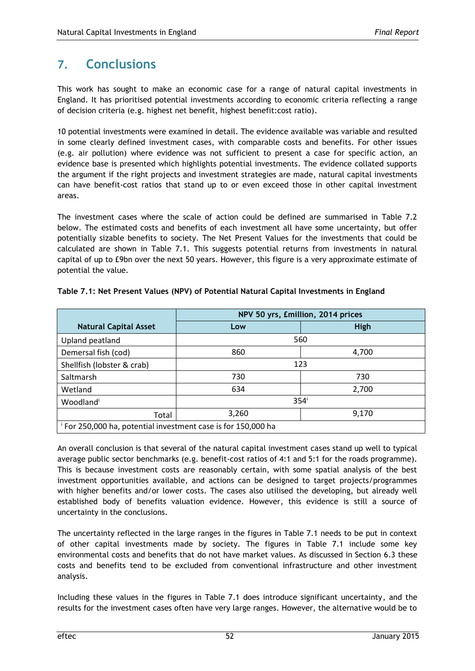## **7. Conclusions**

This work has sought to make an economic case for a range of natural capital investments in England. It has prioritised potential investments according to economic criteria reflecting a range of decision criteria (e.g. highest net benefit, highest benefit:cost ratio).

10 potential investments were examined in detail. The evidence available was variable and resulted in some clearly defined investment cases, with comparable costs and benefits. For other issues (e.g. air pollution) where evidence was not sufficient to present a case for specific action, an evidence base is presented which highlights potential investments. The evidence collated supports the argument if the right projects and investment strategies are made, natural capital investments can have benefit-cost ratios that stand up to or even exceed those in other capital investment areas.

The investment cases where the scale of action could be defined are summarised in Table 7.2 below. The estimated costs and benefits of each investment all have some uncertainty, but offer potentially sizable benefits to society. The Net Present Values for the investments that could be calculated are shown in Table 7.1. This suggests potential returns from investments in natural capital of up to £9bn over the next 50 years. However, this figure is a very approximate estimate of potential the value.

|                                                                          | NPV 50 yrs, £million, 2014 prices |                  |  |  |  |  |  |
|--------------------------------------------------------------------------|-----------------------------------|------------------|--|--|--|--|--|
| <b>Natural Capital Asset</b>                                             | Low                               | High             |  |  |  |  |  |
| Upland peatland                                                          | 560                               |                  |  |  |  |  |  |
| Demersal fish (cod)                                                      | 860                               | 4,700            |  |  |  |  |  |
| Shellfish (lobster & crab)                                               | 123                               |                  |  |  |  |  |  |
| Saltmarsh                                                                | 730                               | 730              |  |  |  |  |  |
| Wetland                                                                  | 634                               | 2,700            |  |  |  |  |  |
| Woodland                                                                 |                                   | 354 <sup>i</sup> |  |  |  |  |  |
| Total                                                                    | 3,260                             | 9,170            |  |  |  |  |  |
| <sup>i</sup> For 250,000 ha, potential investment case is for 150,000 ha |                                   |                  |  |  |  |  |  |

**Table 7.1: Net Present Values (NPV) of Potential Natural Capital Investments in England**

An overall conclusion is that several of the natural capital investment cases stand up well to typical average public sector benchmarks (e.g. benefit-cost ratios of 4:1 and 5:1 for the roads programme). This is because investment costs are reasonably certain, with some spatial analysis of the best investment opportunities available, and actions can be designed to target projects/programmes with higher benefits and/or lower costs. The cases also utilised the developing, but already well established body of benefits valuation evidence. However, this evidence is still a source of uncertainty in the conclusions.

The uncertainty reflected in the large ranges in the figures in Table 7.1 needs to be put in context of other capital investments made by society. The figures in Table 7.1 include some key environmental costs and benefits that do not have market values. As discussed in Section 6.3 these costs and benefits tend to be excluded from conventional infrastructure and other investment analysis.

Including these values in the figures in Table 7.1 does introduce significant uncertainty, and the results for the investment cases often have very large ranges. However, the alternative would be to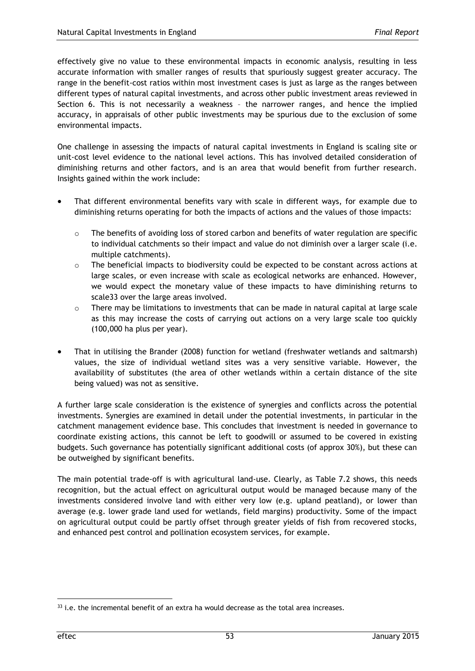effectively give no value to these environmental impacts in economic analysis, resulting in less accurate information with smaller ranges of results that spuriously suggest greater accuracy. The range in the benefit-cost ratios within most investment cases is just as large as the ranges between different types of natural capital investments, and across other public investment areas reviewed in Section 6. This is not necessarily a weakness – the narrower ranges, and hence the implied accuracy, in appraisals of other public investments may be spurious due to the exclusion of some environmental impacts.

One challenge in assessing the impacts of natural capital investments in England is scaling site or unit-cost level evidence to the national level actions. This has involved detailed consideration of diminishing returns and other factors, and is an area that would benefit from further research. Insights gained within the work include:

- That different environmental benefits vary with scale in different ways, for example due to diminishing returns operating for both the impacts of actions and the values of those impacts:
	- $\circ$  The benefits of avoiding loss of stored carbon and benefits of water regulation are specific to individual catchments so their impact and value do not diminish over a larger scale (i.e. multiple catchments).
	- $\circ$  The beneficial impacts to biodiversity could be expected to be constant across actions at large scales, or even increase with scale as ecological networks are enhanced. However, we would expect the monetary value of these impacts to have diminishing returns to scale33 over the large areas involved.
	- $\circ$  There may be limitations to investments that can be made in natural capital at large scale as this may increase the costs of carrying out actions on a very large scale too quickly (100,000 ha plus per year).
- That in utilising the Brander (2008) function for wetland (freshwater wetlands and saltmarsh) values, the size of individual wetland sites was a very sensitive variable. However, the availability of substitutes (the area of other wetlands within a certain distance of the site being valued) was not as sensitive.

A further large scale consideration is the existence of synergies and conflicts across the potential investments. Synergies are examined in detail under the potential investments, in particular in the catchment management evidence base. This concludes that investment is needed in governance to coordinate existing actions, this cannot be left to goodwill or assumed to be covered in existing budgets. Such governance has potentially significant additional costs (of approx 30%), but these can be outweighed by significant benefits.

The main potential trade-off is with agricultural land-use. Clearly, as Table 7.2 shows, this needs recognition, but the actual effect on agricultural output would be managed because many of the investments considered involve land with either very low (e.g. upland peatland), or lower than average (e.g. lower grade land used for wetlands, field margins) productivity. Some of the impact on agricultural output could be partly offset through greater yields of fish from recovered stocks, and enhanced pest control and pollination ecosystem services, for example.

 $33$  i.e. the incremental benefit of an extra ha would decrease as the total area increases.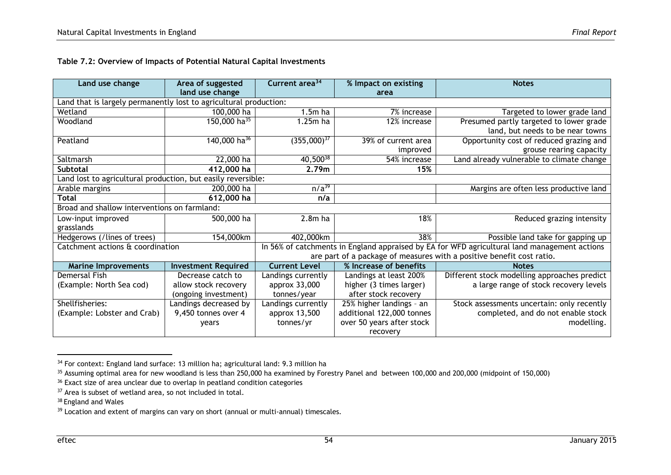| Land use change                                                   | Area of suggested          | Current area <sup>34</sup>                                                                   | % Impact on existing      | <b>Notes</b>                                                          |  |
|-------------------------------------------------------------------|----------------------------|----------------------------------------------------------------------------------------------|---------------------------|-----------------------------------------------------------------------|--|
|                                                                   | land use change            |                                                                                              | area                      |                                                                       |  |
| Land that is largely permanently lost to agricultural production: |                            |                                                                                              |                           |                                                                       |  |
| Wetland                                                           | 100,000 ha                 | $1.5m$ ha                                                                                    | 7% increase               | Targeted to lower grade land                                          |  |
| Woodland                                                          | 150,000 ha <sup>35</sup>   | 1.25m ha                                                                                     | 12% increase              | Presumed partly targeted to lower grade                               |  |
|                                                                   |                            |                                                                                              |                           | land, but needs to be near towns                                      |  |
| Peatland                                                          | 140,000 ha <sup>36</sup>   | $(355,000)^{37}$                                                                             | 39% of current area       | Opportunity cost of reduced grazing and                               |  |
|                                                                   |                            |                                                                                              | improved                  | grouse rearing capacity                                               |  |
| Saltmarsh                                                         | 22,000 ha                  | $40,500^{38}$                                                                                | 54% increase              | Land already vulnerable to climate change                             |  |
| <b>Subtotal</b>                                                   | 412,000 ha                 | 2.79m                                                                                        | 15%                       |                                                                       |  |
| Land lost to agricultural production, but easily reversible:      |                            |                                                                                              |                           |                                                                       |  |
| Arable margins                                                    | 200,000 ha                 | $n/a^{39}$                                                                                   |                           | Margins are often less productive land                                |  |
| <b>Total</b>                                                      | 612,000 ha                 | n/a                                                                                          |                           |                                                                       |  |
| Broad and shallow interventions on farmland:                      |                            |                                                                                              |                           |                                                                       |  |
| Low-input improved                                                | 500,000 ha                 | $2.8m$ ha                                                                                    | 18%                       | Reduced grazing intensity                                             |  |
| grasslands                                                        |                            |                                                                                              |                           |                                                                       |  |
| Hedgerows (/lines of trees)                                       | 154,000km                  | 402,000km                                                                                    | 38%                       | Possible land take for gapping up                                     |  |
| Catchment actions & coordination                                  |                            | In 56% of catchments in England appraised by EA for WFD agricultural land management actions |                           |                                                                       |  |
|                                                                   |                            |                                                                                              |                           | are part of a package of measures with a positive benefit cost ratio. |  |
| <b>Marine Improvements</b>                                        | <b>Investment Required</b> | <b>Current Level</b>                                                                         | % Increase of benefits    | <b>Notes</b>                                                          |  |
| Demersal Fish                                                     | Decrease catch to          | Landings currently                                                                           | Landings at least 200%    | Different stock modelling approaches predict                          |  |
| (Example: North Sea cod)                                          | allow stock recovery       | approx 33,000                                                                                | higher (3 times larger)   | a large range of stock recovery levels                                |  |
|                                                                   | (ongoing investment)       | tonnes/year                                                                                  | after stock recovery      |                                                                       |  |
| Shellfisheries:                                                   | Landings decreased by      | Landings currently                                                                           | 25% higher landings - an  | Stock assessments uncertain: only recently                            |  |
| (Example: Lobster and Crab)                                       | 9,450 tonnes over 4        | approx 13,500                                                                                | additional 122,000 tonnes | completed, and do not enable stock                                    |  |
|                                                                   | years                      | tonnes/yr                                                                                    | over 50 years after stock | modelling.                                                            |  |
|                                                                   |                            |                                                                                              | recovery                  |                                                                       |  |

<sup>&</sup>lt;sup>34</sup> For context: England land surface: 13 million ha; agricultural land: 9.3 million ha

 $35$  Assuming optimal area for new woodland is less than 250,000 ha examined by Forestry Panel and between 100,000 and 200,000 (midpoint of 150,000)

 $36$  Exact size of area unclear due to overlap in peatland condition categories

<sup>&</sup>lt;sup>37</sup> Area is subset of wetland area, so not included in total.

<sup>&</sup>lt;sup>38</sup> England and Wales

<sup>&</sup>lt;sup>39</sup> Location and extent of margins can vary on short (annual or multi-annual) timescales.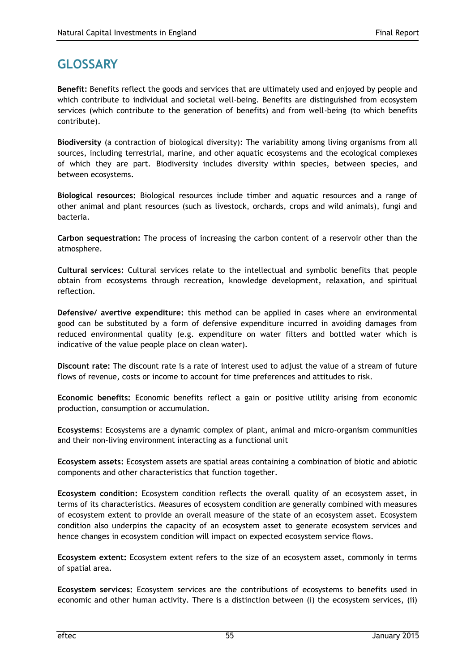## **GLOSSARY**

**Benefit:** Benefits reflect the goods and services that are ultimately used and enjoyed by people and which contribute to individual and societal well-being. Benefits are distinguished from ecosystem services (which contribute to the generation of benefits) and from well-being (to which benefits contribute).

**Biodiversity** (a contraction of biological diversity): The variability among living organisms from all sources, including terrestrial, marine, and other aquatic ecosystems and the ecological complexes of which they are part. Biodiversity includes diversity within species, between species, and between ecosystems.

**Biological resources:** Biological resources include timber and aquatic resources and a range of other animal and plant resources (such as livestock, orchards, crops and wild animals), fungi and bacteria.

**Carbon sequestration:** The process of increasing the carbon content of a reservoir other than the atmosphere.

**Cultural services:** Cultural services relate to the intellectual and symbolic benefits that people obtain from ecosystems through recreation, knowledge development, relaxation, and spiritual reflection.

**Defensive/ avertive expenditure:** this method can be applied in cases where an environmental good can be substituted by a form of defensive expenditure incurred in avoiding damages from reduced environmental quality (e.g. expenditure on water filters and bottled water which is indicative of the value people place on clean water).

**Discount rate:** The discount rate is a rate of interest used to adjust the value of a stream of future flows of revenue, costs or income to account for time preferences and attitudes to risk.

**Economic benefits:** Economic benefits reflect a gain or positive utility arising from economic production, consumption or accumulation.

**Ecosystems**: Ecosystems are a dynamic complex of plant, animal and micro-organism communities and their non-living environment interacting as a functional unit

**Ecosystem assets:** Ecosystem assets are spatial areas containing a combination of biotic and abiotic components and other characteristics that function together.

**Ecosystem condition:** Ecosystem condition reflects the overall quality of an ecosystem asset, in terms of its characteristics. Measures of ecosystem condition are generally combined with measures of ecosystem extent to provide an overall measure of the state of an ecosystem asset. Ecosystem condition also underpins the capacity of an ecosystem asset to generate ecosystem services and hence changes in ecosystem condition will impact on expected ecosystem service flows.

**Ecosystem extent:** Ecosystem extent refers to the size of an ecosystem asset, commonly in terms of spatial area.

**Ecosystem services:** Ecosystem services are the contributions of ecosystems to benefits used in economic and other human activity. There is a distinction between (i) the ecosystem services, (ii)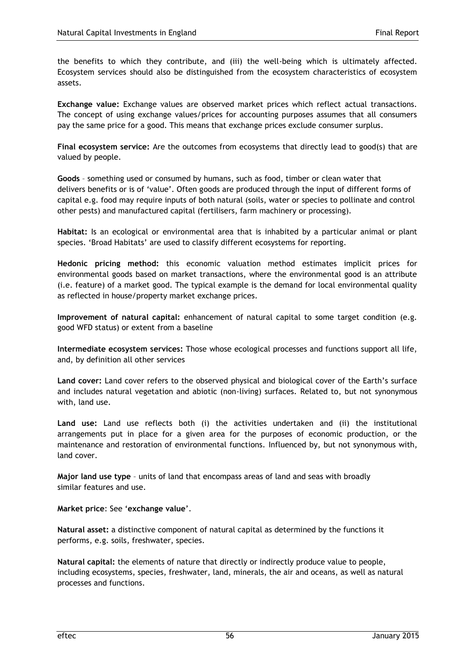the benefits to which they contribute, and (iii) the well-being which is ultimately affected. Ecosystem services should also be distinguished from the ecosystem characteristics of ecosystem assets.

**Exchange value:** Exchange values are observed market prices which reflect actual transactions. The concept of using exchange values/prices for accounting purposes assumes that all consumers pay the same price for a good. This means that exchange prices exclude consumer surplus.

**Final ecosystem service:** Are the outcomes from ecosystems that directly lead to good(s) that are valued by people.

**Goods** – something used or consumed by humans, such as food, timber or clean water that delivers benefits or is of 'value'. Often goods are produced through the input of different forms of capital e.g. food may require inputs of both natural (soils, water or species to pollinate and control other pests) and manufactured capital (fertilisers, farm machinery or processing).

**Habitat:** Is an ecological or environmental area that is inhabited by a particular animal or plant species. 'Broad Habitats' are used to classify different ecosystems for reporting.

**Hedonic pricing method:** this economic valuation method estimates implicit prices for environmental goods based on market transactions, where the environmental good is an attribute (i.e. feature) of a market good. The typical example is the demand for local environmental quality as reflected in house/property market exchange prices.

**Improvement of natural capital:** enhancement of natural capital to some target condition (e.g. good WFD status) or extent from a baseline

**Intermediate ecosystem services:** Those whose ecological processes and functions support all life, and, by definition all other services

**Land cover:** Land cover refers to the observed physical and biological cover of the Earth's surface and includes natural vegetation and abiotic (non-living) surfaces. Related to, but not synonymous with, land use.

**Land use:** Land use reflects both (i) the activities undertaken and (ii) the institutional arrangements put in place for a given area for the purposes of economic production, or the maintenance and restoration of environmental functions. Influenced by, but not synonymous with, land cover.

**Major land use type** – units of land that encompass areas of land and seas with broadly similar features and use.

**Market price**: See '**exchange value**'.

**Natural asset:** a distinctive component of natural capital as determined by the functions it performs, e.g. soils, freshwater, species.

**Natural capital:** the elements of nature that directly or indirectly produce value to people, including ecosystems, species, freshwater, land, minerals, the air and oceans, as well as natural processes and functions.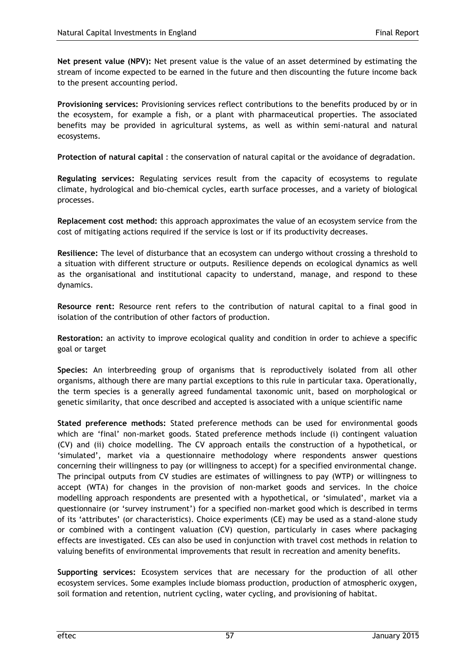**Net present value (NPV):** Net present value is the value of an asset determined by estimating the stream of income expected to be earned in the future and then discounting the future income back to the present accounting period.

**Provisioning services:** Provisioning services reflect contributions to the benefits produced by or in the ecosystem, for example a fish, or a plant with pharmaceutical properties. The associated benefits may be provided in agricultural systems, as well as within semi-natural and natural ecosystems.

**Protection of natural capital** : the conservation of natural capital or the avoidance of degradation.

**Regulating services:** Regulating services result from the capacity of ecosystems to regulate climate, hydrological and bio-chemical cycles, earth surface processes, and a variety of biological processes.

**Replacement cost method:** this approach approximates the value of an ecosystem service from the cost of mitigating actions required if the service is lost or if its productivity decreases.

**Resilience:** The level of disturbance that an ecosystem can undergo without crossing a threshold to a situation with different structure or outputs. Resilience depends on ecological dynamics as well as the organisational and institutional capacity to understand, manage, and respond to these dynamics.

**Resource rent:** Resource rent refers to the contribution of natural capital to a final good in isolation of the contribution of other factors of production.

**Restoration:** an activity to improve ecological quality and condition in order to achieve a specific goal or target

**Species:** An interbreeding group of organisms that is reproductively isolated from all other organisms, although there are many partial exceptions to this rule in particular taxa. Operationally, the term species is a generally agreed fundamental taxonomic unit, based on morphological or genetic similarity, that once described and accepted is associated with a unique scientific name

**Stated preference methods:** Stated preference methods can be used for environmental goods which are 'final' non-market goods. Stated preference methods include (i) contingent valuation (CV) and (ii) choice modelling. The CV approach entails the construction of a hypothetical, or 'simulated', market via a questionnaire methodology where respondents answer questions concerning their willingness to pay (or willingness to accept) for a specified environmental change. The principal outputs from CV studies are estimates of willingness to pay (WTP) or willingness to accept (WTA) for changes in the provision of non-market goods and services. In the choice modelling approach respondents are presented with a hypothetical, or 'simulated', market via a questionnaire (or 'survey instrument') for a specified non-market good which is described in terms of its 'attributes' (or characteristics). Choice experiments (CE) may be used as a stand-alone study or combined with a contingent valuation (CV) question, particularly in cases where packaging effects are investigated. CEs can also be used in conjunction with travel cost methods in relation to valuing benefits of environmental improvements that result in recreation and amenity benefits.

**Supporting services:** Ecosystem services that are necessary for the production of all other ecosystem services. Some examples include biomass production, production of atmospheric oxygen, soil formation and retention, nutrient cycling, water cycling, and provisioning of habitat.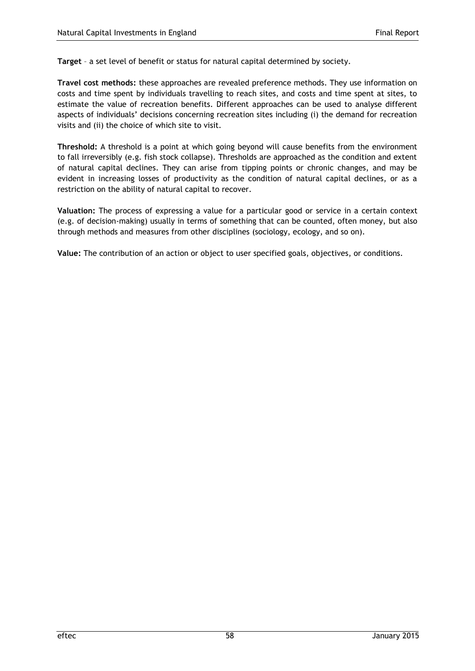**Target** – a set level of benefit or status for natural capital determined by society.

**Travel cost methods:** these approaches are revealed preference methods. They use information on costs and time spent by individuals travelling to reach sites, and costs and time spent at sites, to estimate the value of recreation benefits. Different approaches can be used to analyse different aspects of individuals' decisions concerning recreation sites including (i) the demand for recreation visits and (ii) the choice of which site to visit.

**Threshold:** A threshold is a point at which going beyond will cause benefits from the environment to fall irreversibly (e.g. fish stock collapse). Thresholds are approached as the condition and extent of natural capital declines. They can arise from tipping points or chronic changes, and may be evident in increasing losses of productivity as the condition of natural capital declines, or as a restriction on the ability of natural capital to recover.

**Valuation:** The process of expressing a value for a particular good or service in a certain context (e.g. of decision-making) usually in terms of something that can be counted, often money, but also through methods and measures from other disciplines (sociology, ecology, and so on).

**Value:** The contribution of an action or object to user specified goals, objectives, or conditions.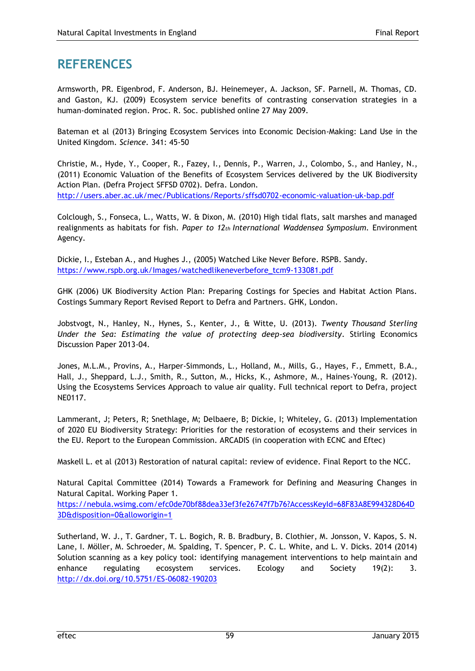## **REFERENCES**

Armsworth, PR. Eigenbrod, F. Anderson, BJ. Heinemeyer, A. Jackson, SF. Parnell, M. Thomas, CD. and Gaston, KJ. (2009) Ecosystem service benefits of contrasting conservation strategies in a human-dominated region. Proc. R. Soc. published online 27 May 2009.

Bateman et al (2013) Bringing Ecosystem Services into Economic Decision-Making: Land Use in the United Kingdom. *Science.* 341: 45-50

Christie, M., Hyde, Y., Cooper, R., Fazey, I., Dennis, P., Warren, J., Colombo, S., and Hanley, N., (2011) Economic Valuation of the Benefits of Ecosystem Services delivered by the UK Biodiversity Action Plan. (Defra Project SFFSD 0702). Defra. London. <http://users.aber.ac.uk/mec/Publications/Reports/sffsd0702-economic-valuation-uk-bap.pdf>

Colclough, S., Fonseca, L., Watts, W. & Dixon, M. (2010) High tidal flats, salt marshes and managed realignments as habitats for fish. *Paper to 12th International Waddensea Symposium.* Environment Agency.

Dickie, I., Esteban A., and Hughes J., (2005) Watched Like Never Before. RSPB. Sandy. [https://www.rspb.org.uk/Images/watchedlikeneverbefore\\_tcm9-133081.pdf](https://www.rspb.org.uk/Images/watchedlikeneverbefore_tcm9-133081.pdf)

GHK (2006) UK Biodiversity Action Plan: Preparing Costings for Species and Habitat Action Plans. Costings Summary Report Revised Report to Defra and Partners. GHK, London.

Jobstvogt, N., Hanley, N., Hynes, S., Kenter, J., & Witte, U. (2013). *Twenty Thousand Sterling Under the Sea: Estimating the value of protecting deep-sea biodiversity*. Stirling Economics Discussion Paper 2013-04.

Jones, M.L.M., Provins, A., Harper-Simmonds, L., Holland, M., Mills, G., Hayes, F., Emmett, B.A., Hall, J., Sheppard, L.J., Smith, R., Sutton, M., Hicks, K., Ashmore, M., Haines-Young, R. (2012). Using the Ecosystems Services Approach to value air quality. Full technical report to Defra, project NE0117.

Lammerant, J; Peters, R; Snethlage, M; Delbaere, B; Dickie, I; Whiteley, G. (2013) Implementation of 2020 EU Biodiversity Strategy: Priorities for the restoration of ecosystems and their services in the EU. Report to the European Commission. ARCADIS (in cooperation with ECNC and Eftec)

Maskell L. et al (2013) Restoration of natural capital: review of evidence. Final Report to the NCC.

Natural Capital Committee (2014) Towards a Framework for Defining and Measuring Changes in Natural Capital. Working Paper 1.

[https://nebula.wsimg.com/efc0de70bf88dea33ef3fe26747f7b76?AccessKeyId=68F83A8E994328D64D](https://nebula.wsimg.com/efc0de70bf88dea33ef3fe26747f7b76?AccessKeyId=68F83A8E994328D64D3D&disposition=0&alloworigin=1) [3D&disposition=0&alloworigin=1](https://nebula.wsimg.com/efc0de70bf88dea33ef3fe26747f7b76?AccessKeyId=68F83A8E994328D64D3D&disposition=0&alloworigin=1)

Sutherland, W. J., T. Gardner, T. L. Bogich, R. B. Bradbury, B. Clothier, M. Jonsson, V. Kapos, S. N. Lane, I. Möller, M. Schroeder, M. Spalding, T. Spencer, P. C. L. White, and L. V. Dicks. 2014 (2014) Solution scanning as a key policy tool: identifying management interventions to help maintain and enhance regulating ecosystem services. Ecology and Society 19(2): 3. <http://dx.doi.org/10.5751/ES-06082-190203>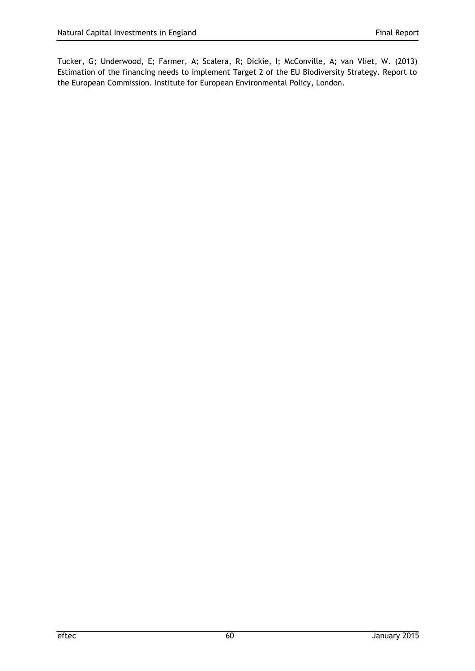Tucker, G; Underwood, E; Farmer, A; Scalera, R; Dickie, I; McConville, A; van Vliet, W. (2013) Estimation of the financing needs to implement Target 2 of the EU Biodiversity Strategy. Report to the European Commission. Institute for European Environmental Policy, London.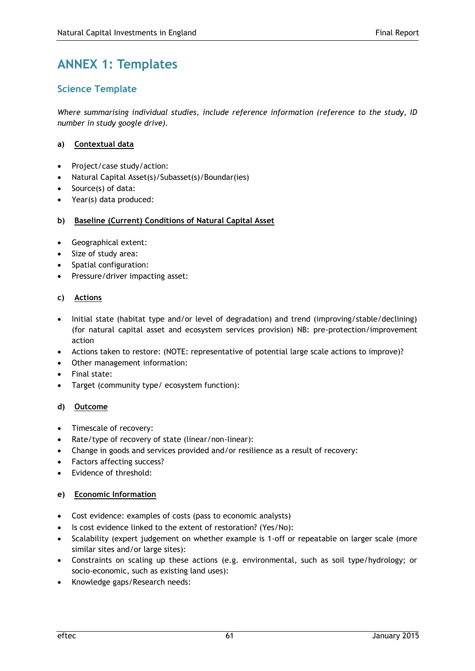# **ANNEX 1: Templates**

## **Science Template**

*Where summarising individual studies, include reference information (reference to the study, ID number in study google drive).* 

### **a) Contextual data**

- Project/case study/action:
- Natural Capital Asset(s)/Subasset(s)/Boundar(ies)
- Source(s) of data:
- Year(s) data produced:

### **b) Baseline (Current) Conditions of Natural Capital Asset**

- Geographical extent:
- Size of study area:
- Spatial configuration:
- Pressure/driver impacting asset:

### **c) Actions**

- Initial state (habitat type and/or level of degradation) and trend (improving/stable/declining) (for natural capital asset and ecosystem services provision) NB: pre-protection/improvement action
- Actions taken to restore: (NOTE: representative of potential large scale actions to improve)?
- Other management information:
- Final state:
- Target (community type/ ecosystem function):

### **d) Outcome**

- Timescale of recovery:
- Rate/type of recovery of state (linear/non-linear):
- Change in goods and services provided and/or resilience as a result of recovery:
- Factors affecting success?
- Evidence of threshold:

### **e) Economic Information**

- Cost evidence: examples of costs (pass to economic analysts)
- Is cost evidence linked to the extent of restoration? (Yes/No):
- Scalability (expert judgement on whether example is 1-off or repeatable on larger scale (more similar sites and/or large sites):
- Constraints on scaling up these actions (e.g. environmental, such as soil type/hydrology; or socio-economic, such as existing land uses):
- Knowledge gaps/Research needs: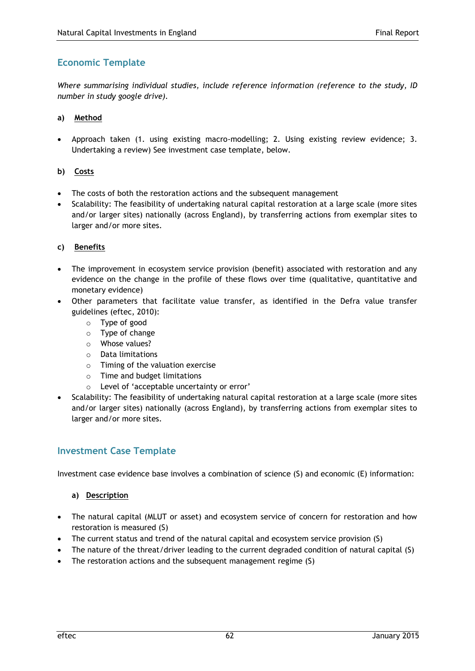## **Economic Template**

*Where summarising individual studies, include reference information (reference to the study, ID number in study google drive).* 

### **a) Method**

 Approach taken (1. using existing macro-modelling; 2. Using existing review evidence; 3. Undertaking a review) See investment case template, below.

### **b) Costs**

- The costs of both the restoration actions and the subsequent management
- Scalability: The feasibility of undertaking natural capital restoration at a large scale (more sites and/or larger sites) nationally (across England), by transferring actions from exemplar sites to larger and/or more sites.

### **c) Benefits**

- The improvement in ecosystem service provision (benefit) associated with restoration and any evidence on the change in the profile of these flows over time (qualitative, quantitative and monetary evidence)
- Other parameters that facilitate value transfer, as identified in the Defra value transfer guidelines (eftec, 2010):
	- o Type of good
	- o Type of change
	- o Whose values?
	- o Data limitations
	- o Timing of the valuation exercise
	- o Time and budget limitations
	- o Level of 'acceptable uncertainty or error'
- Scalability: The feasibility of undertaking natural capital restoration at a large scale (more sites and/or larger sites) nationally (across England), by transferring actions from exemplar sites to larger and/or more sites.

## **Investment Case Template**

Investment case evidence base involves a combination of science (S) and economic (E) information:

### **a) Description**

- The natural capital (MLUT or asset) and ecosystem service of concern for restoration and how restoration is measured (S)
- The current status and trend of the natural capital and ecosystem service provision (S)
- The nature of the threat/driver leading to the current degraded condition of natural capital (S)
- The restoration actions and the subsequent management regime (S)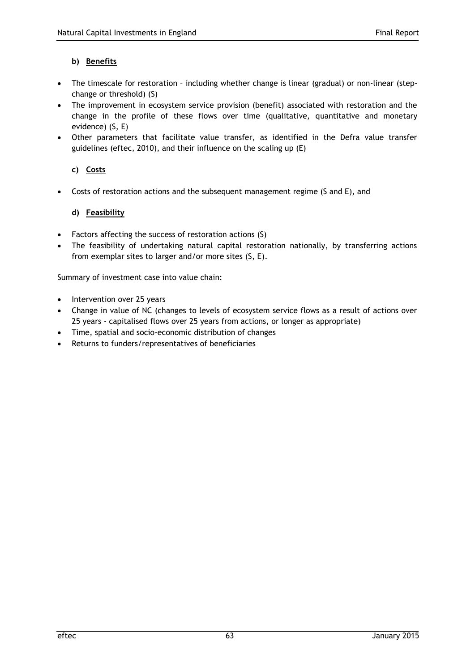### **b) Benefits**

- The timescale for restoration including whether change is linear (gradual) or non-linear (stepchange or threshold) (S)
- The improvement in ecosystem service provision (benefit) associated with restoration and the change in the profile of these flows over time (qualitative, quantitative and monetary evidence) (S, E)
- Other parameters that facilitate value transfer, as identified in the Defra value transfer guidelines (eftec, 2010), and their influence on the scaling up (E)

### **c) Costs**

Costs of restoration actions and the subsequent management regime (S and E), and

### **d) Feasibility**

- Factors affecting the success of restoration actions (S)
- The feasibility of undertaking natural capital restoration nationally, by transferring actions from exemplar sites to larger and/or more sites (S, E).

Summary of investment case into value chain:

- Intervention over 25 years
- Change in value of NC (changes to levels of ecosystem service flows as a result of actions over 25 years - capitalised flows over 25 years from actions, or longer as appropriate)
- Time, spatial and socio-economic distribution of changes
- Returns to funders/representatives of beneficiaries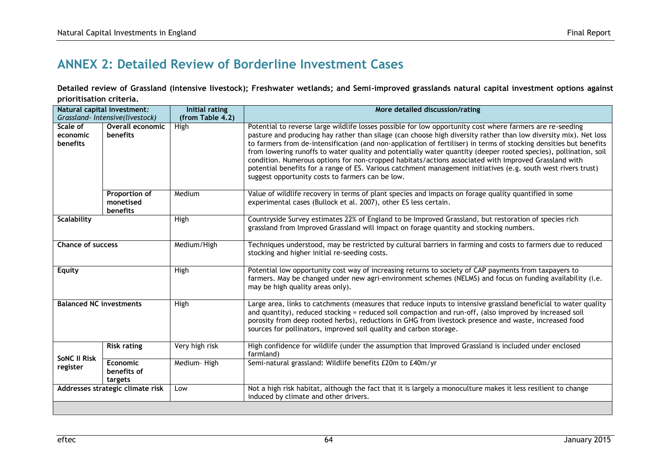## **ANNEX 2: Detailed Review of Borderline Investment Cases**

**Detailed review of Grassland (intensive livestock); Freshwater wetlands; and Semi-improved grasslands natural capital investment options against prioritisation criteria.**

| Natural capital investment:             |                                               | Initial rating   | More detailed discussion/rating                                                                                                                                                                                                                                                                                                                                                                                                                                                                                                                                                                                                                                                                                                                      |  |
|-----------------------------------------|-----------------------------------------------|------------------|------------------------------------------------------------------------------------------------------------------------------------------------------------------------------------------------------------------------------------------------------------------------------------------------------------------------------------------------------------------------------------------------------------------------------------------------------------------------------------------------------------------------------------------------------------------------------------------------------------------------------------------------------------------------------------------------------------------------------------------------------|--|
| Grassland- Intensive(livestock)         |                                               | (from Table 4.2) |                                                                                                                                                                                                                                                                                                                                                                                                                                                                                                                                                                                                                                                                                                                                                      |  |
| Scale of<br>economic<br><b>benefits</b> | Overall economic<br>benefits                  | High             | Potential to reverse large wildlife losses possible for low opportunity cost where farmers are re-seeding<br>pasture and producing hay rather than silage (can choose high diversity rather than low diversity mix). Net loss<br>to farmers from de-intensification (and non-application of fertiliser) in terms of stocking densities but benefits<br>from lowering runoffs to water quality and potentially water quantity (deeper rooted species), pollination, soil<br>condition. Numerous options for non-cropped habitats/actions associated with Improved Grassland with<br>potential benefits for a range of ES. Various catchment management initiatives (e.g. south west rivers trust)<br>suggest opportunity costs to farmers can be low. |  |
|                                         | <b>Proportion of</b><br>monetised<br>benefits | Medium           | Value of wildlife recovery in terms of plant species and impacts on forage quality quantified in some<br>experimental cases (Bullock et al. 2007), other ES less certain.                                                                                                                                                                                                                                                                                                                                                                                                                                                                                                                                                                            |  |
| <b>Scalability</b>                      |                                               | High             | Countryside Survey estimates 22% of England to be Improved Grassland, but restoration of species rich<br>grassland from Improved Grassland will impact on forage quantity and stocking numbers.                                                                                                                                                                                                                                                                                                                                                                                                                                                                                                                                                      |  |
| <b>Chance of success</b>                |                                               | Medium/High      | Techniques understood, may be restricted by cultural barriers in farming and costs to farmers due to reduced<br>stocking and higher initial re-seeding costs.                                                                                                                                                                                                                                                                                                                                                                                                                                                                                                                                                                                        |  |
| Equity                                  |                                               | High             | Potential low opportunity cost way of increasing returns to society of CAP payments from taxpayers to<br>farmers. May be changed under new agri-environment schemes (NELMS) and focus on funding availability (i.e.<br>may be high quality areas only).                                                                                                                                                                                                                                                                                                                                                                                                                                                                                              |  |
| <b>Balanced NC investments</b>          |                                               | High             | Large area, links to catchments (measures that reduce inputs to intensive grassland beneficial to water quality<br>and quantity), reduced stocking = reduced soil compaction and run-off, (also improved by increased soil<br>porosity from deep rooted herbs), reductions in GHG from livestock presence and waste, increased food<br>sources for pollinators, improved soil quality and carbon storage.                                                                                                                                                                                                                                                                                                                                            |  |
| <b>SONC II Risk</b><br>register         | <b>Risk rating</b>                            | Very high risk   | High confidence for wildlife (under the assumption that Improved Grassland is included under enclosed<br>farmland)                                                                                                                                                                                                                                                                                                                                                                                                                                                                                                                                                                                                                                   |  |
|                                         | Economic<br>benefits of<br>targets            | Medium-High      | Semi-natural grassland: Wildlife benefits £20m to £40m/yr                                                                                                                                                                                                                                                                                                                                                                                                                                                                                                                                                                                                                                                                                            |  |
| Addresses strategic climate risk        |                                               | Low              | Not a high risk habitat, although the fact that it is largely a monoculture makes it less resilient to change<br>induced by climate and other drivers.                                                                                                                                                                                                                                                                                                                                                                                                                                                                                                                                                                                               |  |
|                                         |                                               |                  |                                                                                                                                                                                                                                                                                                                                                                                                                                                                                                                                                                                                                                                                                                                                                      |  |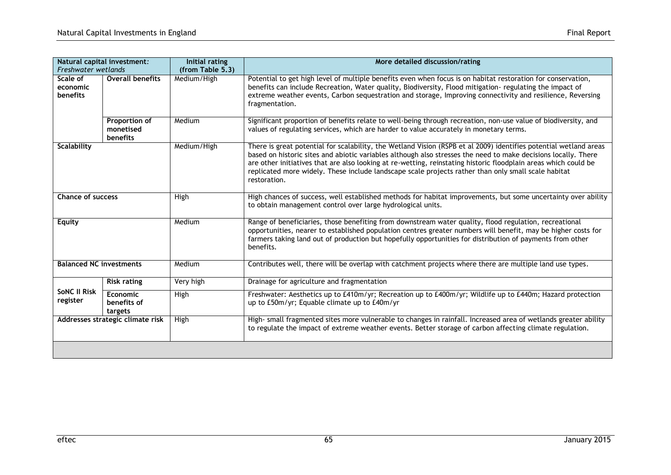| Natural capital investment:<br>Freshwater wetlands |                                               | Initial rating<br>(from Table 5.3) | More detailed discussion/rating                                                                                                                                                                                                                                                                                                                                                                                                                                               |  |
|----------------------------------------------------|-----------------------------------------------|------------------------------------|-------------------------------------------------------------------------------------------------------------------------------------------------------------------------------------------------------------------------------------------------------------------------------------------------------------------------------------------------------------------------------------------------------------------------------------------------------------------------------|--|
| Scale of<br>economic<br>benefits                   | <b>Overall benefits</b>                       | Medium/High                        | Potential to get high level of multiple benefits even when focus is on habitat restoration for conservation,<br>benefits can include Recreation, Water quality, Biodiversity, Flood mitigation- regulating the impact of<br>extreme weather events, Carbon sequestration and storage, Improving connectivity and resilience, Reversing<br>fragmentation.                                                                                                                      |  |
|                                                    | <b>Proportion of</b><br>monetised<br>benefits | Medium                             | Significant proportion of benefits relate to well-being through recreation, non-use value of biodiversity, and<br>values of regulating services, which are harder to value accurately in monetary terms.                                                                                                                                                                                                                                                                      |  |
| <b>Scalability</b>                                 |                                               | Medium/High                        | There is great potential for scalability, the Wetland Vision (RSPB et al 2009) identifies potential wetland areas<br>based on historic sites and abiotic variables although also stresses the need to make decisions locally. There<br>are other initiatives that are also looking at re-wetting, reinstating historic floodplain areas which could be<br>replicated more widely. These include landscape scale projects rather than only small scale habitat<br>restoration. |  |
| <b>Chance of success</b>                           |                                               | High                               | High chances of success, well established methods for habitat improvements, but some uncertainty over ability<br>to obtain management control over large hydrological units.                                                                                                                                                                                                                                                                                                  |  |
| <b>Equity</b>                                      |                                               | Medium                             | Range of beneficiaries, those benefiting from downstream water quality, flood regulation, recreational<br>opportunities, nearer to established population centres greater numbers will benefit, may be higher costs for<br>farmers taking land out of production but hopefully opportunities for distribution of payments from other<br>benefits.                                                                                                                             |  |
| <b>Balanced NC investments</b>                     |                                               | Medium                             | Contributes well, there will be overlap with catchment projects where there are multiple land use types.                                                                                                                                                                                                                                                                                                                                                                      |  |
|                                                    | <b>Risk rating</b>                            | Very high                          | Drainage for agriculture and fragmentation                                                                                                                                                                                                                                                                                                                                                                                                                                    |  |
| <b>SONC II Risk</b><br>register                    | <b>Economic</b><br>benefits of<br>targets     | High                               | Freshwater: Aesthetics up to £410m/yr; Recreation up to £400m/yr; Wildlife up to £440m; Hazard protection<br>up to £50m/yr; Equable climate up to £40m/yr                                                                                                                                                                                                                                                                                                                     |  |
| Addresses strategic climate risk                   |                                               | High                               | High- small fragmented sites more vulnerable to changes in rainfall. Increased area of wetlands greater ability<br>to regulate the impact of extreme weather events. Better storage of carbon affecting climate regulation.                                                                                                                                                                                                                                                   |  |
|                                                    |                                               |                                    |                                                                                                                                                                                                                                                                                                                                                                                                                                                                               |  |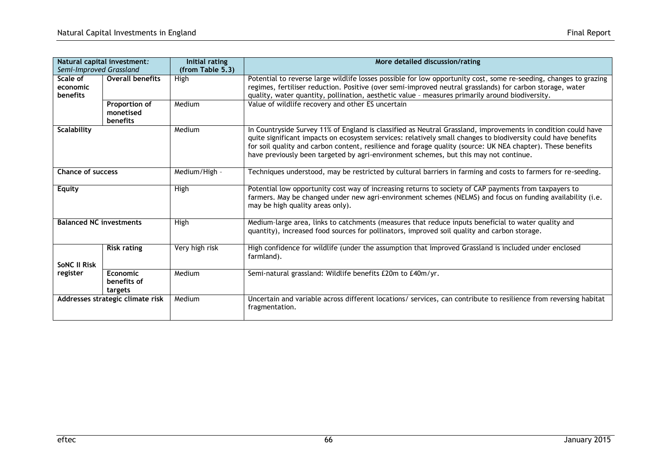| Natural capital investment:<br>Semi-Improved Grassland |                                        | Initial rating<br>(from Table 5.3) | More detailed discussion/rating                                                                                                                                                                                                                                                                                                                                                                                                        |  |
|--------------------------------------------------------|----------------------------------------|------------------------------------|----------------------------------------------------------------------------------------------------------------------------------------------------------------------------------------------------------------------------------------------------------------------------------------------------------------------------------------------------------------------------------------------------------------------------------------|--|
| Scale of<br>economic<br><b>benefits</b>                | <b>Overall benefits</b>                | High                               | Potential to reverse large wildlife losses possible for low opportunity cost, some re-seeding, changes to grazing<br>regimes, fertiliser reduction. Positive (over semi-improved neutral grasslands) for carbon storage, water<br>quality, water quantity, pollination, aesthetic value - measures primarily around biodiversity.                                                                                                      |  |
|                                                        | Proportion of<br>monetised<br>benefits | Medium                             | Value of wildlife recovery and other ES uncertain                                                                                                                                                                                                                                                                                                                                                                                      |  |
| <b>Scalability</b>                                     |                                        | Medium                             | In Countryside Survey 11% of England is classified as Neutral Grassland, improvements in condition could have<br>quite significant impacts on ecosystem services: relatively small changes to biodiversity could have benefits<br>for soil quality and carbon content, resilience and forage quality (source: UK NEA chapter). These benefits<br>have previously been targeted by agri-environment schemes, but this may not continue. |  |
| <b>Chance of success</b>                               |                                        | Medium/High -                      | Techniques understood, may be restricted by cultural barriers in farming and costs to farmers for re-seeding.                                                                                                                                                                                                                                                                                                                          |  |
| <b>Equity</b>                                          |                                        | High                               | Potential low opportunity cost way of increasing returns to society of CAP payments from taxpayers to<br>farmers. May be changed under new agri-environment schemes (NELMS) and focus on funding availability (i.e.<br>may be high quality areas only).                                                                                                                                                                                |  |
| <b>Balanced NC investments</b>                         |                                        | High                               | Medium-large area, links to catchments (measures that reduce inputs beneficial to water quality and<br>quantity), increased food sources for pollinators, improved soil quality and carbon storage.                                                                                                                                                                                                                                    |  |
| <b>SONC II Risk</b>                                    | <b>Risk rating</b>                     | Very high risk                     | High confidence for wildlife (under the assumption that Improved Grassland is included under enclosed<br>farmland).                                                                                                                                                                                                                                                                                                                    |  |
| register                                               | Economic<br>benefits of<br>targets     | Medium                             | Semi-natural grassland: Wildlife benefits £20m to £40m/yr.                                                                                                                                                                                                                                                                                                                                                                             |  |
| Addresses strategic climate risk                       |                                        | Medium                             | Uncertain and variable across different locations/ services, can contribute to resilience from reversing habitat<br>fragmentation.                                                                                                                                                                                                                                                                                                     |  |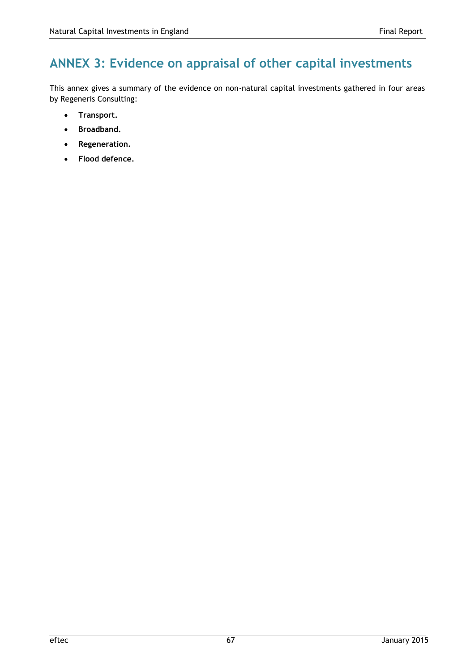# **ANNEX 3: Evidence on appraisal of other capital investments**

This annex gives a summary of the evidence on non-natural capital investments gathered in four areas by Regeneris Consulting:

- **Transport.**
- **Broadband.**
- **Regeneration.**
- **Flood defence.**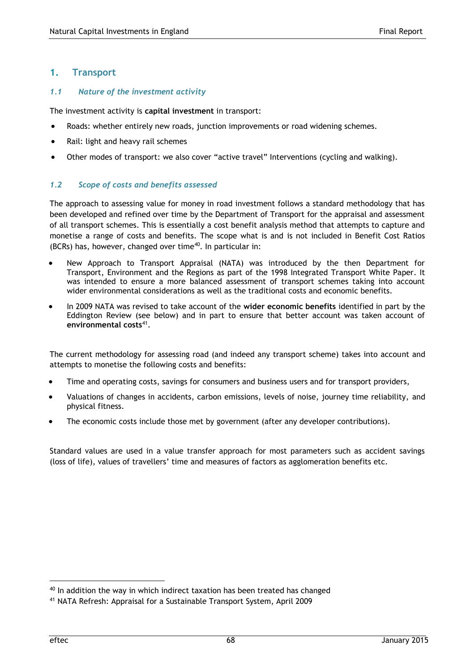### **1. Transport**

### *1.1 Nature of the investment activity*

The investment activity is **capital investment** in transport:

- Roads: whether entirely new roads, junction improvements or road widening schemes.
- Rail: light and heavy rail schemes
- Other modes of transport: we also cover "active travel" Interventions (cycling and walking).

### *1.2 Scope of costs and benefits assessed*

The approach to assessing value for money in road investment follows a standard methodology that has been developed and refined over time by the Department of Transport for the appraisal and assessment of all transport schemes. This is essentially a cost benefit analysis method that attempts to capture and monetise a range of costs and benefits. The scope what is and is not included in Benefit Cost Ratios (BCRs) has, however, changed over time $40$ . In particular in:

- New Approach to Transport Appraisal (NATA) was introduced by the then Department for Transport, Environment and the Regions as part of the 1998 Integrated Transport White Paper. It was intended to ensure a more balanced assessment of transport schemes taking into account wider environmental considerations as well as the traditional costs and economic benefits.
- In 2009 NATA was revised to take account of the **wider economic benefits** identified in part by the Eddington Review (see below) and in part to ensure that better account was taken account of **environmental costs**<sup>41</sup> .

The current methodology for assessing road (and indeed any transport scheme) takes into account and attempts to monetise the following costs and benefits:

- Time and operating costs, savings for consumers and business users and for transport providers,
- Valuations of changes in accidents, carbon emissions, levels of noise, journey time reliability, and physical fitness.
- The economic costs include those met by government (after any developer contributions).

Standard values are used in a value transfer approach for most parameters such as accident savings (loss of life), values of travellers' time and measures of factors as agglomeration benefits etc.

 $40$  In addition the way in which indirect taxation has been treated has changed

<sup>41</sup> NATA Refresh: Appraisal for a Sustainable Transport System, April 2009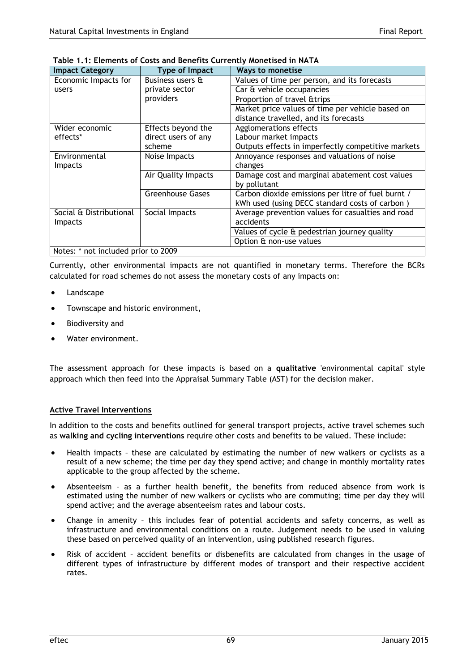| <b>Impact Category</b>              | Type of Impact          | <b>Ways to monetise</b>                            |
|-------------------------------------|-------------------------|----------------------------------------------------|
| Economic Impacts for                | Business users &        | Values of time per person, and its forecasts       |
| users                               | private sector          | Car & vehicle occupancies                          |
|                                     | providers               | Proportion of travel & trips                       |
|                                     |                         | Market price values of time per vehicle based on   |
|                                     |                         | distance travelled, and its forecasts              |
| Wider economic                      | Effects beyond the      | Agglomerations effects                             |
| effects*                            | direct users of any     | Labour market impacts                              |
|                                     | scheme                  | Outputs effects in imperfectly competitive markets |
| Environmental                       | Noise Impacts           | Annoyance responses and valuations of noise        |
| <b>Impacts</b>                      |                         | changes                                            |
|                                     | Air Quality Impacts     | Damage cost and marginal abatement cost values     |
|                                     |                         | by pollutant                                       |
|                                     | <b>Greenhouse Gases</b> | Carbon dioxide emissions per litre of fuel burnt / |
|                                     |                         | kWh used (using DECC standard costs of carbon)     |
| Social & Distributional             | Social Impacts          | Average prevention values for casualties and road  |
| <b>Impacts</b>                      |                         | accidents                                          |
|                                     |                         | Values of cycle & pedestrian journey quality       |
|                                     |                         | Option & non-use values                            |
| Notes: * not included prior to 2009 |                         |                                                    |

#### **Table 1.1: Elements of Costs and Benefits Currently Monetised in NATA**

Currently, other environmental impacts are not quantified in monetary terms. Therefore the BCRs calculated for road schemes do not assess the monetary costs of any impacts on:

- Landscape
- Townscape and historic environment,
- Biodiversity and
- Water environment.

The assessment approach for these impacts is based on a **qualitative** 'environmental capital' style approach which then feed into the Appraisal Summary Table (AST) for the decision maker.

#### **Active Travel Interventions**

In addition to the costs and benefits outlined for general transport projects, active travel schemes such as **walking and cycling interventions** require other costs and benefits to be valued. These include:

- Health impacts these are calculated by estimating the number of new walkers or cyclists as a result of a new scheme; the time per day they spend active; and change in monthly mortality rates applicable to the group affected by the scheme.
- Absenteeism as a further health benefit, the benefits from reduced absence from work is estimated using the number of new walkers or cyclists who are commuting; time per day they will spend active; and the average absenteeism rates and labour costs.
- Change in amenity this includes fear of potential accidents and safety concerns, as well as infrastructure and environmental conditions on a route. Judgement needs to be used in valuing these based on perceived quality of an intervention, using published research figures.
- Risk of accident accident benefits or disbenefits are calculated from changes in the usage of different types of infrastructure by different modes of transport and their respective accident rates.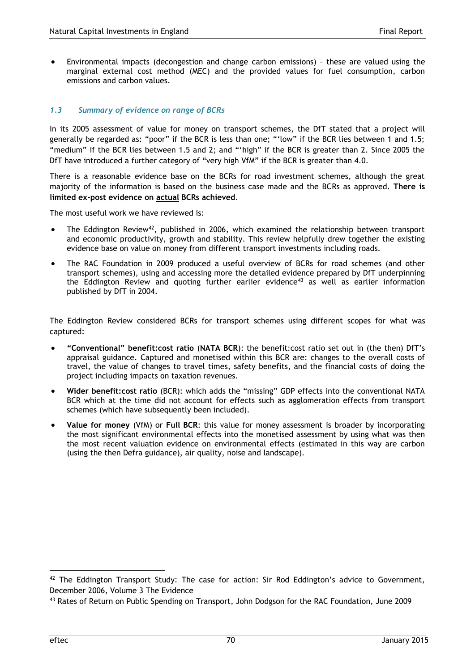Environmental impacts (decongestion and change carbon emissions) – these are valued using the marginal external cost method (MEC) and the provided values for fuel consumption, carbon emissions and carbon values.

## *1.3 Summary of evidence on range of BCRs*

In its 2005 assessment of value for money on transport schemes, the DfT stated that a project will generally be regarded as: "poor" if the BCR is less than one; "'low" if the BCR lies between 1 and 1.5; "medium" if the BCR lies between 1.5 and 2; and "'high" if the BCR is greater than 2. Since 2005 the DfT have introduced a further category of "very high VfM" if the BCR is greater than 4.0.

There is a reasonable evidence base on the BCRs for road investment schemes, although the great majority of the information is based on the business case made and the BCRs as approved. **There is limited ex-post evidence on actual BCRs achieved**.

The most useful work we have reviewed is:

- The Eddington Review<sup>42</sup>, published in 2006, which examined the relationship between transport and economic productivity, growth and stability. This review helpfully drew together the existing evidence base on value on money from different transport investments including roads.
- The RAC Foundation in 2009 produced a useful overview of BCRs for road schemes (and other transport schemes), using and accessing more the detailed evidence prepared by DfT underpinning the Eddington Review and quoting further earlier evidence<sup>43</sup> as well as earlier information published by DfT in 2004.

The Eddington Review considered BCRs for transport schemes using different scopes for what was captured:

- **"Conventional" benefit:cost ratio** (**NATA BCR**): the benefit:cost ratio set out in (the then) DfT's appraisal guidance. Captured and monetised within this BCR are: changes to the overall costs of travel, the value of changes to travel times, safety benefits, and the financial costs of doing the project including impacts on taxation revenues.
- **Wider benefit:cost ratio** (BCR): which adds the "missing" GDP effects into the conventional NATA BCR which at the time did not account for effects such as agglomeration effects from transport schemes (which have subsequently been included).
- **Value for money** (VfM) or **Full BCR**: this value for money assessment is broader by incorporating the most significant environmental effects into the monetised assessment by using what was then the most recent valuation evidence on environmental effects (estimated in this way are carbon (using the then Defra guidance), air quality, noise and landscape).

l

 $42$  The Eddington Transport Study: The case for action: Sir Rod Eddington's advice to Government, December 2006, Volume 3 The Evidence

<sup>43</sup> Rates of Return on Public Spending on Transport, John Dodgson for the RAC Foundation, June 2009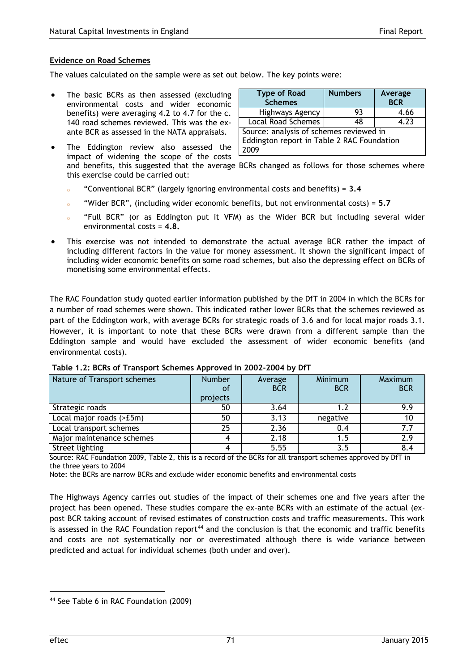#### **Evidence on Road Schemes**

The values calculated on the sample were as set out below. The key points were:

- The basic BCRs as then assessed (excluding environmental costs and wider economic benefits) were averaging 4.2 to 4.7 for the c. 140 road schemes reviewed. This was the exante BCR as assessed in the NATA appraisals.
- The Eddington review also assessed the impact of widening the scope of the costs

| <b>Type of Road</b><br><b>Schemes</b>                                                         | <b>Numbers</b> | Average<br><b>BCR</b> |  |  |
|-----------------------------------------------------------------------------------------------|----------------|-----------------------|--|--|
| Highways Agency                                                                               | 93             | 4.66                  |  |  |
| <b>Local Road Schemes</b>                                                                     | 48             | 4.23                  |  |  |
| Source: analysis of schemes reviewed in<br>Eddington report in Table 2 RAC Foundation<br>2009 |                |                       |  |  |

- and benefits, this suggested that the average BCRs changed as follows for those schemes where this exercise could be carried out:
- "Conventional BCR" (largely ignoring environmental costs and benefits) =  $3.4$
- "Wider BCR", (including wider economic benefits, but not environmental costs) = 5.7
- "Full BCR" (or as Eddington put it VFM) as the Wider BCR but including several wider environmental costs = **4.8.**
- This exercise was not intended to demonstrate the actual average BCR rather the impact of including different factors in the value for money assessment. It shown the significant impact of including wider economic benefits on some road schemes, but also the depressing effect on BCRs of monetising some environmental effects.

The RAC Foundation study quoted earlier information published by the DfT in 2004 in which the BCRs for a number of road schemes were shown. This indicated rather lower BCRs that the schemes reviewed as part of the Eddington work, with average BCRs for strategic roads of 3.6 and for local major roads 3.1. However, it is important to note that these BCRs were drawn from a different sample than the Eddington sample and would have excluded the assessment of wider economic benefits (and environmental costs).

| Nature of Transport schemes | <b>Number</b><br>0f<br>projects | Average<br><b>BCR</b> | Minimum<br><b>BCR</b> | Maximum<br><b>BCR</b> |
|-----------------------------|---------------------------------|-----------------------|-----------------------|-----------------------|
| Strategic roads             | 50                              | 3.64                  |                       | 9.9                   |
| Local major roads (>£5m)    | 50                              | 3.13                  | negative              | 10                    |
| Local transport schemes     | 25                              | 2.36                  | 0.4                   | 7.7                   |
| Major maintenance schemes   |                                 | 2.18                  | 1.5                   | 2.9                   |
| Street lighting             |                                 | 5.55                  | 3.5                   |                       |

**Table 1.2: BCRs of Transport Schemes Approved in 2002-2004 by DfT**

Source: RAC Foundation 2009, Table 2, this is a record of the BCRs for all transport schemes approved by DfT in the three years to 2004

Note: the BCRs are narrow BCRs and exclude wider economic benefits and environmental costs

The Highways Agency carries out studies of the impact of their schemes one and five years after the project has been opened. These studies compare the ex-ante BCRs with an estimate of the actual (expost BCR taking account of revised estimates of construction costs and traffic measurements. This work is assessed in the RAC Foundation report<sup>44</sup> and the conclusion is that the economic and traffic benefits and costs are not systematically nor or overestimated although there is wide variance between predicted and actual for individual schemes (both under and over).

l

<sup>44</sup> See Table 6 in RAC Foundation (2009)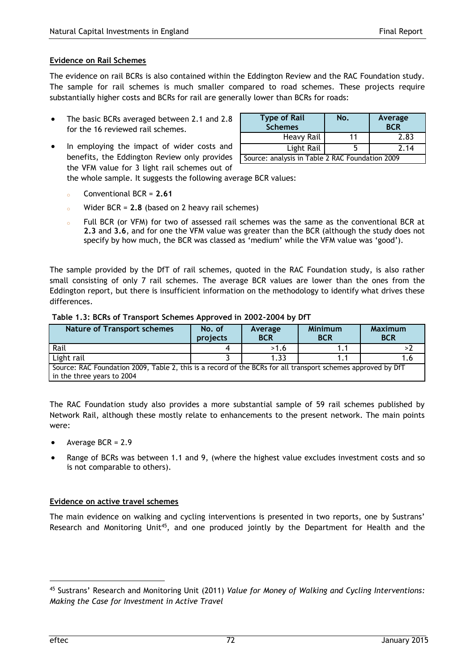# **Evidence on Rail Schemes**

The evidence on rail BCRs is also contained within the Eddington Review and the RAC Foundation study. The sample for rail schemes is much smaller compared to road schemes. These projects require substantially higher costs and BCRs for rail are generally lower than BCRs for roads:

- The basic BCRs averaged between 2.1 and 2.8 for the 16 reviewed rail schemes.
- In employing the impact of wider costs and benefits, the Eddington Review only provides the VFM value for 3 light rail schemes out of

| <b>Type of Rail</b><br><b>Schemes</b>           | No. | Average<br><b>BCR</b> |  |  |
|-------------------------------------------------|-----|-----------------------|--|--|
| Heavy Rail                                      | 11  | 2.83                  |  |  |
| Light Rail                                      | ר   | 2.14                  |  |  |
| Source: analysis in Table 2 RAC Foundation 2009 |     |                       |  |  |
|                                                 |     |                       |  |  |

the whole sample. It suggests the following average BCR values:

- <sup>o</sup> Conventional BCR = **2.61**
- Wider  $BCR = 2.8$  (based on 2 heavy rail schemes)
- Full BCR (or VFM) for two of assessed rail schemes was the same as the conventional BCR at **2.3** and **3.6**, and for one the VFM value was greater than the BCR (although the study does not specify by how much, the BCR was classed as 'medium' while the VFM value was 'good').

The sample provided by the DfT of rail schemes, quoted in the RAC Foundation study, is also rather small consisting of only 7 rail schemes. The average BCR values are lower than the ones from the Eddington report, but there is insufficient information on the methodology to identify what drives these differences.

### **Table 1.3: BCRs of Transport Schemes Approved in 2002-2004 by DfT**

| <b>Nature of Transport schemes</b>                                                                                                         | No. of<br>projects | Average<br><b>BCR</b> | <b>Minimum</b><br><b>BCR</b> | <b>Maximum</b><br><b>BCR</b> |  |
|--------------------------------------------------------------------------------------------------------------------------------------------|--------------------|-----------------------|------------------------------|------------------------------|--|
| Rail                                                                                                                                       |                    | >1.6                  |                              |                              |  |
| Light rail                                                                                                                                 |                    | 1.33                  |                              |                              |  |
| Source: RAC Foundation 2009, Table 2, this is a record of the BCRs for all transport schemes approved by DfT<br>in the three years to 2004 |                    |                       |                              |                              |  |

The RAC Foundation study also provides a more substantial sample of 59 rail schemes published by Network Rail, although these mostly relate to enhancements to the present network. The main points were:

- Average BCR = 2.9
- Range of BCRs was between 1.1 and 9, (where the highest value excludes investment costs and so is not comparable to others).

## **Evidence on active travel schemes**

The main evidence on walking and cycling interventions is presented in two reports, one by Sustrans' Research and Monitoring Unit<sup>45</sup>, and one produced jointly by the Department for Health and the

 $\overline{a}$ 

<sup>45</sup> Sustrans' Research and Monitoring Unit (2011) *Value for Money of Walking and Cycling Interventions: Making the Case for Investment in Active Travel*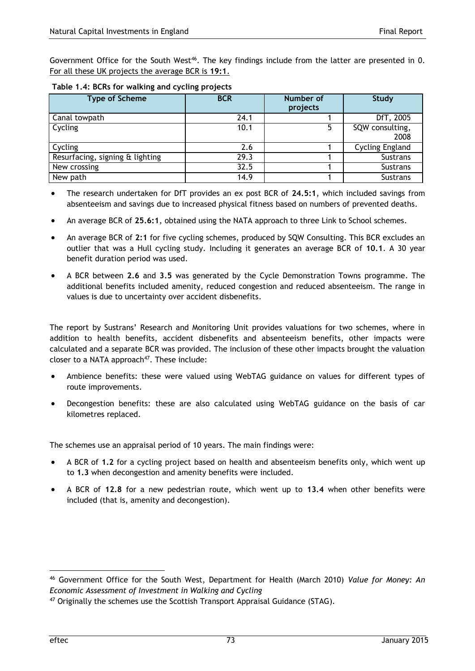Government Office for the South West<sup>46</sup>. The key findings include from the latter are presented in [0.](#page-76-0) For all these UK projects the average BCR is **19:1**.

<span id="page-76-0"></span>

| Table 1.4: BCRs for walking and cycling projects |
|--------------------------------------------------|
|                                                  |

| <b>Type of Scheme</b>           | <b>BCR</b> | Number of<br>projects | <b>Study</b>            |
|---------------------------------|------------|-----------------------|-------------------------|
| Canal towpath                   | 24.1       |                       | DfT, 2005               |
| Cycling                         | 10.1       | 5                     | SQW consulting,<br>2008 |
| Cycling                         | 2.6        |                       | <b>Cycling England</b>  |
| Resurfacing, signing & lighting | 29.3       |                       | Sustrans                |
| New crossing                    | 32.5       |                       | Sustrans                |
| New path                        | 14.9       |                       | <b>Sustrans</b>         |

- The research undertaken for DfT provides an ex post BCR of **24.5:1**, which included savings from absenteeism and savings due to increased physical fitness based on numbers of prevented deaths.
- An average BCR of **25.6:1**, obtained using the NATA approach to three Link to School schemes.
- An average BCR of **2:1** for five cycling schemes, produced by SQW Consulting. This BCR excludes an outlier that was a Hull cycling study. Including it generates an average BCR of **10.1**. A 30 year benefit duration period was used.
- A BCR between **2.6** and **3.5** was generated by the Cycle Demonstration Towns programme. The additional benefits included amenity, reduced congestion and reduced absenteeism. The range in values is due to uncertainty over accident disbenefits.

The report by Sustrans' Research and Monitoring Unit provides valuations for two schemes, where in addition to health benefits, accident disbenefits and absenteeism benefits, other impacts were calculated and a separate BCR was provided. The inclusion of these other impacts brought the valuation closer to a NATA approach $47$ . These include:

- Ambience benefits: these were valued using WebTAG guidance on values for different types of route improvements.
- Decongestion benefits: these are also calculated using WebTAG guidance on the basis of car kilometres replaced.

The schemes use an appraisal period of 10 years. The main findings were:

- A BCR of **1.2** for a cycling project based on health and absenteeism benefits only, which went up to **1.3** when decongestion and amenity benefits were included.
- A BCR of **12.8** for a new pedestrian route, which went up to **13.4** when other benefits were included (that is, amenity and decongestion).

l

<sup>46</sup> Government Office for the South West, Department for Health (March 2010) *Value for Money: An Economic Assessment of Investment in Walking and Cycling* 

<sup>&</sup>lt;sup>47</sup> Originally the schemes use the Scottish Transport Appraisal Guidance (STAG).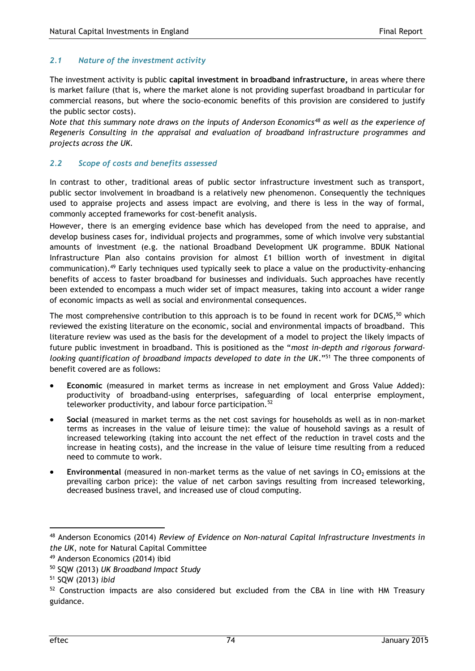## *2.1 Nature of the investment activity*

The investment activity is public **capital investment in broadband infrastructure,** in areas where there is market failure (that is, where the market alone is not providing superfast broadband in particular for commercial reasons, but where the socio-economic benefits of this provision are considered to justify the public sector costs).

*Note that this summary note draws on the inputs of Anderson Economics<sup>48</sup> as well as the experience of Regeneris Consulting in the appraisal and evaluation of broadband infrastructure programmes and projects across the UK.* 

### *2.2 Scope of costs and benefits assessed*

In contrast to other, traditional areas of public sector infrastructure investment such as transport, public sector involvement in broadband is a relatively new phenomenon. Consequently the techniques used to appraise projects and assess impact are evolving, and there is less in the way of formal, commonly accepted frameworks for cost-benefit analysis.

However, there is an emerging evidence base which has developed from the need to appraise, and develop business cases for, individual projects and programmes, some of which involve very substantial amounts of investment (e.g. the national Broadband Development UK programme. BDUK National Infrastructure Plan also contains provision for almost £1 billion worth of investment in digital communication).<sup>49</sup> Early techniques used typically seek to place a value on the productivity-enhancing benefits of access to faster broadband for businesses and individuals. Such approaches have recently been extended to encompass a much wider set of impact measures, taking into account a wider range of economic impacts as well as social and environmental consequences.

The most comprehensive contribution to this approach is to be found in recent work for DCMS,<sup>50</sup> which reviewed the existing literature on the economic, social and environmental impacts of broadband. This literature review was used as the basis for the development of a model to project the likely impacts of future public investment in broadband. This is positioned as the "*most in-depth and rigorous forwardlooking quantification of broadband impacts developed to date in the UK*."<sup>51</sup> The three components of benefit covered are as follows:

- **Economic** (measured in market terms as increase in net employment and Gross Value Added): productivity of broadband-using enterprises, safeguarding of local enterprise employment, teleworker productivity, and labour force participation.<sup>52</sup>
- **Social** (measured in market terms as the net cost savings for households as well as in non-market terms as increases in the value of leisure time): the value of household savings as a result of increased teleworking (taking into account the net effect of the reduction in travel costs and the increase in heating costs), and the increase in the value of leisure time resulting from a reduced need to commute to work.
- Environmental (measured in non-market terms as the value of net savings in CO<sub>2</sub> emissions at the prevailing carbon price): the value of net carbon savings resulting from increased teleworking, decreased business travel, and increased use of cloud computing.

 $\overline{a}$ 

<sup>48</sup> Anderson Economics (2014) *Review of Evidence on Non-natural Capital Infrastructure Investments in the UK*, note for Natural Capital Committee

<sup>&</sup>lt;sup>49</sup> Anderson Economics (2014) ibid

<sup>50</sup> SQW (2013) *UK Broadband Impact Study*

<sup>51</sup> SQW (2013) *ibid*

 $52$  Construction impacts are also considered but excluded from the CBA in line with HM Treasury guidance.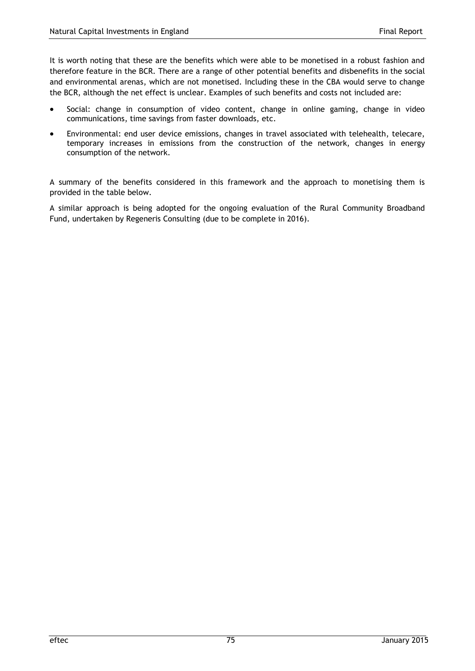It is worth noting that these are the benefits which were able to be monetised in a robust fashion and therefore feature in the BCR. There are a range of other potential benefits and disbenefits in the social and environmental arenas, which are not monetised. Including these in the CBA would serve to change the BCR, although the net effect is unclear. Examples of such benefits and costs not included are:

- Social: change in consumption of video content, change in online gaming, change in video communications, time savings from faster downloads, etc.
- Environmental: end user device emissions, changes in travel associated with telehealth, telecare, temporary increases in emissions from the construction of the network, changes in energy consumption of the network.

A summary of the benefits considered in this framework and the approach to monetising them is provided in the table below.

A similar approach is being adopted for the ongoing evaluation of the Rural Community Broadband Fund, undertaken by Regeneris Consulting (due to be complete in 2016).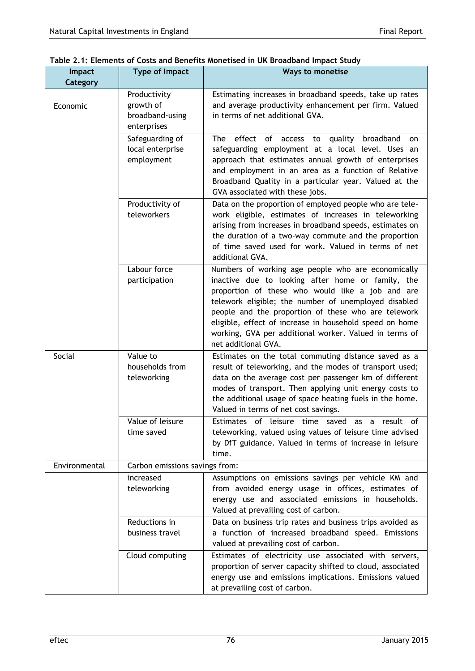| <b>Impact</b> | <b>Type of Impact</b>                                       | <b>Ways to monetise</b>                                                                                                                                                                                                                                                                                                                                                                                                |
|---------------|-------------------------------------------------------------|------------------------------------------------------------------------------------------------------------------------------------------------------------------------------------------------------------------------------------------------------------------------------------------------------------------------------------------------------------------------------------------------------------------------|
| Category      |                                                             |                                                                                                                                                                                                                                                                                                                                                                                                                        |
| Economic      | Productivity<br>growth of<br>broadband-using<br>enterprises | Estimating increases in broadband speeds, take up rates<br>and average productivity enhancement per firm. Valued<br>in terms of net additional GVA.                                                                                                                                                                                                                                                                    |
|               | Safeguarding of<br>local enterprise<br>employment           | The effect of access to quality<br>broadband<br>on.<br>safeguarding employment at a local level. Uses an<br>approach that estimates annual growth of enterprises<br>and employment in an area as a function of Relative<br>Broadband Quality in a particular year. Valued at the<br>GVA associated with these jobs.                                                                                                    |
|               | Productivity of<br>teleworkers                              | Data on the proportion of employed people who are tele-<br>work eligible, estimates of increases in teleworking<br>arising from increases in broadband speeds, estimates on<br>the duration of a two-way commute and the proportion<br>of time saved used for work. Valued in terms of net<br>additional GVA.                                                                                                          |
|               | Labour force<br>participation                               | Numbers of working age people who are economically<br>inactive due to looking after home or family, the<br>proportion of these who would like a job and are<br>telework eligible; the number of unemployed disabled<br>people and the proportion of these who are telework<br>eligible, effect of increase in household speed on home<br>working, GVA per additional worker. Valued in terms of<br>net additional GVA. |
| Social        | Value to<br>households from<br>teleworking                  | Estimates on the total commuting distance saved as a<br>result of teleworking, and the modes of transport used;<br>data on the average cost per passenger km of different<br>modes of transport. Then applying unit energy costs to<br>the additional usage of space heating fuels in the home.<br>Valued in terms of net cost savings.                                                                                |
|               | Value of leisure<br>time saved                              | Estimates of leisure time saved as a result<br>οf<br>teleworking, valued using values of leisure time advised<br>by DfT guidance. Valued in terms of increase in leisure<br>time.                                                                                                                                                                                                                                      |
| Environmental | Carbon emissions savings from:                              |                                                                                                                                                                                                                                                                                                                                                                                                                        |
|               | increased<br>teleworking                                    | Assumptions on emissions savings per vehicle KM and<br>from avoided energy usage in offices, estimates of<br>energy use and associated emissions in households.<br>Valued at prevailing cost of carbon.                                                                                                                                                                                                                |
|               | Reductions in<br>business travel                            | Data on business trip rates and business trips avoided as<br>a function of increased broadband speed. Emissions<br>valued at prevailing cost of carbon.                                                                                                                                                                                                                                                                |
|               | Cloud computing                                             | Estimates of electricity use associated with servers,<br>proportion of server capacity shifted to cloud, associated<br>energy use and emissions implications. Emissions valued<br>at prevailing cost of carbon.                                                                                                                                                                                                        |

| Table 2.1: Elements of Costs and Benefits Monetised in UK Broadband Impact Study |
|----------------------------------------------------------------------------------|
|----------------------------------------------------------------------------------|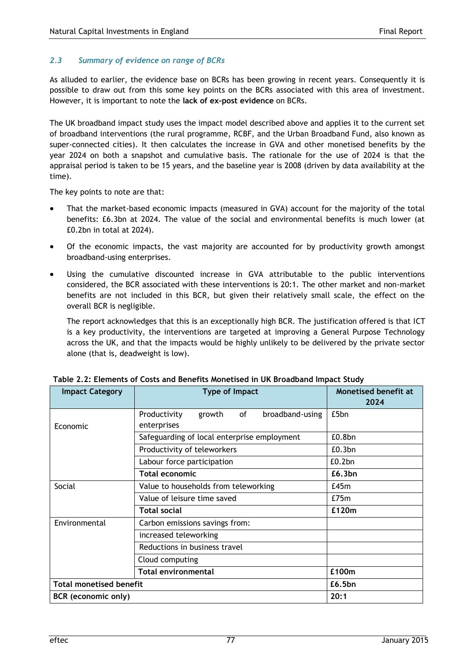## *2.3 Summary of evidence on range of BCRs*

As alluded to earlier, the evidence base on BCRs has been growing in recent years. Consequently it is possible to draw out from this some key points on the BCRs associated with this area of investment. However, it is important to note the **lack of ex-post evidence** on BCRs.

The UK broadband impact study uses the impact model described above and applies it to the current set of broadband interventions (the rural programme, RCBF, and the Urban Broadband Fund, also known as super-connected cities). It then calculates the increase in GVA and other monetised benefits by the year 2024 on both a snapshot and cumulative basis. The rationale for the use of 2024 is that the appraisal period is taken to be 15 years, and the baseline year is 2008 (driven by data availability at the time).

The key points to note are that:

- That the market-based economic impacts (measured in GVA) account for the majority of the total benefits: £6.3bn at 2024. The value of the social and environmental benefits is much lower (at £0.2bn in total at 2024).
- Of the economic impacts, the vast majority are accounted for by productivity growth amongst broadband-using enterprises.
- Using the cumulative discounted increase in GVA attributable to the public interventions considered, the BCR associated with these interventions is 20:1. The other market and non-market benefits are not included in this BCR, but given their relatively small scale, the effect on the overall BCR is negligible.

The report acknowledges that this is an exceptionally high BCR. The justification offered is that ICT is a key productivity, the interventions are targeted at improving a General Purpose Technology across the UK, and that the impacts would be highly unlikely to be delivered by the private sector alone (that is, deadweight is low).

| <b>Impact Category</b>         | Type of Impact                                  | <b>Monetised benefit at</b><br>2024 |  |  |
|--------------------------------|-------------------------------------------------|-------------------------------------|--|--|
|                                | of<br>broadband-using<br>Productivity<br>growth | £5bn                                |  |  |
| Economic                       | enterprises                                     |                                     |  |  |
|                                | Safeguarding of local enterprise employment     | £0.8bn                              |  |  |
|                                | Productivity of teleworkers                     | £0.3bn                              |  |  |
|                                | Labour force participation                      | £0.2bn                              |  |  |
|                                | <b>Total economic</b>                           | £6,3bn                              |  |  |
| Social                         | Value to households from teleworking            | £45m                                |  |  |
|                                | Value of leisure time saved                     | E75m                                |  |  |
| £120m<br><b>Total social</b>   |                                                 |                                     |  |  |
| Environmental                  | Carbon emissions savings from:                  |                                     |  |  |
|                                | increased teleworking                           |                                     |  |  |
|                                | Reductions in business travel                   |                                     |  |  |
|                                | Cloud computing                                 |                                     |  |  |
|                                | <b>Total environmental</b>                      | £100m                               |  |  |
| <b>Total monetised benefit</b> |                                                 | £6.5bn                              |  |  |
| BCR (economic only)            | 20:1                                            |                                     |  |  |

| Table 2.2: Elements of Costs and Benefits Monetised in UK Broadband Impact Study |  |
|----------------------------------------------------------------------------------|--|
|----------------------------------------------------------------------------------|--|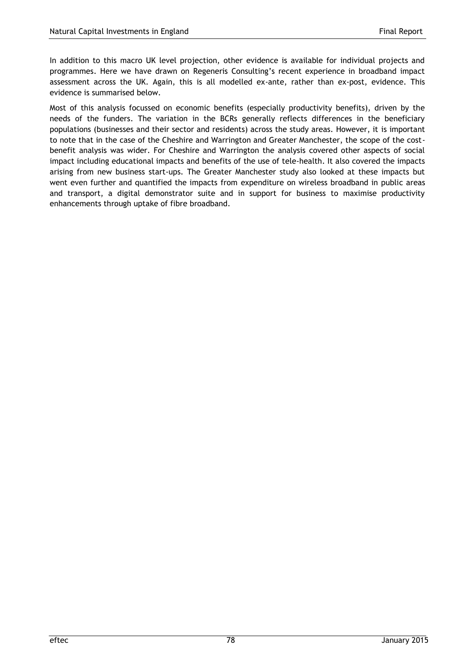In addition to this macro UK level projection, other evidence is available for individual projects and programmes. Here we have drawn on Regeneris Consulting's recent experience in broadband impact assessment across the UK. Again, this is all modelled ex-ante, rather than ex-post, evidence. This evidence is summarised below.

Most of this analysis focussed on economic benefits (especially productivity benefits), driven by the needs of the funders. The variation in the BCRs generally reflects differences in the beneficiary populations (businesses and their sector and residents) across the study areas. However, it is important to note that in the case of the Cheshire and Warrington and Greater Manchester, the scope of the costbenefit analysis was wider. For Cheshire and Warrington the analysis covered other aspects of social impact including educational impacts and benefits of the use of tele-health. It also covered the impacts arising from new business start-ups. The Greater Manchester study also looked at these impacts but went even further and quantified the impacts from expenditure on wireless broadband in public areas and transport, a digital demonstrator suite and in support for business to maximise productivity enhancements through uptake of fibre broadband.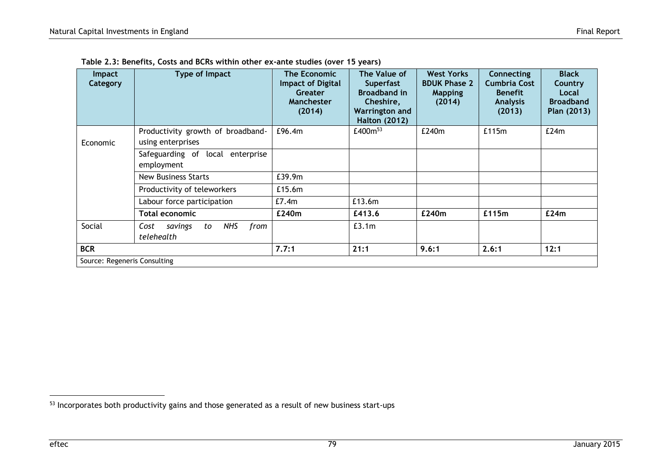| <b>Impact</b><br>Category    | Type of Impact                                            | <b>The Economic</b><br><b>Impact of Digital</b><br>Greater<br><b>Manchester</b><br>(2014) | The Value of<br><b>Superfast</b><br><b>Broadband in</b><br>Cheshire,<br><b>Warrington and</b><br><b>Halton (2012)</b> | <b>West Yorks</b><br><b>BDUK Phase 2</b><br><b>Mapping</b><br>(2014) | <b>Connecting</b><br><b>Cumbria Cost</b><br><b>Benefit</b><br><b>Analysis</b><br>(2013) | <b>Black</b><br>Country<br>Local<br><b>Broadband</b><br>Plan (2013) |
|------------------------------|-----------------------------------------------------------|-------------------------------------------------------------------------------------------|-----------------------------------------------------------------------------------------------------------------------|----------------------------------------------------------------------|-----------------------------------------------------------------------------------------|---------------------------------------------------------------------|
| Economic                     | Productivity growth of broadband-<br>using enterprises    | £96.4m                                                                                    | £400m <sup>53</sup>                                                                                                   | £240m                                                                | £115m                                                                                   | E24m                                                                |
|                              | Safeguarding of local enterprise<br>employment            |                                                                                           |                                                                                                                       |                                                                      |                                                                                         |                                                                     |
|                              | <b>New Business Starts</b>                                | £39.9m                                                                                    |                                                                                                                       |                                                                      |                                                                                         |                                                                     |
|                              | Productivity of teleworkers                               | £15.6m                                                                                    |                                                                                                                       |                                                                      |                                                                                         |                                                                     |
|                              | Labour force participation                                | £7.4m                                                                                     | £13.6m                                                                                                                |                                                                      |                                                                                         |                                                                     |
|                              | <b>Total economic</b>                                     | £240m                                                                                     | £413.6                                                                                                                | £240m                                                                | £115m                                                                                   | £24m                                                                |
| Social                       | <b>NHS</b><br>Cost<br>from<br>savings<br>to<br>telehealth |                                                                                           | £3.1m                                                                                                                 |                                                                      |                                                                                         |                                                                     |
| <b>BCR</b>                   |                                                           | 7.7:1                                                                                     | 21:1                                                                                                                  | 9.6:1                                                                | 2.6:1                                                                                   | 12:1                                                                |
| Source: Regeneris Consulting |                                                           |                                                                                           |                                                                                                                       |                                                                      |                                                                                         |                                                                     |

**Table 2.3: Benefits, Costs and BCRs within other ex-ante studies (over 15 years)**

 $\overline{a}$ 

<sup>53</sup> Incorporates both productivity gains and those generated as a result of new business start-ups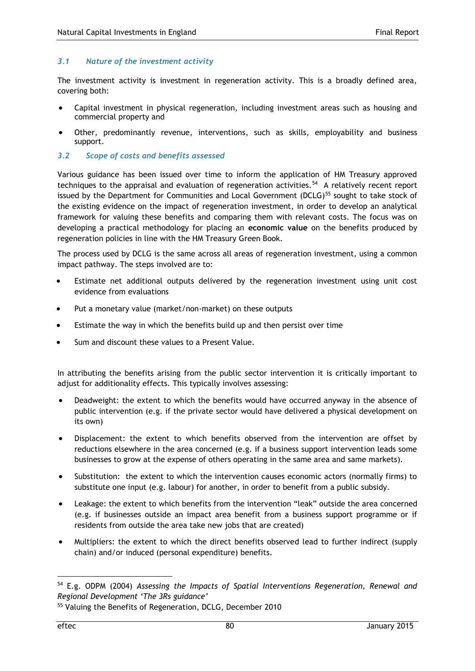## *3.1 Nature of the investment activity*

The investment activity is investment in regeneration activity. This is a broadly defined area, covering both:

- Capital investment in physical regeneration, including investment areas such as housing and commercial property and
- Other, predominantly revenue, interventions, such as skills, employability and business support.
- *3.2 Scope of costs and benefits assessed*

Various guidance has been issued over time to inform the application of HM Treasury approved techniques to the appraisal and evaluation of regeneration activities.<sup>54</sup> A relatively recent report issued by the Department for Communities and Local Government (DCLG)<sup>55</sup> sought to take stock of the existing evidence on the impact of regeneration investment, in order to develop an analytical framework for valuing these benefits and comparing them with relevant costs. The focus was on developing a practical methodology for placing an **economic value** on the benefits produced by regeneration policies in line with the HM Treasury Green Book.

The process used by DCLG is the same across all areas of regeneration investment, using a common impact pathway. The steps involved are to:

- Estimate net additional outputs delivered by the regeneration investment using unit cost evidence from evaluations
- Put a monetary value (market/non-market) on these outputs
- Estimate the way in which the benefits build up and then persist over time
- Sum and discount these values to a Present Value.

In attributing the benefits arising from the public sector intervention it is critically important to adjust for additionality effects. This typically involves assessing:

- Deadweight: the extent to which the benefits would have occurred anyway in the absence of public intervention (e.g. if the private sector would have delivered a physical development on its own)
- Displacement: the extent to which benefits observed from the intervention are offset by reductions elsewhere in the area concerned (e.g. if a business support intervention leads some businesses to grow at the expense of others operating in the same area and same markets).
- Substitution: the extent to which the intervention causes economic actors (normally firms) to substitute one input (e.g. labour) for another, in order to benefit from a public subsidy.
- Leakage: the extent to which benefits from the intervention "leak" outside the area concerned (e.g. if businesses outside an impact area benefit from a business support programme or if residents from outside the area take new jobs that are created)
- Multipliers: the extent to which the direct benefits observed lead to further indirect (supply chain) and/or induced (personal expenditure) benefits.

<sup>54</sup> E.g. ODPM (2004) *Assessing the Impacts of Spatial Interventions Regeneration, Renewal and Regional Development 'The 3Rs guidance'*

<sup>55</sup> Valuing the Benefits of Regeneration, DCLG, December 2010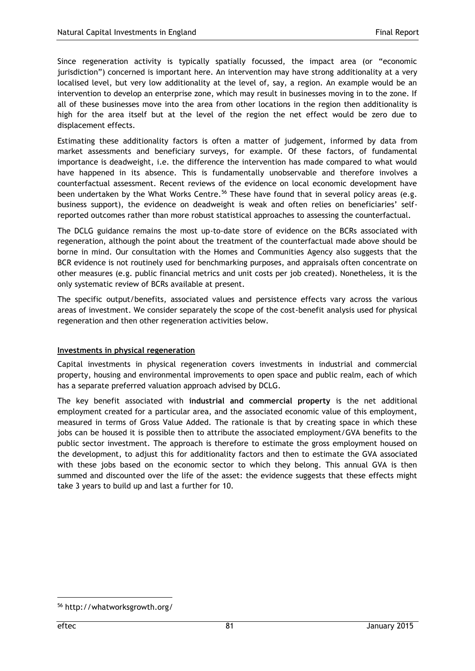Since regeneration activity is typically spatially focussed, the impact area (or "economic jurisdiction") concerned is important here. An intervention may have strong additionality at a very localised level, but very low additionality at the level of, say, a region. An example would be an intervention to develop an enterprise zone, which may result in businesses moving in to the zone. If all of these businesses move into the area from other locations in the region then additionality is high for the area itself but at the level of the region the net effect would be zero due to displacement effects.

Estimating these additionality factors is often a matter of judgement, informed by data from market assessments and beneficiary surveys, for example. Of these factors, of fundamental importance is deadweight, i.e. the difference the intervention has made compared to what would have happened in its absence. This is fundamentally unobservable and therefore involves a counterfactual assessment. Recent reviews of the evidence on local economic development have been undertaken by the What Works Centre.<sup>56</sup> These have found that in several policy areas (e.g. business support), the evidence on deadweight is weak and often relies on beneficiaries' selfreported outcomes rather than more robust statistical approaches to assessing the counterfactual.

The DCLG guidance remains the most up-to-date store of evidence on the BCRs associated with regeneration, although the point about the treatment of the counterfactual made above should be borne in mind. Our consultation with the Homes and Communities Agency also suggests that the BCR evidence is not routinely used for benchmarking purposes, and appraisals often concentrate on other measures (e.g. public financial metrics and unit costs per job created). Nonetheless, it is the only systematic review of BCRs available at present.

The specific output/benefits, associated values and persistence effects vary across the various areas of investment. We consider separately the scope of the cost-benefit analysis used for physical regeneration and then other regeneration activities below.

## **Investments in physical regeneration**

Capital investments in physical regeneration covers investments in industrial and commercial property, housing and environmental improvements to open space and public realm, each of which has a separate preferred valuation approach advised by DCLG.

The key benefit associated with **industrial and commercial property** is the net additional employment created for a particular area, and the associated economic value of this employment, measured in terms of Gross Value Added. The rationale is that by creating space in which these jobs can be housed it is possible then to attribute the associated employment/GVA benefits to the public sector investment. The approach is therefore to estimate the gross employment housed on the development, to adjust this for additionality factors and then to estimate the GVA associated with these jobs based on the economic sector to which they belong. This annual GVA is then summed and discounted over the life of the asset: the evidence suggests that these effects might take 3 years to build up and last a further for 10.

<sup>56</sup> http://whatworksgrowth.org/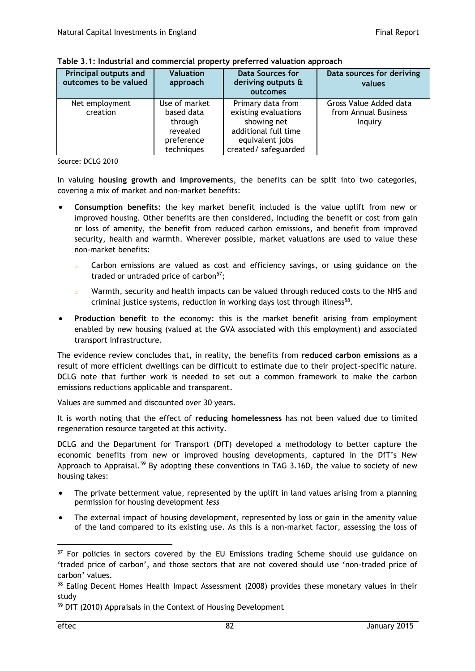| <b>Principal outputs and</b><br>outcomes to be valued | <b>Valuation</b><br>approach                                                   | <b>Data Sources for</b><br>deriving outputs &<br>outcomes                                                                   | Data sources for deriving<br>values                       |
|-------------------------------------------------------|--------------------------------------------------------------------------------|-----------------------------------------------------------------------------------------------------------------------------|-----------------------------------------------------------|
| Net employment<br>creation                            | Use of market<br>based data<br>through<br>revealed<br>preference<br>techniques | Primary data from<br>existing evaluations<br>showing net<br>additional full time<br>equivalent jobs<br>created/ safeguarded | Gross Value Added data<br>from Annual Business<br>Inguiry |

| Table 3.1: Industrial and commercial property preferred valuation approach |  |  |
|----------------------------------------------------------------------------|--|--|
|----------------------------------------------------------------------------|--|--|

Source: DCLG 2010

In valuing **housing growth and improvements**, the benefits can be split into two categories, covering a mix of market and non-market benefits:

- **Consumption benefits**: the key market benefit included is the value uplift from new or improved housing. Other benefits are then considered, including the benefit or cost from gain or loss of amenity, the benefit from reduced carbon emissions, and benefit from improved security, health and warmth. Wherever possible, market valuations are used to value these non-market benefits:
	- Carbon emissions are valued as cost and efficiency savings, or using guidance on the traded or untraded price of carbon $57$ :
	- <sup>o</sup> Warmth, security and health impacts can be valued through reduced costs to the NHS and criminal justice systems, reduction in working days lost through illness<sup>58</sup>.
- **Production benefit** to the economy: this is the market benefit arising from employment enabled by new housing (valued at the GVA associated with this employment) and associated transport infrastructure.

The evidence review concludes that, in reality, the benefits from **reduced carbon emissions** as a result of more efficient dwellings can be difficult to estimate due to their project-specific nature. DCLG note that further work is needed to set out a common framework to make the carbon emissions reductions applicable and transparent.

Values are summed and discounted over 30 years.

It is worth noting that the effect of **reducing homelessness** has not been valued due to limited regeneration resource targeted at this activity.

DCLG and the Department for Transport (DfT) developed a methodology to better capture the economic benefits from new or improved housing developments, captured in the DfT's New Approach to Appraisal.<sup>59</sup> By adopting these conventions in TAG 3.16D, the value to society of new housing takes:

- The private betterment value, represented by the uplift in land values arising from a planning permission for housing development *less*
- The external impact of housing development, represented by loss or gain in the amenity value of the land compared to its existing use. As this is a non-market factor, assessing the loss of

<sup>&</sup>lt;sup>57</sup> For policies in sectors covered by the EU Emissions trading Scheme should use guidance on 'traded price of carbon', and those sectors that are not covered should use 'non-traded price of carbon' values.

<sup>&</sup>lt;sup>58</sup> Ealing Decent Homes Health Impact Assessment (2008) provides these monetary values in their study

<sup>59</sup> DfT (2010) Appraisals in the Context of Housing Development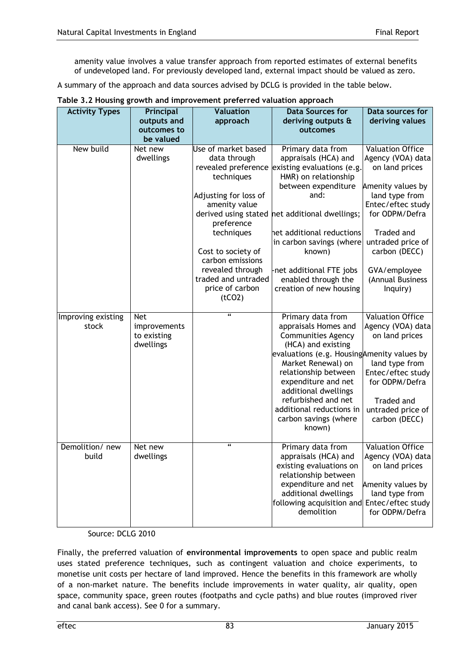amenity value involves a value transfer approach from reported estimates of external benefits of undeveloped land. For previously developed land, external impact should be valued as zero.

A summary of the approach and data sources advised by DCLG is provided in the table below.

| <b>Activity Types</b>       | Principal<br>outputs and                               | <b>Valuation</b><br>approach                                                                                                                                                                                                                                     | <b>Data Sources for</b><br>deriving outputs &                                                                                                                                                                                                                                                                                     | Data sources for<br>deriving values                                                                                                                                                                                                              |
|-----------------------------|--------------------------------------------------------|------------------------------------------------------------------------------------------------------------------------------------------------------------------------------------------------------------------------------------------------------------------|-----------------------------------------------------------------------------------------------------------------------------------------------------------------------------------------------------------------------------------------------------------------------------------------------------------------------------------|--------------------------------------------------------------------------------------------------------------------------------------------------------------------------------------------------------------------------------------------------|
|                             | outcomes to                                            |                                                                                                                                                                                                                                                                  | outcomes                                                                                                                                                                                                                                                                                                                          |                                                                                                                                                                                                                                                  |
|                             | be valued                                              |                                                                                                                                                                                                                                                                  |                                                                                                                                                                                                                                                                                                                                   |                                                                                                                                                                                                                                                  |
| New build                   | Net new<br>dwellings                                   | Use of market based<br>data through<br>revealed preference<br>techniques<br>Adjusting for loss of<br>amenity value<br>preference<br>techniques<br>Cost to society of<br>carbon emissions<br>revealed through<br>traded and untraded<br>price of carbon<br>(tCO2) | Primary data from<br>appraisals (HCA) and<br>existing evaluations (e.g.<br>HMR) on relationship<br>between expenditure<br>and:<br>derived using stated net additional dwellings;<br>het additional reductions<br>in carbon savings (where<br>known)<br>-net additional FTE jobs<br>enabled through the<br>creation of new housing | <b>Valuation Office</b><br>Agency (VOA) data<br>on land prices<br>Amenity values by<br>land type from<br>Entec/eftec study<br>for ODPM/Defra<br>Traded and<br>untraded price of<br>carbon (DECC)<br>GVA/employee<br>(Annual Business<br>Inquiry) |
| Improving existing<br>stock | <b>Net</b><br>improvements<br>to existing<br>dwellings | $\overline{\mathbf{a}}$                                                                                                                                                                                                                                          | Primary data from<br>appraisals Homes and<br><b>Communities Agency</b><br>(HCA) and existing<br>evaluations (e.g. Housing Amenity values by<br>Market Renewal) on<br>relationship between<br>expenditure and net<br>additional dwellings<br>refurbished and net<br>additional reductions in<br>carbon savings (where<br>known)    | <b>Valuation Office</b><br>Agency (VOA) data<br>on land prices<br>land type from<br>Entec/eftec study<br>for ODPM/Defra<br>Traded and<br>untraded price of<br>carbon (DECC)                                                                      |
| Demolition/new<br>build     | Net new<br>dwellings                                   | $\boldsymbol{\epsilon}$                                                                                                                                                                                                                                          | Primary data from<br>appraisals (HCA) and<br>existing evaluations on<br>relationship between<br>expenditure and net<br>additional dwellings<br>following acquisition and Entec/eftec study<br>demolition                                                                                                                          | <b>Valuation Office</b><br>Agency (VOA) data<br>on land prices<br>Amenity values by<br>land type from<br>for ODPM/Defra                                                                                                                          |

|  |  | Table 3.2 Housing growth and improvement preferred valuation approach |  |
|--|--|-----------------------------------------------------------------------|--|
|--|--|-----------------------------------------------------------------------|--|

## Source: DCLG 2010

Finally, the preferred valuation of **environmental improvements** to open space and public realm uses stated preference techniques, such as contingent valuation and choice experiments, to monetise unit costs per hectare of land improved. Hence the benefits in this framework are wholly of a non-market nature. The benefits include improvements in water quality, air quality, open space, community space, green routes (footpaths and cycle paths) and blue routes (improved river and canal bank access). See [0](#page-87-0) for a summary.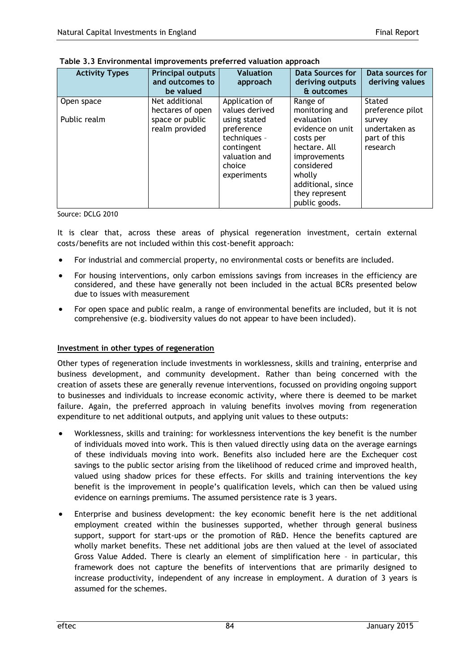| <b>Activity Types</b>      | <b>Principal outputs</b><br>and outcomes to<br>be valued                | <b>Valuation</b><br>approach                                                                                                           | <b>Data Sources for</b><br>deriving outputs<br>& outcomes                                                                                                                                 | Data sources for<br>deriving values                                               |
|----------------------------|-------------------------------------------------------------------------|----------------------------------------------------------------------------------------------------------------------------------------|-------------------------------------------------------------------------------------------------------------------------------------------------------------------------------------------|-----------------------------------------------------------------------------------|
| Open space<br>Public realm | Net additional<br>hectares of open<br>space or public<br>realm provided | Application of<br>values derived<br>using stated<br>preference<br>techniques -<br>contingent<br>valuation and<br>choice<br>experiments | Range of<br>monitoring and<br>evaluation<br>evidence on unit<br>costs per<br>hectare. All<br>improvements<br>considered<br>wholly<br>additional, since<br>they represent<br>public goods. | Stated<br>preference pilot<br>survey<br>undertaken as<br>part of this<br>research |

<span id="page-87-0"></span>

Source: DCLG 2010

It is clear that, across these areas of physical regeneration investment, certain external costs/benefits are not included within this cost-benefit approach:

- For industrial and commercial property, no environmental costs or benefits are included.
- For housing interventions, only carbon emissions savings from increases in the efficiency are considered, and these have generally not been included in the actual BCRs presented below due to issues with measurement
- For open space and public realm, a range of environmental benefits are included, but it is not comprehensive (e.g. biodiversity values do not appear to have been included).

## **Investment in other types of regeneration**

Other types of regeneration include investments in worklessness, skills and training, enterprise and business development, and community development. Rather than being concerned with the creation of assets these are generally revenue interventions, focussed on providing ongoing support to businesses and individuals to increase economic activity, where there is deemed to be market failure. Again, the preferred approach in valuing benefits involves moving from regeneration expenditure to net additional outputs, and applying unit values to these outputs:

- Worklessness, skills and training: for worklessness interventions the key benefit is the number of individuals moved into work. This is then valued directly using data on the average earnings of these individuals moving into work. Benefits also included here are the Exchequer cost savings to the public sector arising from the likelihood of reduced crime and improved health, valued using shadow prices for these effects. For skills and training interventions the key benefit is the improvement in people's qualification levels, which can then be valued using evidence on earnings premiums. The assumed persistence rate is 3 years.
- Enterprise and business development: the key economic benefit here is the net additional employment created within the businesses supported, whether through general business support, support for start-ups or the promotion of R&D. Hence the benefits captured are wholly market benefits. These net additional jobs are then valued at the level of associated Gross Value Added. There is clearly an element of simplification here – in particular, this framework does not capture the benefits of interventions that are primarily designed to increase productivity, independent of any increase in employment. A duration of 3 years is assumed for the schemes.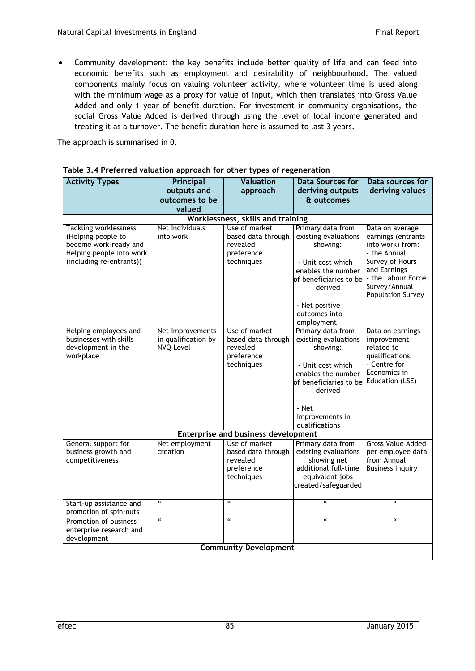Community development: the key benefits include better quality of life and can feed into economic benefits such as employment and desirability of neighbourhood. The valued components mainly focus on valuing volunteer activity, where volunteer time is used along with the minimum wage as a proxy for value of input, which then translates into Gross Value Added and only 1 year of benefit duration. For investment in community organisations, the social Gross Value Added is derived through using the level of local income generated and treating it as a turnover. The benefit duration here is assumed to last 3 years.

The approach is summarised in [0.](#page-88-0)

| <b>Activity Types</b>                                | Principal               | <b>Valuation</b>                           | <b>Data Sources for</b>                      | Data sources for                 |
|------------------------------------------------------|-------------------------|--------------------------------------------|----------------------------------------------|----------------------------------|
|                                                      | outputs and             | approach                                   | deriving outputs                             | deriving values                  |
|                                                      | outcomes to be          |                                            | & outcomes                                   |                                  |
|                                                      | valued                  |                                            |                                              |                                  |
|                                                      |                         | Worklessness, skills and training          |                                              |                                  |
| <b>Tackling worklessness</b>                         | Net individuals         | Use of market                              | Primary data from                            | Data on average                  |
| (Helping people to                                   | into work               | based data through                         | existing evaluations                         | earnings (entrants               |
| become work-ready and                                |                         | revealed<br>preference                     | showing:                                     | into work) from:<br>- the Annual |
| Helping people into work<br>(including re-entrants)) |                         | techniques                                 | - Unit cost which                            | Survey of Hours                  |
|                                                      |                         |                                            | enables the number                           | and Earnings                     |
|                                                      |                         |                                            | of beneficiaries to be                       | - the Labour Force               |
|                                                      |                         |                                            | derived                                      | Survey/Annual                    |
|                                                      |                         |                                            |                                              | <b>Population Survey</b>         |
|                                                      |                         |                                            | - Net positive                               |                                  |
|                                                      |                         |                                            | outcomes into                                |                                  |
|                                                      |                         |                                            | employment                                   |                                  |
| Helping employees and                                | Net improvements        | Use of market                              | Primary data from                            | Data on earnings                 |
| businesses with skills                               | in qualification by     | based data through                         | existing evaluations                         | improvement                      |
| development in the                                   | <b>NVQ Level</b>        | revealed                                   | showing:                                     | related to                       |
| workplace                                            |                         | preference<br>techniques                   |                                              | qualifications:<br>- Centre for  |
|                                                      |                         |                                            | - Unit cost which                            | Economics in                     |
|                                                      |                         |                                            | enables the number<br>of beneficiaries to be | Education (LSE)                  |
|                                                      |                         |                                            | derived                                      |                                  |
|                                                      |                         |                                            |                                              |                                  |
|                                                      |                         |                                            | - Net                                        |                                  |
|                                                      |                         |                                            | improvements in                              |                                  |
|                                                      |                         |                                            | qualifications                               |                                  |
|                                                      |                         | <b>Enterprise and business development</b> |                                              |                                  |
| General support for                                  | Net employment          | Use of market                              | Primary data from                            | <b>Gross Value Added</b>         |
| business growth and                                  | creation                | based data through                         | existing evaluations                         | per employee data                |
| competitiveness                                      |                         | revealed                                   | showing net                                  | from Annual                      |
|                                                      |                         | preference<br>techniques                   | additional full-time<br>equivalent jobs      | <b>Business Inquiry</b>          |
|                                                      |                         |                                            | created/safeguarded                          |                                  |
|                                                      |                         |                                            |                                              |                                  |
| Start-up assistance and                              | $\epsilon$              | $\mathfrak{a}$                             | $\epsilon$                                   | $\epsilon$                       |
| promotion of spin-outs                               |                         |                                            |                                              |                                  |
| Promotion of business                                | $\overline{\mathbf{a}}$ | $\overline{\mathbf{a}}$                    | $\overline{\mathbf{a}}$                      | $\overline{\mathbf{a}}$          |
| enterprise research and                              |                         |                                            |                                              |                                  |
| development                                          |                         |                                            |                                              |                                  |
| <b>Community Development</b>                         |                         |                                            |                                              |                                  |

#### <span id="page-88-0"></span>**Table 3.4 Preferred valuation approach for other types of regeneration**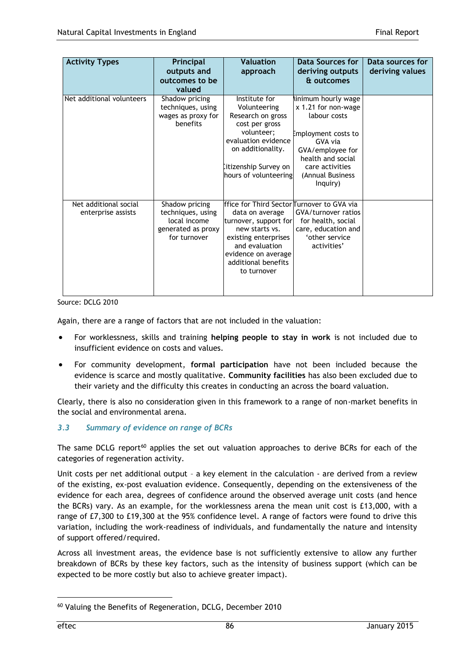| <b>Activity Types</b>                       | Principal<br>outputs and<br>outcomes to be<br>valued                                      | <b>Valuation</b><br>approach                                                                                                                                                                                    | Data Sources for<br>deriving outputs<br>& outcomes                                                                                                                                      | Data sources for<br>deriving values |
|---------------------------------------------|-------------------------------------------------------------------------------------------|-----------------------------------------------------------------------------------------------------------------------------------------------------------------------------------------------------------------|-----------------------------------------------------------------------------------------------------------------------------------------------------------------------------------------|-------------------------------------|
| Net additional volunteers                   | Shadow pricing<br>techniques, using<br>wages as proxy for<br>benefits                     | Institute for<br>Volunteering<br>Research on gross<br>cost per gross<br>volunteer;<br>evaluation evidence<br>on additionality.<br>Iitizenship Survey on<br>hours of volunteering                                | inimum hourly wage<br>x 1.21 for non-wage<br>labour costs<br>Employment costs to<br>GVA via<br>GVA/employee for<br>health and social<br>care activities<br>(Annual Business<br>Inquiry) |                                     |
| Net additional social<br>enterprise assists | Shadow pricing<br>techniques, using<br>local income<br>generated as proxy<br>for turnover | ffice for Third Sector Turnover to GVA via<br>data on average<br>turnover, support for<br>new starts vs.<br>existing enterprises<br>and evaluation<br>evidence on average<br>additional benefits<br>to turnover | GVA/turnover ratios<br>for health, social<br>care, education and<br>'other service<br>activities'                                                                                       |                                     |

Source: DCLG 2010

Again, there are a range of factors that are not included in the valuation:

- For worklessness, skills and training **helping people to stay in work** is not included due to insufficient evidence on costs and values.
- For community development, **formal participation** have not been included because the evidence is scarce and mostly qualitative. **Community facilities** has also been excluded due to their variety and the difficulty this creates in conducting an across the board valuation.

Clearly, there is also no consideration given in this framework to a range of non-market benefits in the social and environmental arena.

## *3.3 Summary of evidence on range of BCRs*

The same DCLG report<sup>60</sup> applies the set out valuation approaches to derive BCRs for each of the categories of regeneration activity.

Unit costs per net additional output – a key element in the calculation - are derived from a review of the existing, ex-post evaluation evidence. Consequently, depending on the extensiveness of the evidence for each area, degrees of confidence around the observed average unit costs (and hence the BCRs) vary. As an example, for the worklessness arena the mean unit cost is £13,000, with a range of £7,300 to £19,300 at the 95% confidence level. A range of factors were found to drive this variation, including the work-readiness of individuals, and fundamentally the nature and intensity of support offered/required.

Across all investment areas, the evidence base is not sufficiently extensive to allow any further breakdown of BCRs by these key factors, such as the intensity of business support (which can be expected to be more costly but also to achieve greater impact).

<sup>60</sup> Valuing the Benefits of Regeneration, DCLG, December 2010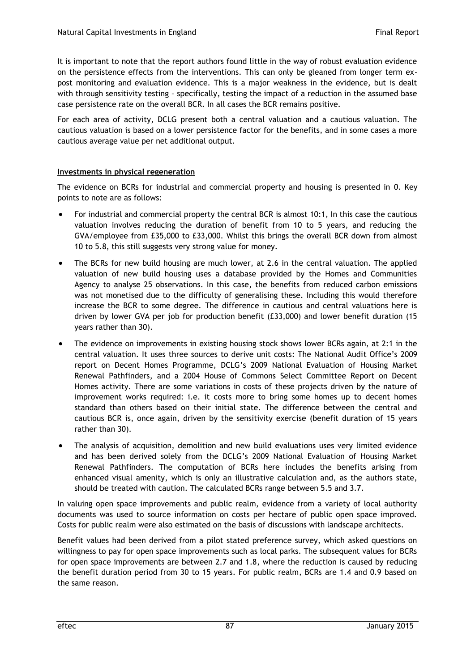It is important to note that the report authors found little in the way of robust evaluation evidence on the persistence effects from the interventions. This can only be gleaned from longer term expost monitoring and evaluation evidence. This is a major weakness in the evidence, but is dealt with through sensitivity testing – specifically, testing the impact of a reduction in the assumed base case persistence rate on the overall BCR. In all cases the BCR remains positive.

For each area of activity, DCLG present both a central valuation and a cautious valuation. The cautious valuation is based on a lower persistence factor for the benefits, and in some cases a more cautious average value per net additional output.

# **Investments in physical regeneration**

The evidence on BCRs for industrial and commercial property and housing is presented in [0.](#page-91-0) Key points to note are as follows:

- For industrial and commercial property the central BCR is almost 10:1, In this case the cautious valuation involves reducing the duration of benefit from 10 to 5 years, and reducing the GVA/employee from £35,000 to £33,000. Whilst this brings the overall BCR down from almost 10 to 5.8, this still suggests very strong value for money.
- The BCRs for new build housing are much lower, at 2.6 in the central valuation. The applied valuation of new build housing uses a database provided by the Homes and Communities Agency to analyse 25 observations. In this case, the benefits from reduced carbon emissions was not monetised due to the difficulty of generalising these. Including this would therefore increase the BCR to some degree. The difference in cautious and central valuations here is driven by lower GVA per job for production benefit (£33,000) and lower benefit duration (15 years rather than 30).
- The evidence on improvements in existing housing stock shows lower BCRs again, at 2:1 in the central valuation. It uses three sources to derive unit costs: The National Audit Office's 2009 report on Decent Homes Programme, DCLG's 2009 National Evaluation of Housing Market Renewal Pathfinders, and a 2004 House of Commons Select Committee Report on Decent Homes activity. There are some variations in costs of these projects driven by the nature of improvement works required: i.e. it costs more to bring some homes up to decent homes standard than others based on their initial state. The difference between the central and cautious BCR is, once again, driven by the sensitivity exercise (benefit duration of 15 years rather than 30).
- The analysis of acquisition, demolition and new build evaluations uses very limited evidence and has been derived solely from the DCLG's 2009 National Evaluation of Housing Market Renewal Pathfinders. The computation of BCRs here includes the benefits arising from enhanced visual amenity, which is only an illustrative calculation and, as the authors state, should be treated with caution. The calculated BCRs range between 5.5 and 3.7.

In valuing open space improvements and public realm, evidence from a variety of local authority documents was used to source information on costs per hectare of public open space improved. Costs for public realm were also estimated on the basis of discussions with landscape architects.

Benefit values had been derived from a pilot stated preference survey, which asked questions on willingness to pay for open space improvements such as local parks. The subsequent values for BCRs for open space improvements are between 2.7 and 1.8, where the reduction is caused by reducing the benefit duration period from 30 to 15 years. For public realm, BCRs are 1.4 and 0.9 based on the same reason.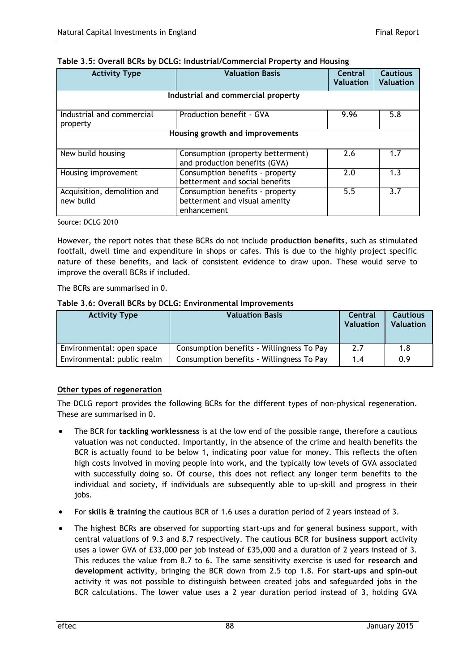| <b>Activity Type</b>                     | <b>Valuation Basis</b>                                                          | Central<br><b>Valuation</b> | <b>Cautious</b><br><b>Valuation</b> |
|------------------------------------------|---------------------------------------------------------------------------------|-----------------------------|-------------------------------------|
|                                          | Industrial and commercial property                                              |                             |                                     |
| Industrial and commercial<br>property    | Production benefit - GVA                                                        | 9.96                        | 5.8                                 |
| Housing growth and improvements          |                                                                                 |                             |                                     |
| New build housing                        | Consumption (property betterment)<br>and production benefits (GVA)              | 2.6                         | 1.7                                 |
| Housing improvement                      | Consumption benefits - property<br>betterment and social benefits               | 2.0                         | 1.3                                 |
| Acquisition, demolition and<br>new build | Consumption benefits - property<br>betterment and visual amenity<br>enhancement | 5.5                         | 3.7                                 |

## <span id="page-91-0"></span>**Table 3.5: Overall BCRs by DCLG: Industrial/Commercial Property and Housing**

Source: DCLG 2010

However, the report notes that these BCRs do not include **production benefits**, such as stimulated footfall, dwell time and expenditure in shops or cafes. This is due to the highly project specific nature of these benefits, and lack of consistent evidence to draw upon. These would serve to improve the overall BCRs if included.

The BCRs are summarised in [0.](#page-91-1)

### <span id="page-91-1"></span>**Table 3.6: Overall BCRs by DCLG: Environmental Improvements**

| <b>Activity Type</b>        | <b>Valuation Basis</b>                    | Central<br><b>Valuation</b> | <b>Cautious</b><br><b>Valuation</b> |
|-----------------------------|-------------------------------------------|-----------------------------|-------------------------------------|
| Environmental: open space   | Consumption benefits - Willingness To Pay | 2.7                         | 1.8                                 |
| Environmental: public realm | Consumption benefits - Willingness To Pay | 1.4                         | 0.9                                 |

## **Other types of regeneration**

The DCLG report provides the following BCRs for the different types of non-physical regeneration. These are summarised in [0.](#page-92-0)

- The BCR for **tackling worklessness** is at the low end of the possible range, therefore a cautious valuation was not conducted. Importantly, in the absence of the crime and health benefits the BCR is actually found to be below 1, indicating poor value for money. This reflects the often high costs involved in moving people into work, and the typically low levels of GVA associated with successfully doing so. Of course, this does not reflect any longer term benefits to the individual and society, if individuals are subsequently able to up-skill and progress in their jobs.
- For **skills & training** the cautious BCR of 1.6 uses a duration period of 2 years instead of 3.
- The highest BCRs are observed for supporting start-ups and for general business support, with central valuations of 9.3 and 8.7 respectively. The cautious BCR for **business support** activity uses a lower GVA of £33,000 per job instead of £35,000 and a duration of 2 years instead of 3. This reduces the value from 8.7 to 6. The same sensitivity exercise is used for **research and development activity**, bringing the BCR down from 2.5 top 1.8. For **start-ups and spin-out** activity it was not possible to distinguish between created jobs and safeguarded jobs in the BCR calculations. The lower value uses a 2 year duration period instead of 3, holding GVA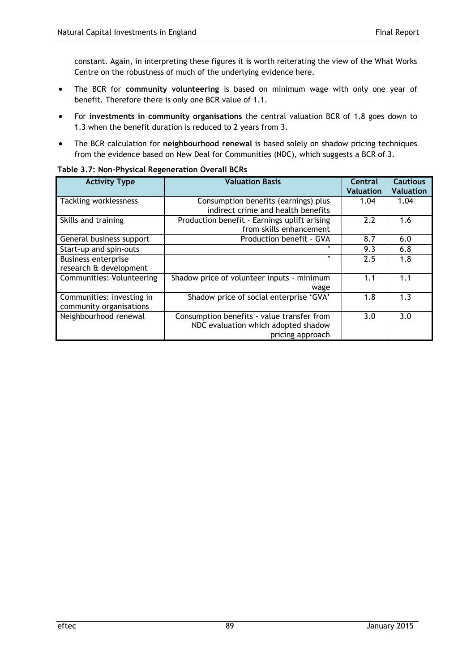constant. Again, in interpreting these figures it is worth reiterating the view of the What Works Centre on the robustness of much of the underlying evidence here.

- The BCR for **community volunteering** is based on minimum wage with only one year of benefit. Therefore there is only one BCR value of 1.1.
- For **investments in community organisations** the central valuation BCR of 1.8 goes down to 1.3 when the benefit duration is reduced to 2 years from 3.
- The BCR calculation for **neighbourhood renewal** is based solely on shadow pricing techniques from the evidence based on New Deal for Communities (NDC), which suggests a BCR of 3.

| <b>Activity Type</b>                                 | <b>Valuation Basis</b>                                                                                | Central<br><b>Valuation</b> | <b>Cautious</b><br><b>Valuation</b> |
|------------------------------------------------------|-------------------------------------------------------------------------------------------------------|-----------------------------|-------------------------------------|
| <b>Tackling worklessness</b>                         | Consumption benefits (earnings) plus<br>indirect crime and health benefits                            | 1.04                        | 1.04                                |
| Skills and training                                  | Production benefit - Earnings uplift arising<br>from skills enhancement                               | 2.2                         | 1.6                                 |
| General business support                             | Production benefit - GVA                                                                              | 8.7                         | 6.0                                 |
| Start-up and spin-outs                               | $\mathbf{u}$                                                                                          | 9.3                         | 6.8                                 |
| <b>Business enterprise</b><br>research & development | $\mathbf{u}$                                                                                          | 2.5                         | 1.8                                 |
| Communities: Volunteering                            | Shadow price of volunteer inputs - minimum<br>wage                                                    | 1.1                         | 1.1                                 |
| Communities: investing in<br>community organisations | Shadow price of social enterprise 'GVA'                                                               | 1.8                         | 1.3                                 |
| Neighbourhood renewal                                | Consumption benefits - value transfer from<br>NDC evaluation which adopted shadow<br>pricing approach | 3.0                         | 3.0                                 |

### <span id="page-92-0"></span>**Table 3.7: Non-Physical Regeneration Overall BCRs**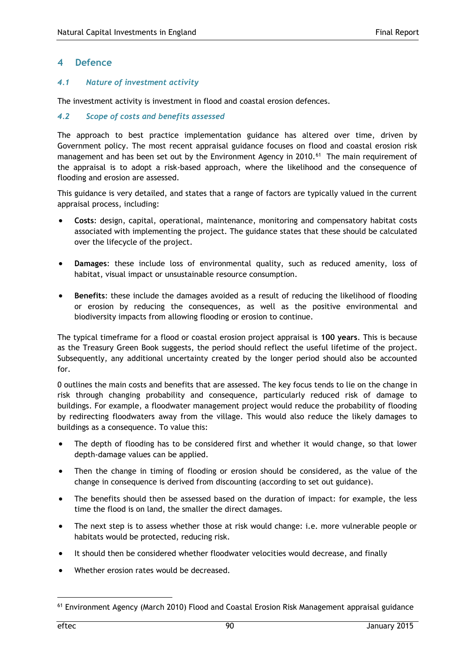## **4 Defence**

#### *4.1 Nature of investment activity*

The investment activity is investment in flood and coastal erosion defences.

## *4.2 Scope of costs and benefits assessed*

The approach to best practice implementation guidance has altered over time, driven by Government policy. The most recent appraisal guidance focuses on flood and coastal erosion risk management and has been set out by the Environment Agency in 2010.<sup>61</sup> The main requirement of the appraisal is to adopt a risk-based approach, where the likelihood and the consequence of flooding and erosion are assessed.

This guidance is very detailed, and states that a range of factors are typically valued in the current appraisal process, including:

- **Costs**: design, capital, operational, maintenance, monitoring and compensatory habitat costs associated with implementing the project. The guidance states that these should be calculated over the lifecycle of the project.
- **Damages**: these include loss of environmental quality, such as reduced amenity, loss of habitat, visual impact or unsustainable resource consumption.
- **Benefits**: these include the damages avoided as a result of reducing the likelihood of flooding or erosion by reducing the consequences, as well as the positive environmental and biodiversity impacts from allowing flooding or erosion to continue.

The typical timeframe for a flood or coastal erosion project appraisal is **100 years**. This is because as the Treasury Green Book suggests, the period should reflect the useful lifetime of the project. Subsequently, any additional uncertainty created by the longer period should also be accounted for.

[0](#page-94-0) outlines the main costs and benefits that are assessed. The key focus tends to lie on the change in risk through changing probability and consequence, particularly reduced risk of damage to buildings. For example, a floodwater management project would reduce the probability of flooding by redirecting floodwaters away from the village. This would also reduce the likely damages to buildings as a consequence. To value this:

- The depth of flooding has to be considered first and whether it would change, so that lower depth-damage values can be applied.
- Then the change in timing of flooding or erosion should be considered, as the value of the change in consequence is derived from discounting (according to set out guidance).
- The benefits should then be assessed based on the duration of impact: for example, the less time the flood is on land, the smaller the direct damages.
- The next step is to assess whether those at risk would change: i.e. more vulnerable people or habitats would be protected, reducing risk.
- It should then be considered whether floodwater velocities would decrease, and finally
- Whether erosion rates would be decreased.

<sup>&</sup>lt;sup>61</sup> Environment Agency (March 2010) Flood and Coastal Erosion Risk Management appraisal guidance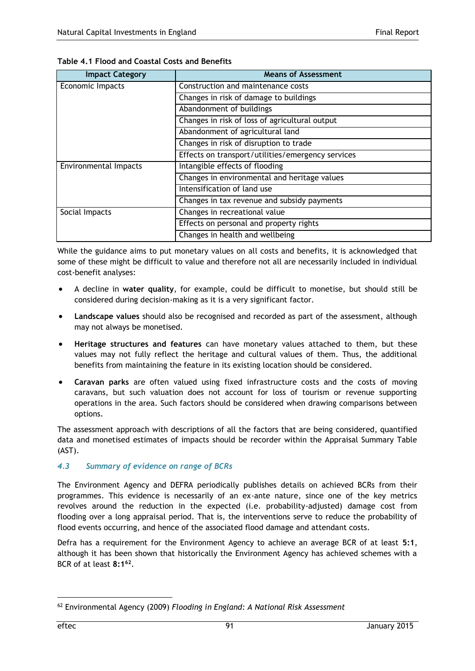| <b>Impact Category</b> | <b>Means of Assessment</b>                        |
|------------------------|---------------------------------------------------|
| Economic Impacts       | Construction and maintenance costs                |
|                        | Changes in risk of damage to buildings            |
|                        | Abandonment of buildings                          |
|                        | Changes in risk of loss of agricultural output    |
|                        | Abandonment of agricultural land                  |
|                        | Changes in risk of disruption to trade            |
|                        | Effects on transport/utilities/emergency services |
| Environmental Impacts  | Intangible effects of flooding                    |
|                        | Changes in environmental and heritage values      |
|                        | Intensification of land use                       |
|                        | Changes in tax revenue and subsidy payments       |
| Social Impacts         | Changes in recreational value                     |
|                        | Effects on personal and property rights           |
|                        | Changes in health and wellbeing                   |

<span id="page-94-0"></span>**Table 4.1 Flood and Coastal Costs and Benefits**

While the guidance aims to put monetary values on all costs and benefits, it is acknowledged that some of these might be difficult to value and therefore not all are necessarily included in individual cost-benefit analyses:

- A decline in **water quality**, for example, could be difficult to monetise, but should still be considered during decision-making as it is a very significant factor.
- **Landscape values** should also be recognised and recorded as part of the assessment, although may not always be monetised.
- **Heritage structures and features** can have monetary values attached to them, but these values may not fully reflect the heritage and cultural values of them. Thus, the additional benefits from maintaining the feature in its existing location should be considered.
- **Caravan parks** are often valued using fixed infrastructure costs and the costs of moving caravans, but such valuation does not account for loss of tourism or revenue supporting operations in the area. Such factors should be considered when drawing comparisons between options.

The assessment approach with descriptions of all the factors that are being considered, quantified data and monetised estimates of impacts should be recorder within the Appraisal Summary Table (AST).

# *4.3 Summary of evidence on range of BCRs*

The Environment Agency and DEFRA periodically publishes details on achieved BCRs from their programmes. This evidence is necessarily of an ex-ante nature, since one of the key metrics revolves around the reduction in the expected (i.e. probability-adjusted) damage cost from flooding over a long appraisal period. That is, the interventions serve to reduce the probability of flood events occurring, and hence of the associated flood damage and attendant costs.

Defra has a requirement for the Environment Agency to achieve an average BCR of at least **5:1**, although it has been shown that historically the Environment Agency has achieved schemes with a BCR of at least **8:1<sup>62</sup>** .

<sup>62</sup> Environmental Agency (2009) *Flooding in England: A National Risk Assessment*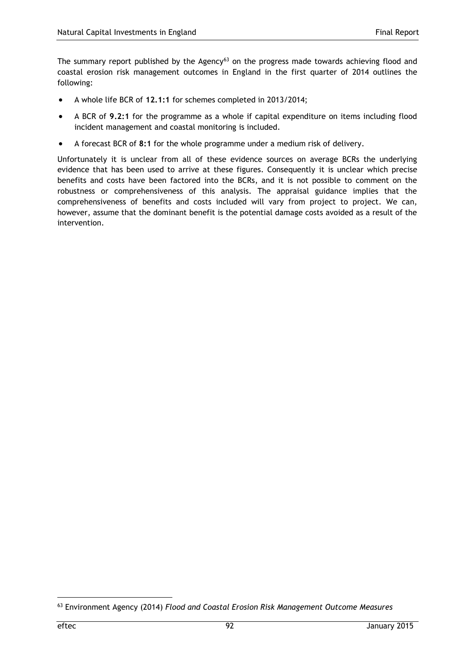The summary report published by the Agency<sup>63</sup> on the progress made towards achieving flood and coastal erosion risk management outcomes in England in the first quarter of 2014 outlines the following:

- A whole life BCR of **12.1:1** for schemes completed in 2013/2014;
- A BCR of **9.2:1** for the programme as a whole if capital expenditure on items including flood incident management and coastal monitoring is included.
- A forecast BCR of **8:1** for the whole programme under a medium risk of delivery.

Unfortunately it is unclear from all of these evidence sources on average BCRs the underlying evidence that has been used to arrive at these figures. Consequently it is unclear which precise benefits and costs have been factored into the BCRs, and it is not possible to comment on the robustness or comprehensiveness of this analysis. The appraisal guidance implies that the comprehensiveness of benefits and costs included will vary from project to project. We can, however, assume that the dominant benefit is the potential damage costs avoided as a result of the intervention.

<sup>63</sup> Environment Agency (2014) *Flood and Coastal Erosion Risk Management Outcome Measures*